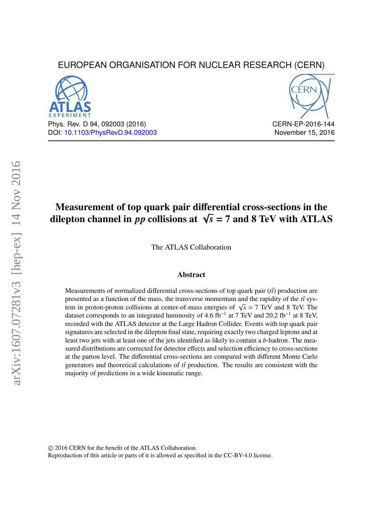# EUROPEAN ORGANISATION FOR NUCLEAR RESEARCH (CERN)





CERN-EP-2016-144 November 15, 2016

# Measurement of top quark pair differential cross-sections in the **Different intervalst conduct** to the quark pair differential cross-sections in the dilepton channel in *pp* collisions at  $\sqrt{s} = 7$  and 8 TeV with ATLAS

The ATLAS Collaboration

#### Abstract

Measurements of normalized differential cross-sections of top quark pair  $(t\bar{t})$  production are presented as a function of the mass, the transverse momentum and the rapidity of the  $t\bar{t}$  syspresented as a function of the mass, the transverse momentum and the rapidity of the *tt* system in proton-proton collisions at center-of-mass energies of  $\sqrt{s} = 7$  TeV and 8 TeV. The dataset corresponds to an integrated luminosity of 4.6 fb<sup>-1</sup> at 7 TeV and 20.2 fb<sup>-1</sup> at 8 TeV, recorded with the ATLAS detector at the Large Hadron Collider. Events with top quark pair signatures are selected in the dilepton final state, requiring exactly two charged leptons and at least two jets with at least one of the jets identified as likely to contain a *b*-hadron. The measured distributions are corrected for detector effects and selection efficiency to cross-sections at the parton level. The differential cross-sections are compared with different Monte Carlo generators and theoretical calculations of  $t\bar{t}$  production. The results are consistent with the majority of predictions in a wide kinematic range.

© 2016 CERN for the benefit of the ATLAS Collaboration. Reproduction of this article or parts of it is allowed as specified in the CC-BY-4.0 license.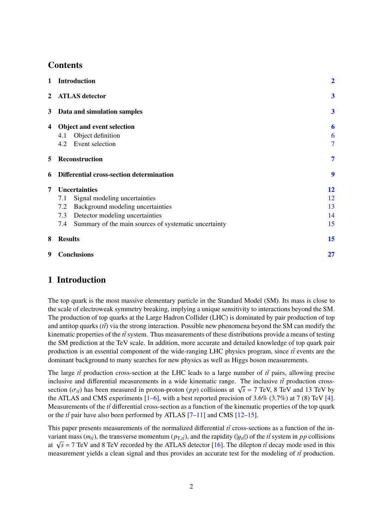### Contents

| 9            | <b>Conclusions</b>                                           | 27               |
|--------------|--------------------------------------------------------------|------------------|
| 8            | <b>Results</b>                                               | 15               |
|              | Summary of the main sources of systematic uncertainty<br>7.4 | 15               |
|              | Detector modeling uncertainties<br>7.3                       | 14               |
|              | 7.2<br>Background modeling uncertainties                     | 13               |
|              | Signal modeling uncertainties<br>7.1                         | 12               |
| 7            | <b>Uncertainties</b>                                         | 12               |
| 6            | Differential cross-section determination                     | 9                |
| 5            | Reconstruction                                               | 7                |
|              | 4.2 Event selection                                          | $\overline{7}$   |
|              | Object definition<br>4.1                                     | 6                |
| 4            | Object and event selection                                   | 6                |
| $\mathbf{3}$ | Data and simulation samples                                  | $\boldsymbol{3}$ |
| $\mathbf{2}$ | <b>ATLAS</b> detector                                        | $\boldsymbol{3}$ |
| $\mathbf{1}$ | <b>Introduction</b>                                          | $\overline{2}$   |

# <span id="page-1-0"></span>1 Introduction

The top quark is the most massive elementary particle in the Standard Model (SM). Its mass is close to the scale of electroweak symmetry breaking, implying a unique sensitivity to interactions beyond the SM. The production of top quarks at the Large Hadron Collider (LHC) is dominated by pair production of top and antitop quarks  $(t\bar{t})$  via the strong interaction. Possible new phenomena beyond the SM can modify the kinematic properties of the *tt*<sup></sup> system. Thus measurements of these distributions provide a means of testing the SM prediction at the TeV scale. In addition, more accurate and detailed knowledge of top quark pair production is an essential component of the wide-ranging LHC physics program, since  $t\bar{t}$  events are the dominant background to many searches for new physics as well as Higgs boson measurements.

The large  $t\bar{t}$  production cross-section at the LHC leads to a large number of  $t\bar{t}$  pairs, allowing precise inclusive and differential measurements in a wide kinematic range. The inclusive  $t\bar{t}$  production crosssection ( $\sigma_{t\bar{t}}$ ) has been measured in proton-proton (*pp*) collisions at  $\gamma$ <br>the ATI AS and CMS experiments [1–6] with a best reported precision  $\overline{s}$  = 7 TeV, 8 TeV and 13 TeV by the ATLAS and CMS experiments  $[1-6]$  $[1-6]$ , with a best reported precision of 3.6% (3.7%) at 7 (8) TeV [\[4\]](#page-28-2). Measurements of the  $t\bar{t}$  differential cross-section as a function of the kinematic properties of the top quark or the  $t\bar{t}$  pair have also been performed by ATLAS  $[7-11]$  $[7-11]$  and CMS  $[12-15]$  $[12-15]$ .

This paper presents measurements of the normalized differential  $t\bar{t}$  cross-sections as a function of the invariant mass  $(m_{t\bar{t}})$ , the transverse momentum  $(p_{T,t\bar{t}})$ , and the rapidity  $(|y_{t\bar{t}}|)$  of the  $t\bar{t}$  system in *pp* collisions variant mass ( $m_{t\bar{t}}$ ), the transverse momentum ( $p_{\text{T},t\bar{t}}$ ), and the rapidity ( $|y_{t\bar{t}}|$ ) or the *t* system in  $p\bar{p}$  comsions at  $\sqrt{s} = 7$  TeV and 8 TeV recorded by the ATLAS detector [\[16\]](#page-29-1). The dilepton  $t\bar$ measurement yields a clean signal and thus provides an accurate test for the modeling of  $t\bar{t}$  production.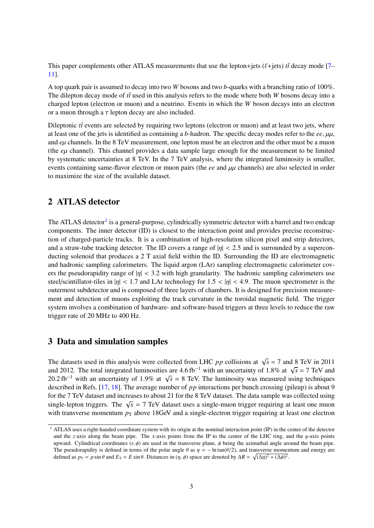This paper complements other ATLAS measurements that use the lepton+jets  $(\ell+$ jets) *tt* $\ell$  decay mode [\[7–](#page-28-3) [11\]](#page-28-4).

A top quark pair is assumed to decay into two *W* bosons and two *b*-quarks with a branching ratio of 100%. The dilepton decay mode of  $t\bar{t}$  used in this analysis refers to the mode where both *W* bosons decay into a charged lepton (electron or muon) and a neutrino. Events in which the *W* boson decays into an electron or a muon through a  $\tau$  lepton decay are also included.

Dileptonic  $t\bar{t}$  events are selected by requiring two leptons (electron or muon) and at least two jets, where at least one of the jets is identified as containing a *b*-hadron. The specific decay modes refer to the *ee*,  $\mu\mu$ , and *<sup>e</sup>*µ channels. In the 8 TeV measurement, one lepton must be an electron and the other must be a muon (the *<sup>e</sup>*µ channel). This channel provides a data sample large enough for the measurement to be limited by systematic uncertainties at 8 TeV. In the 7 TeV analysis, where the integrated luminosity is smaller, events containing same-flavor electron or muon pairs (the *ee* and µµ channels) are also selected in order to maximize the size of the available dataset.

### <span id="page-2-0"></span>2 ATLAS detector

The ATLAS detector<sup>[1](#page-2-2)</sup> is a general-purpose, cylindrically symmetric detector with a barrel and two endcap components. The inner detector (ID) is closest to the interaction point and provides precise reconstruction of charged-particle tracks. It is a combination of high-resolution silicon pixel and strip detectors, and a straw-tube tracking detector. The ID covers a range of  $|\eta| < 2.5$  and is surrounded by a superconducting solenoid that produces a 2 T axial field within the ID. Surrounding the ID are electromagnetic and hadronic sampling calorimeters. The liquid argon (LAr) sampling electromagnetic calorimeter covers the pseudorapidity range of  $|\eta| < 3.2$  with high granularity. The hadronic sampling calorimeters use steel/scintillator-tiles in  $|\eta|$  < 1.7 and LAr technology for 1.5 <  $|\eta|$  < 4.9. The muon spectrometer is the outermost subdetector and is composed of three layers of chambers. It is designed for precision measurement and detection of muons exploiting the track curvature in the toroidal magnetic field. The trigger system involves a combination of hardware- and software-based triggers at three levels to reduce the raw trigger rate of 20 MHz to 400 Hz.

#### <span id="page-2-1"></span>3 Data and simulation samples

The datasets used in this analysis were collected from LHC *pp* collisions at  $\sqrt{s} = 7$  and 8 TeV in 2011 and 2012. The total integrated luminosities are  $4.6 \text{ fb}^{-1}$  with an uncertainty of 1.8% at  $\sqrt{s} = 7$  TeV and  $\sqrt{s} = 7$  TeV and 20.2 fb<sup>-1</sup> with an uncertainty of 1.9% at  $\sqrt{s} = 8$  TeV. The luminosity was measured using techniques 20.2 fb<sup>-1</sup> with an uncertainty of 1.9% at  $\sqrt{s} = 8$  TeV. The luminosity was measured using techniques described in Refs. [\[17,](#page-29-2) [18\]](#page-29-3). The average number of *pp* interactions per bunch crossing (pileup) is about 9 for the 7 TeV dataset and increases to about 21 for the 8 TeV dataset. The data sample was collected using  $\sin \theta$  is a sample was concluded using the value of the value of the value of the data sample was concluded using  $\sin \theta$  is  $\sin \theta$  is  $\sin \theta$  is  $\sin \theta$  is  $\sin \theta$  is  $\sin \theta$  is  $\sin \theta$  is  $\sin \theta$  is  $\sin \theta$  is  $\sin \theta$  is  $\sin \theta$  with transverse momentum  $p_T$  above 18GeV and a single-electron trigger requiring at least one electron

<span id="page-2-2"></span> $<sup>1</sup>$  ATLAS uses a right-handed coordinate system with its origin at the nominal interaction point (IP) in the center of the detector</sup> and the *z*-axis along the beam pipe. The *x*-axis points from the IP to the center of the LHC ring, and the  $y$ -axis points upward. Cylindrical coordinates  $(r, \phi)$  are used in the transverse plane,  $\phi$  being the azimuthal angle around the beam pipe. The pseudorapidity is defined in terms of the polar angle  $\theta$  as  $\eta = -\ln \tan(\theta/2)$ , and transverse momentum and energy are defined as  $p_T = p \sin \theta$  and  $E_T = E \sin \theta$ . Distances in  $(\eta, \phi)$  space are denoted by  $\Delta R = \sqrt{(\Delta \eta)^2 + (\Delta \phi)^2}$ .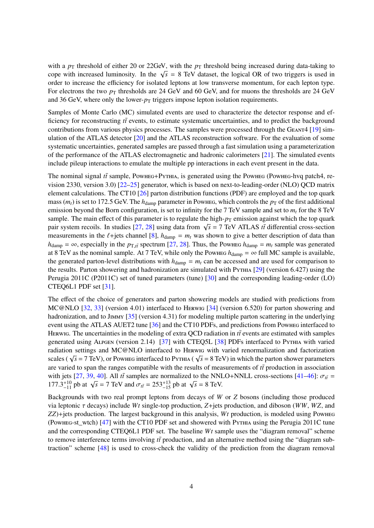with a  $p_T$  threshold of either 20 or 22GeV, with the  $p_T$  threshold being increased during data-taking to with a  $p_T$  uneshold of entired 20 of 22GeV, with the  $p_T$  uneshold being increased during data-taking to cope with increased luminosity. In the  $\sqrt{s}$  = 8 TeV dataset, the logical OR of two triggers is used in order to increase the efficiency for isolated leptons at low transverse momentum, for each lepton type. For electrons the two  $p_T$  thresholds are 24 GeV and 60 GeV, and for muons the thresholds are 24 GeV and 36 GeV, where only the lower- $p_T$  triggers impose lepton isolation requirements.

Samples of Monte Carlo (MC) simulated events are used to characterize the detector response and efficiency for reconstructing  $t\bar{t}$  events, to estimate systematic uncertainties, and to predict the background contributions from various physics processes. The samples were processed through the Geant4 [\[19\]](#page-29-4) simulation of the ATLAS detector [\[20\]](#page-29-5) and the ATLAS reconstruction software. For the evaluation of some systematic uncertainties, generated samples are passed through a fast simulation using a parameterization of the performance of the ATLAS electromagnetic and hadronic calorimeters [\[21\]](#page-29-6). The simulated events include pileup interactions to emulate the multiple pp interactions in each event present in the data.

The nominal signal  $t\bar{t}$  sample, Powheg+Pythia, is generated using the Powheg (Powheg-hvq patch4, revision 2330, version 3.0) [\[22](#page-29-7)[–25\]](#page-29-8) generator, which is based on next-to-leading-order (NLO) QCD matrix element calculations. The CT10 [\[26\]](#page-29-9) parton distribution functions (PDF) are employed and the top quark mass  $(m_t)$  is set to 172.5 GeV. The  $h_{\text{damp}}$  parameter in Powheg, which controls the  $p_T$  of the first additional emission beyond the Born configuration, is set to infinity for the 7 TeV sample and set to *m<sup>t</sup>* for the 8 TeV sample. The main effect of this parameter is to regulate the high- $p<sub>T</sub>$  emission against which the top quark  $\frac{1}{2}$  pair system recoils. In studies [\[27,](#page-29-10) [28\]](#page-29-11) using data from  $\sqrt{s} = 7$  TeV ATLAS *tt* differential cross-section measurements in the  $\ell$ +jets channel [\[8\]](#page-28-6),  $h_{\text{damp}} = m_t$  was shown to give a better description of data than  $h_{\text{damp}} = \infty$ , especially in the  $p_{\text{T},t\bar{t}}$  spectrum [\[27,](#page-29-10) [28\]](#page-29-11). Thus, the Powheg  $h_{\text{damp}} = m_t$  sample was generated at 8 TeV as the nominal sample. At 7 TeV, while only the Powheg  $h_{\text{damp}} = \infty$  full MC sample is available, the generated parton-level distributions with  $h_{\text{damp}} = m_t$  can be accessed and are used for comparison to the results. Parton showering and hadronization are simulated with P $\gamma$ THIA [\[29\]](#page-29-12) (version 6.427) using the Perugia 2011C (P2011C) set of tuned parameters (tune) [\[30\]](#page-29-13) and the corresponding leading-order (LO) CTEQ6L1 PDF set [\[31\]](#page-29-14).

The effect of the choice of generators and parton showering models are studied with predictions from MC@NLO [\[32,](#page-30-0) [33\]](#page-30-1) (version 4.01) interfaced to Herwig [\[34\]](#page-30-2) (version 6.520) for parton showering and hadronization, and to JIMMY [\[35\]](#page-30-3) (version 4.31) for modeling multiple parton scattering in the underlying event using the ATLAS AUET2 tune [\[36\]](#page-30-4) and the CT10 PDFs, and predictions from Powheg interfaced to Herwig. The uncertainties in the modeling of extra OCD radiation in  $t\bar{t}$  events are estimated with samples generated using ALPGEN (version 2.14) [\[37\]](#page-30-5) with CTEQ5L [\[38\]](#page-30-6) PDFs interfaced to PYTHIA with varied radiation settings and MC@NLO interfaced to HERWIG with varied renormalization and factorization  $s$ cales ( $\sqrt{s}$  = 7 TeV), or Powheg interfaced to Pythia ( $\sqrt{s}$  = 8 TeV) in which the parton shower parameters are varied to span the ranges compatible with the results of measurements of  $t\bar{t}$  production in association with jets [\[27,](#page-29-10) [39,](#page-30-7) [40\]](#page-30-8). All *tt* samples are normalized to the NNLO+NNLL cross-sections [\[41–](#page-30-9)[46\]](#page-30-10):  $\sigma_{t\bar{t}} =$  $177.3^{+10}_{-11}$  pb at  $\sqrt{s} = 7$  TeV and  $\sigma_{t\bar{t}} = 253^{+13}_{-15}$  pb at  $\sqrt{s} = 8$  TeV.

Backgrounds with two real prompt leptons from decays of *W* or *Z* bosons (including those produced via leptonic τ decays) include *Wt* single-top production, *<sup>Z</sup>*+jets production, and diboson (*WW*, *WZ*, and *ZZ*)+jets production. The largest background in this analysis, *Wt* production, is modeled using Powheg (Powheg-st\_wtch) [\[47\]](#page-31-0) with the CT10 PDF set and showered with Pythia using the Perugia 2011C tune and the corresponding CTEQ6L1 PDF set. The baseline *Wt* sample uses the "diagram removal" scheme to remove interference terms involving  $t\bar{t}$  production, and an alternative method using the "diagram subtraction" scheme [\[48\]](#page-31-1) is used to cross-check the validity of the prediction from the diagram removal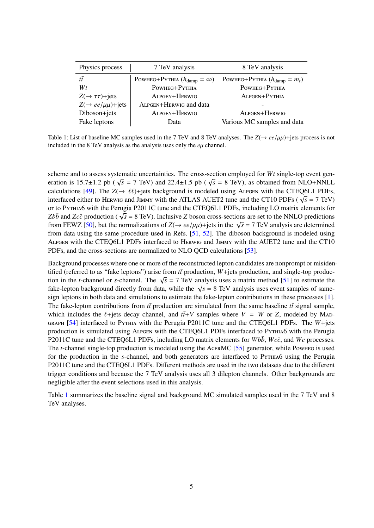<span id="page-4-0"></span>

| Physics process                  | 7 TeV analysis                             | 8 TeV analysis                          |  |  |
|----------------------------------|--------------------------------------------|-----------------------------------------|--|--|
| $t\bar{t}$                       | POWHEG+PYTHIA $(h_{\text{damp}} = \infty)$ | POWHEG+PYTHIA $(h_{\text{damp}} = m_t)$ |  |  |
| $W_t$                            | POWHEG+PYTHIA                              | POWHEG+PYTHIA                           |  |  |
| $Z(\rightarrow \tau\tau)$ +jets  | ALPGEN+HERWIG                              | ALPGEN+PYTHIA                           |  |  |
| $Z(\rightarrow ee/\mu\mu)$ +jets | ALPGEN+HERWIG and data                     |                                         |  |  |
| Diboson+jets                     | ALPGEN+HERWIG                              | ALPGEN+HERWIG                           |  |  |
| Fake leptons                     | Data                                       | Various MC samples and data             |  |  |

Table 1: List of baseline MC samples used in the 7 TeV and 8 TeV analyses. The  $Z(\rightarrow ee/\mu\mu)$ +jets process is not included in the 8 TeV analysis as the analysis uses only the  $e\mu$  channel.

scheme and to assess systematic uncertainties. The cross-section employed for *Wt* single-top event generation is  $15.7\pm1.2$  pb ( $\sqrt{s} = 7$  TeV) and  $22.4\pm1.5$  pb ( $\sqrt{s} = 8$  TeV), as obtained from NLO+NNLL calculations [\[49\]](#page-31-2). The  $Z(\rightarrow \ell\ell)$ +jets background is modeled using ALPGEN with the CTEQ6L1 PDFs,  $\alpha$  extended either to Herwig and Jimmy with the ATLAS AUET2 tune and the CT10 PDFs ( $\sqrt{s} = 7$  TeV) or to Pythia6 with the Perugia P2011C tune and the CTEQ6L1 PDFs, including LO matrix elements for *Zbb* and *Zcc*<sup> $\bar{c}$ </sup> production ( $\sqrt{s}$  = 8 TeV). Inclusive *Z* boson cross-sections are set to the NNLO predictions  $Z_{UU}$  and  $Z_{CC}$  production ( $\sqrt{y} = 8$  TeV). Inclusive  $Z$  boson cross-section<br>from FEWZ [\[50\]](#page-31-3), but the normalizations of  $Z(\rightarrow ee/\mu\mu)$ +jets in the  $\sqrt{y}$ <br>from data using the same procedure used in Refs. [51, 52]. The dib  $\overline{s}$  = 7 TeV analysis are determined from data using the same procedure used in Refs. [\[51,](#page-31-4) [52\]](#page-31-5). The diboson background is modeled using Alpgen with the CTEQ6L1 PDFs interfaced to Herwig and Jimmy with the AUET2 tune and the CT10 PDFs, and the cross-sections are normalized to NLO QCD calculations [\[53\]](#page-31-6).

Background processes where one or more of the reconstructed lepton candidates are nonprompt or misidentified (referred to as "fake leptons") arise from  $t\bar{t}$  production,  $W+$  jets production, and single-top productined (referred to as a fake reprofit *f* and *the production*,  $w +$  jets production, and single-top production in the *t*-channel or *s*-channel. The  $\sqrt{s} = 7$  TeV analysis uses a matrix method [\[51\]](#page-31-4) to estimate the from the *t*-channel of s-channel. The  $\sqrt{s}$  = 7 TeV analysis uses a matrix method [51] to estimate the fake-lepton background directly from data, while the  $\sqrt{s}$  = 8 TeV analysis uses event samples of samesign leptons in both data and simulations to estimate the fake-lepton contributions in these processes [\[1\]](#page-28-0). The fake-lepton contributions from  $t\bar{t}$  production are simulated from the same baseline  $t\bar{t}$  signal sample, which includes the  $\ell$ +jets decay channel, and  $t\bar{t}+V$  samples where  $V = W$  or *Z*, modeled by Mapgraph [\[54\]](#page-31-7) interfaced to Pythia with the Perugia P2011C tune and the CTEQ6L1 PDFs. The *W*+jets production is simulated using ALPGEN with the CTEQ6L1 PDFs interfaced to PYTHIA6 with the Perugia P2011C tune and the CTEQ6L1 PDFs, including LO matrix elements for  $Wb\bar{b}$ ,  $Wc\bar{c}$ , and  $Wc$  processes. The *t*-channel single-top production is modeled using the AcerMC [\[55\]](#page-31-8) generator, while Powheg is used for the production in the *s*-channel, and both generators are interfaced to Pythia6 using the Perugia P2011C tune and the CTEQ6L1 PDFs. Different methods are used in the two datasets due to the different trigger conditions and because the 7 TeV analysis uses all 3 dilepton channels. Other backgrounds are negligible after the event selections used in this analysis.

Table [1](#page-4-0) summarizes the baseline signal and background MC simulated samples used in the 7 TeV and 8 TeV analyses.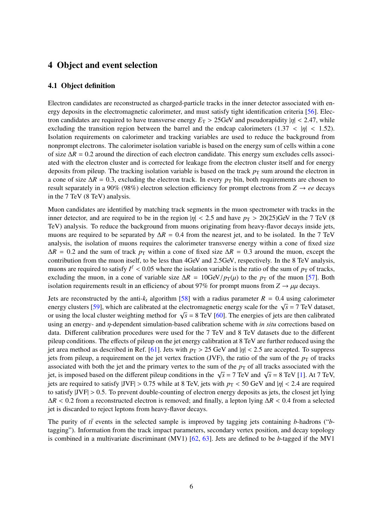### <span id="page-5-0"></span>4 Object and event selection

#### <span id="page-5-1"></span>4.1 Object definition

Electron candidates are reconstructed as charged-particle tracks in the inner detector associated with energy deposits in the electromagnetic calorimeter, and must satisfy tight identification criteria [\[56\]](#page-31-9). Electron candidates are required to have transverse energy  $E_T > 25$ GeV and pseudorapidity  $|\eta| < 2.47$ , while excluding the transition region between the barrel and the endcap calorimeters (1.37  $\langle \eta | \langle 1.52 \rangle$ ). Isolation requirements on calorimeter and tracking variables are used to reduce the background from nonprompt electrons. The calorimeter isolation variable is based on the energy sum of cells within a cone of size <sup>∆</sup>*<sup>R</sup>* <sup>=</sup> <sup>0</sup>.2 around the direction of each electron candidate. This energy sum excludes cells associated with the electron cluster and is corrected for leakage from the electron cluster itself and for energy deposits from pileup. The tracking isolation variable is based on the track  $p<sub>T</sub>$  sum around the electron in a cone of size  $\Delta R = 0.3$ , excluding the electron track. In every  $p<sub>T</sub>$  bin, both requirements are chosen to result separately in a 90% (98%) electron selection efficiency for prompt electrons from  $Z \rightarrow ee$  decays in the 7 TeV (8 TeV) analysis.

Muon candidates are identified by matching track segments in the muon spectrometer with tracks in the inner detector, and are required to be in the region  $|\eta| < 2.5$  and have  $p_T > 20(25)$ GeV in the 7 TeV (8) TeV) analysis. To reduce the background from muons originating from heavy-flavor decays inside jets, muons are required to be separated by <sup>∆</sup>*<sup>R</sup>* <sup>=</sup> <sup>0</sup>.4 from the nearest jet, and to be isolated. In the 7 TeV analysis, the isolation of muons requires the calorimeter transverse energy within a cone of fixed size  $\Delta R = 0.2$  and the sum of track  $p<sub>T</sub>$  within a cone of fixed size  $\Delta R = 0.3$  around the muon, except the contribution from the muon itself, to be less than 4GeV and 2.5GeV, respectively. In the 8 TeV analysis, muons are required to satisfy  $I^{\ell} < 0.05$  where the isolation variable is the ratio of the sum of  $p_T$  of tracks,<br>excluding the muon, in a cone of variable size  $\Delta R = 10 \text{GeV}/p_T(u)$  to the  $p_T$  of the muon [57]. Both excluding the muon, in a cone of variable size  $\Delta R = 10$ GeV/ $p_T(\mu)$  to the  $p_T$  of the muon [\[57\]](#page-31-10). Both isolation requirements result in an efficiency of about 97% for prompt muons from  $Z \rightarrow \mu\mu$  decays.

Jets are reconstructed by the anti- $k_t$  algorithm [\[58\]](#page-31-11) with a radius parameter  $R = 0.4$  using calorimeter energy clusters [\[59\]](#page-31-12), which are calibrated at the electromagnetic energy scale for the  $\sqrt{s} = 7$  TeV dataset, or using the local cluster weighting method for  $\sqrt{s} = 8$  TeV [\[60\]](#page-31-13). The energies of jets are then calibrated or using the local cluster weighting method for  $\sqrt{s} = 8$  TeV [60]. The energies of jets are then calibrated using an energy- and η-dependent simulation-based calibration scheme with *in situ* corrections based on data. Different calibration procedures were used for the 7 TeV and 8 TeV datasets due to the different pileup conditions. The effects of pileup on the jet energy calibration at 8 TeV are further reduced using the jet area method as described in Ref. [\[61\]](#page-31-14). Jets with  $p_T > 25$  GeV and  $|\eta| < 2.5$  are accepted. To suppress jets from pileup, a requirement on the jet vertex fraction (JVF), the ratio of the sum of the  $p<sub>T</sub>$  of tracks associated with both the jet and the primary vertex to the sum of the  $p<sub>T</sub>$  of all tracks associated with the associated with both the jet and the primary vertex to the sum of the  $p_T$  or an tracks associated with the jet, is imposed based on the different pileup conditions in the  $\sqrt{s}$  = 7 TeV and  $\sqrt{s}$  = 8 TeV [\[1\]](#page-28-0). At 7 TeV, jets are required to satisfy  $|JVF| > 0.75$  while at 8 TeV, jets with  $p_T < 50$  GeV and  $|\eta| < 2.4$  are required to satisfy  $|JVF| > 0.5$ . To prevent double-counting of electron energy deposits as jets, the closest jet lying <sup>∆</sup>*<sup>R</sup>* < <sup>0</sup>.2 from a reconstructed electron is removed; and finally, a lepton lying <sup>∆</sup>*<sup>R</sup>* < <sup>0</sup>.4 from a selected jet is discarded to reject leptons from heavy-flavor decays.

The purity of *tt*<sup> $\vec{t}$ </sup> events in the selected sample is improved by tagging jets containing *b*-hadrons ("*b*tagging"). Information from the track impact parameters, secondary vertex position, and decay topology is combined in a multivariate discriminant (MV1) [\[62,](#page-31-15) [63\]](#page-32-0). Jets are defined to be *b*-tagged if the MV1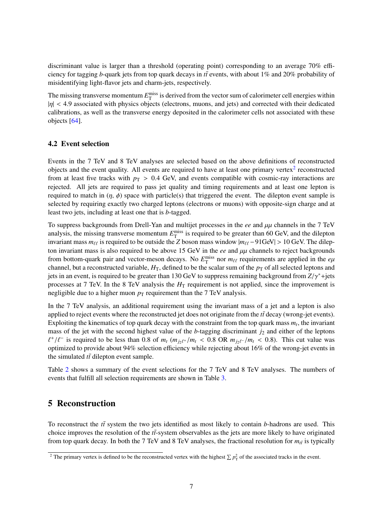discriminant value is larger than a threshold (operating point) corresponding to an average 70% efficiency for tagging *b*-quark jets from top quark decays in  $t\bar{t}$  events, with about 1% and 20% probability of misidentifying light-flavor jets and charm-jets, respectively.

The missing transverse momentum  $E_{\text{T}}^{\text{miss}}$  is derived from the vector sum of calorimeter cell energies within  $|\eta|$  < 4.9 associated with physics objects (electrons, muons, and jets) and corrected with their dedicated calibrations, as well as the transverse energy deposited in the calorimeter cells not associated with these objects [\[64\]](#page-32-1).

#### <span id="page-6-0"></span>4.2 Event selection

Events in the 7 TeV and 8 TeV analyses are selected based on the above definitions of reconstructed objects and the event quality. All events are required to have at least one primary vertex $2$  reconstructed from at least five tracks with  $p_T > 0.4$  GeV, and events compatible with cosmic-ray interactions are rejected. All jets are required to pass jet quality and timing requirements and at least one lepton is required to match in  $(\eta, \phi)$  space with particle(s) that triggered the event. The dilepton event sample is selected by requiring exactly two charged leptons (electrons or muons) with opposite-sign charge and at least two jets, including at least one that is *b*-tagged.

To suppress backgrounds from Drell-Yan and multijet processes in the  $ee$  and  $\mu\mu$  channels in the 7 TeV analysis, the missing transverse momentum  $E_{\text{T}}^{\text{miss}}$  is required to be greater than 60 GeV, and the dilepton invariant mass  $m_{\ell\ell}$  is required to be outside the *Z* boson mass window  $|m_{\ell\ell} - 91 \text{GeV}| > 10 \text{ GeV}$ . The dilepton invariant mass is also required to be above 15 GeV in the  $ee$  and  $\mu\mu$  channels to reject backgrounds from bottom-quark pair and vector-meson decays. No  $E_T^{\text{miss}}$  nor  $m_{\ell\ell}$  requirements are applied in the  $e\mu$ <br>channel but a reconstructed variable.  $H_T$  defined to be the scalar sum of the r-p of all selected leptons channel, but a reconstructed variable,  $H_T$ , defined to be the scalar sum of the  $p_T$  of all selected leptons and jets in an event, is required to be greater than 130 GeV to suppress remaining background from *<sup>Z</sup>*/γ∗+jets processes at 7 TeV. In the 8 TeV analysis the  $H<sub>T</sub>$  requirement is not applied, since the improvement is negligible due to a higher muon  $p_T$  requirement than the 7 TeV analysis.

In the 7 TeV analysis, an additional requirement using the invariant mass of a jet and a lepton is also applied to reject events where the reconstructed jet does not originate from the  $t\bar{t}$  decay (wrong-jet events). Exploiting the kinematics of top quark decay with the constraint from the top quark mass  $m_t$ , the invariant mass of the jet with the second highest value of the *b*-tagging discriminant *j*<sup>2</sup> and either of the leptons  $\frac{1}{2}$  optimized to provide about 94% selection efficiency while rejecting about 16% of the wrong-jet events in <sup>+</sup>/ $\ell^-$  is required to be less than 0.8 of  $m_t$  ( $m_{j2}\ell^+/m_t$  < 0.8 OR  $m_{j2}\ell^-/m_t$  < 0.8). This cut value was primized to provide about 94% selection efficiency while rejecting about 16% of the wrong-jet events in the simulated  $t\bar{t}$  dilepton event sample.

Table [2](#page-7-0) shows a summary of the event selections for the 7 TeV and 8 TeV analyses. The numbers of events that fulfill all selection requirements are shown in Table [3.](#page-7-1)

### <span id="page-6-1"></span>5 Reconstruction

To reconstruct the  $t\bar{t}$  system the two jets identified as most likely to contain *b*-hadrons are used. This choice improves the resolution of the *tt*¯-system observables as the jets are more likely to have originated from top quark decay. In both the 7 TeV and 8 TeV analyses, the fractional resolution for  $m_{t\bar{t}}$  is typically

<span id="page-6-2"></span><sup>&</sup>lt;sup>2</sup> The primary vertex is defined to be the reconstructed vertex with the highest  $\sum p_T^2$  of the associated tracks in the event.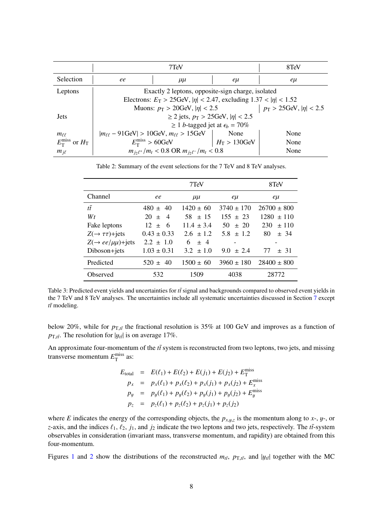<span id="page-7-0"></span>

|                                    | 7TeV                                                                           | 8TeV                                                                          |  |  |  |  |  |
|------------------------------------|--------------------------------------------------------------------------------|-------------------------------------------------------------------------------|--|--|--|--|--|
| <b>Selection</b>                   | ee<br>$\mu\mu$                                                                 | $e\mu$<br>$e\mu$                                                              |  |  |  |  |  |
| Leptons                            | Exactly 2 leptons, opposite-sign charge, isolated                              |                                                                               |  |  |  |  |  |
|                                    |                                                                                | Electrons: $E_T > 25$ GeV, $ \eta  < 2.47$ , excluding $1.37 <  \eta  < 1.52$ |  |  |  |  |  |
|                                    | Muons: $p_T > 20$ GeV, $ \eta  < 2.5$<br>$p_{\rm T} > 25$ GeV, $ \eta  < 2.5$  |                                                                               |  |  |  |  |  |
| <b>Jets</b>                        | $\geq$ 2 jets, $p_T > 25$ GeV, $ \eta  < 2.5$                                  |                                                                               |  |  |  |  |  |
|                                    | $\geq$ 1 <i>b</i> -tagged jet at $\epsilon_b$ = 70%                            |                                                                               |  |  |  |  |  |
| $m_{\ell\ell}$                     | $ m_{\ell\ell} - 91 \text{GeV}  > 10 \text{GeV}, m_{\ell\ell} > 15 \text{GeV}$ | None                                                                          |  |  |  |  |  |
| $E_{\rm T}^{\rm miss}$<br>or $H_T$ | $E_{\rm T}^{\rm miss} > 60$ GeV $\vert H_{\rm T} > 130$ GeV                    | None                                                                          |  |  |  |  |  |
| $m_{i\ell}$                        | $m_{i_2\ell^+}/m_t < 0.8$ OR $m_{i_2\ell^-}/m_t < 0.8$<br>None                 |                                                                               |  |  |  |  |  |

Table 2: Summary of the event selections for the 7 TeV and 8 TeV analyses.

<span id="page-7-1"></span>

|                                  |                            | 7TeV           |                | 8TeV              |
|----------------------------------|----------------------------|----------------|----------------|-------------------|
| Channel                          | ee                         | $\mu\mu$       | $e\mu$         | $e\mu$            |
| $t\bar{t}$                       | $480 \pm 40$               | $1420 + 60$    | $3740 + 170$   | $26700 \pm 800$   |
| $W_t$                            | $\overline{4}$<br>$20 \pm$ | $58 \pm 15$    | $155 \pm 23$   | 1280<br>$\pm$ 110 |
| Fake leptons                     | $12 +$<br>-6               | $11.4 \pm 3.4$ | 50<br>$\pm$ 20 | 230<br>$+110$     |
| $Z(\rightarrow \tau\tau)$ +jets  | $0.43 \pm 0.33$            | $2.6 + 1.2$    | $5.8 + 1.2$    | 80<br>$+34$       |
| $Z(\rightarrow ee/\mu\mu)$ +jets | $2.2 + 1.0$                | 6<br>$+4$      |                |                   |
| Diboson+jets                     | $1.03 \pm 0.31$            | $3.2 \pm 1.0$  | ± 2.4<br>9.0   | 77<br>$\pm$ 31    |
| Predicted                        | $520 + 40$                 | $1500 \pm 60$  | $3960 \pm 180$ | $28400 \pm 800$   |
| Observed                         | 532                        | 1509           | 4038           | 28772             |

Table 3: Predicted event yields and uncertainties for  $t\bar{t}$  signal and backgrounds compared to observed event yields in the 7 TeV and 8 TeV analyses. The uncertainties include all systematic uncertainties discussed in Section [7](#page-11-0) except *tt*¯modeling.

below 20%, while for  $p_{T,t\bar{t}}$  the fractional resolution is 35% at 100 GeV and improves as a function of  $p_{\text{T},t\bar{t}}$ . The resolution for  $|y_{t\bar{t}}|$  is on average 17%.

An approximate four-momentum of the  $t\bar{t}$  system is reconstructed from two leptons, two jets, and missing transverse momentum  $E_{\rm T}^{\rm miss}$  as:

$$
E_{\text{total}} = E(\ell_1) + E(\ell_2) + E(j_1) + E(j_2) + E_{\text{T}}^{\text{miss}}
$$
  
\n
$$
p_x = p_x(\ell_1) + p_x(\ell_2) + p_x(j_1) + p_x(j_2) + E_x^{\text{miss}}
$$
  
\n
$$
p_y = p_y(\ell_1) + p_y(\ell_2) + p_y(j_1) + p_y(j_2) + E_y^{\text{miss}}
$$
  
\n
$$
p_z = p_z(\ell_1) + p_z(\ell_2) + p_z(j_1) + p_z(j_2)
$$

where *E* indicates the energy of the corresponding objects, the  $p_{x,y,z}$  is the momentum along to *x*-, *y*-, or  $z$ -axis and the indicate  $f_x$ ,  $f_y$ , i. and *is* indicate the two lentons and two jets respectively. The *z*-axis, and the indices  $\ell_1$ ,  $\ell_2$ ,  $j_1$ , and  $j_2$  indicate the two leptons and two jets, respectively. The *tt*-system observables in consideration (invariant mass, transverse momentum, and rapidity) are obtained from this four-momentum.

Figures [1](#page-9-0) and [2](#page-10-0) show the distributions of the reconstructed  $m_{t\bar{t}}$ ,  $p_{T,t\bar{t}}$ , and  $|y_{t\bar{t}}|$  together with the MC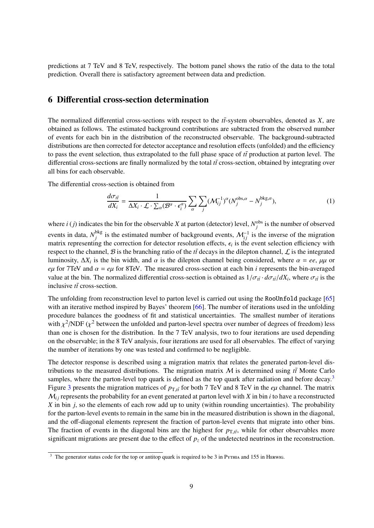predictions at 7 TeV and 8 TeV, respectively. The bottom panel shows the ratio of the data to the total prediction. Overall there is satisfactory agreement between data and prediction.

### <span id="page-8-0"></span>6 Differential cross-section determination

The normalized differential cross-sections with respect to the  $t\bar{t}$ -system observables, denoted as *X*, are obtained as follows. The estimated background contributions are subtracted from the observed number of events for each bin in the distribution of the reconstructed observable. The background-subtracted distributions are then corrected for detector acceptance and resolution effects (unfolded) and the efficiency to pass the event selection, thus extrapolated to the full phase space of  $t\bar{t}$  production at parton level. The differential cross-sections are finally normalized by the total *tt*<sup> $\tau$ </sup> cross-section, obtained by integrating over all bins for each observable.

The differential cross-section is obtained from

$$
\frac{d\sigma_{t\bar{t}}}{dX_i} = \frac{1}{\Delta X_i \cdot \mathcal{L} \cdot \sum_{\alpha} (\mathcal{B}^{\alpha} \cdot \epsilon_i^{\alpha})} \sum_{\alpha} \sum_{j} (\mathcal{M}_{ij}^{-1})^{\alpha} (N_j^{\text{obs},\alpha} - N_j^{\text{bkg},\alpha}), \tag{1}
$$

where *i* (*j*) indicates the bin for the observable *X* at parton (detector) level,  $N_j^{\text{obs}}$  is the number of observed events in data,  $N_i^{\text{bkg}}$ <sup>bkg</sup> is the estimated number of background events,  $\mathcal{M}_{ij}^{-1}$  is the inverse of the migration matrix representing the correction for detector resolution effects,  $\epsilon_i$  is the event selection efficiency with respect to the channel,  $\mathcal B$  is the branching ratio of the *tt*<sup> $\bar{t}$ </sup> decays in the dilepton channel,  $\mathcal L$  is the integrated luminosity,  $\Delta X_i$  is the bin width, and  $\alpha$  is the dilepton channel being considered, where  $\alpha = ee$ ,  $\mu\mu$  or  $e^{\mu\mu}$  or  $e^{\mu\mu}$  or  $e^{\mu\mu}$  or  $e^{\mu\mu}$  or  $e^{\mu\mu}$  or  $e^{\mu\mu}$  or  $e^{\mu\mu}$  or  $e^{\mu\mu}$  or  $e^{\mu$ *e*µ for 7TeV and  $\alpha = e\mu$  for 8TeV. The measured cross-section at each bin *i* represents the bin-averaged value at the bin. The normalized differential cross-section is obtained as  $1/\sigma_{t\bar{t}} \cdot d\sigma_{t\bar{t}}/dX_i$ , where  $\sigma_{t\bar{t}}$  is the inclusive  $t\bar{t}$  cross-section inclusive  $t\bar{t}$  cross-section.

The unfolding from reconstruction level to parton level is carried out using the RooUnfold package [\[65\]](#page-32-2) with an iterative method inspired by Bayes' theorem [\[66\]](#page-32-3). The number of iterations used in the unfolding procedure balances the goodness of fit and statistical uncertainties. The smallest number of iterations with  $\chi^2/NDF$  ( $\chi^2$  between the unfolded and parton-level spectra over number of degrees of freedom) less<br>than one is chosen for the distribution. In the 7 TeV analysis, two to four iterations are used depending than one is chosen for the distribution. In the 7 TeV analysis, two to four iterations are used depending on the observable; in the 8 TeV analysis, four iterations are used for all observables. The effect of varying the number of iterations by one was tested and confirmed to be negligible.

The detector response is described using a migration matrix that relates the generated parton-level distributions to the measured distributions. The migration matrix  $M$  is determined using  $t\bar{t}$  Monte Carlo samples, where the parton-level top quark is defined as the top quark after radiation and before decay.<sup>[3](#page-8-1)</sup> Figure [3](#page-11-2) presents the migration matrices of  $p_{T,t\bar{t}}$  for both 7 TeV and 8 TeV in the  $e\mu$  channel. The matrix  $M_{ij}$  represents the probability for an event generated at parton level with  $X$  in bin  $i$  to have a reconstructed *X* in bin *j*, so the elements of each row add up to unity (within rounding uncertainties). The probability for the parton-level events to remain in the same bin in the measured distribution is shown in the diagonal, and the off-diagonal elements represent the fraction of parton-level events that migrate into other bins. The fraction of events in the diagonal bins are the highest for  $p_{T,t\bar{t}}$ , while for other observables more significant migrations are present due to the effect of  $p<sub>z</sub>$  of the undetected neutrinos in the reconstruction.

<span id="page-8-1"></span><sup>&</sup>lt;sup>3</sup> The generator status code for the top or antitop quark is required to be 3 in PYTHIA and 155 in HERWIG.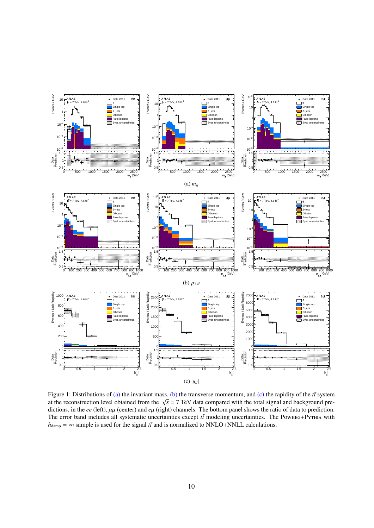<span id="page-9-2"></span><span id="page-9-1"></span><span id="page-9-0"></span>

<span id="page-9-3"></span>Figure 1: Distributions of [\(a\)](#page-9-1) the invariant mass, [\(b\)](#page-9-2) the transverse momentum, and [\(c\)](#page-9-3) the rapidity of the *tt*<sup></sup> system at the reconstruction level obtained from the  $\sqrt{s} = 7$  TeV data compared with the total signal and background predictions, in the *ee* (left),  $\mu\mu$  (center) and  $e\mu$  (right) channels. The bottom panel shows the ratio of data to prediction. The error band includes all systematic uncertainties except *tt* modeling uncertainties. The Powheg+PyThIA with  $h_{\text{damp}} = \infty$  sample is used for the signal *tt* and is normalized to NNLO+NNLL calculations.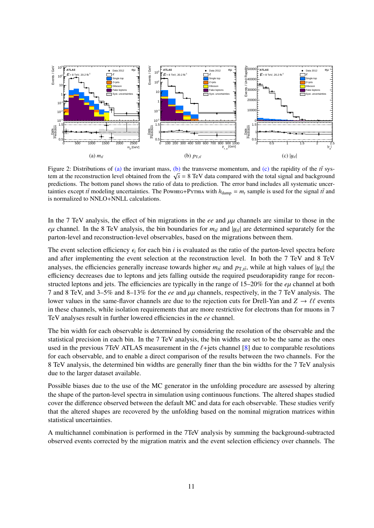<span id="page-10-1"></span><span id="page-10-0"></span>

<span id="page-10-3"></span><span id="page-10-2"></span>Figure 2: Distributions of [\(a\)](#page-10-1) the invariant mass, [\(b\)](#page-10-2) the transverse momentum, and [\(c\)](#page-10-3) the rapidity of the  $t\bar{t}$  system at the reconstruction level obtained from the  $\sqrt{s} = 8$  TeV data compared with the total signal and background tem at the reconstruction level obtained from the  $\sqrt{s} = 8$  TeV data compared with the total signal and ba predictions. The bottom panel shows the ratio of data to prediction. The error band includes all systematic uncertainties except *tt* modeling uncertainties. The Powheg+PyTHIA with  $h_{\text{damp}} = m_t$  sample is used for the signal *tt* $\bar{t}$  and is normalized to NNLO+NNLL calculations.

In the 7 TeV analysis, the effect of bin migrations in the *ee* and  $\mu\mu$  channels are similar to those in the *e*µ channel. In the 8 TeV analysis, the bin boundaries for  $m_t$  and  $|y_t|$  are determined separately for the parton-level and reconstruction-level observables, based on the migrations between them.

The event selection efficiency  $\epsilon_i$  for each bin *i* is evaluated as the ratio of the parton-level spectra before and after implementing the event selection at the reconstruction level. In both the 7 TeV and 8 TeV analyses, the efficiencies generally increase towards higher  $m_{t\bar{t}}$  and  $p_{\text{T},t\bar{t}}$ , while at high values of  $|y_{t\bar{t}}|$  the efficiency decreases due to leptons and jets falling outside the required pseudorapidity range for reconstructed leptons and jets. The efficiencies are typically in the range of 15–20% for the *<sup>e</sup>*µ channel at both 7 and 8 TeV, and 3–5% and 8–13% for the *ee* and µµ channels, respectively, in the 7 TeV analysis. The lower values in the same-flavor channels are due to the rejection cuts for Drell-Yan and  $Z \rightarrow \ell \ell$  events in these channels, while isolation requirements that are more restrictive for electrons than for muons in 7 TeV analyses result in further lowered efficiencies in the *ee* channel.

The bin width for each observable is determined by considering the resolution of the observable and the statistical precision in each bin. In the 7 TeV analysis, the bin widths are set to be the same as the ones used in the previous 7TeV ATLAS measurement in the  $\ell$ +jets channel [\[8\]](#page-28-6) due to comparable resolutions for each observable, and to enable a direct comparison of the results between the two channels. For the 8 TeV analysis, the determined bin widths are generally finer than the bin widths for the 7 TeV analysis due to the larger dataset available.

Possible biases due to the use of the MC generator in the unfolding procedure are assessed by altering the shape of the parton-level spectra in simulation using continuous functions. The altered shapes studied cover the difference observed between the default MC and data for each observable. These studies verify that the altered shapes are recovered by the unfolding based on the nominal migration matrices within statistical uncertainties.

A multichannel combination is performed in the 7TeV analysis by summing the background-subtracted observed events corrected by the migration matrix and the event selection efficiency over channels. The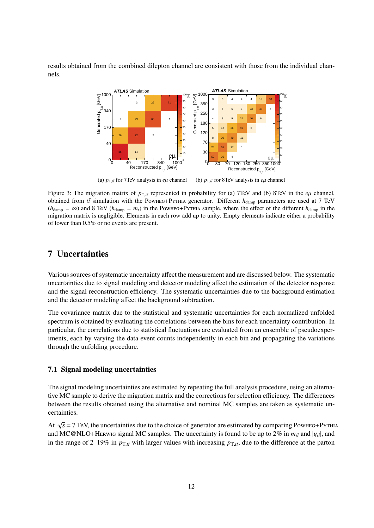<span id="page-11-2"></span>results obtained from the combined dilepton channel are consistent with those from the individual channels.



(a)  $p_{T,t\bar{t}}$  for 7TeV analysis in  $e\mu$  channel (b)  $p_{T,t\bar{t}}$  for 8TeV analysis in  $e\mu$  channel

Figure 3: The migration matrix of  $p_{T,t\bar{t}}$  represented in probability for (a) 7TeV and (b) 8TeV in the  $e\mu$  channel, obtained from  $t\bar{t}$  simulation with the Powheg+Pythia generator. Different  $h_{\text{damp}}$  parameters are used at 7 TeV  $(h_{\text{damp}} = \infty)$  and 8 TeV  $(h_{\text{damp}} = m_t)$  in the Powheg+PyTHIA sample, where the effect of the different  $h_{\text{damp}}$  in the migration matrix is negligible. Elements in each row add up to unity. Empty elements indicate either a probability of lower than 0.5% or no events are present.

### <span id="page-11-0"></span>7 Uncertainties

Various sources of systematic uncertainty affect the measurement and are discussed below. The systematic uncertainties due to signal modeling and detector modeling affect the estimation of the detector response and the signal reconstruction efficiency. The systematic uncertainties due to the background estimation and the detector modeling affect the background subtraction.

The covariance matrix due to the statistical and systematic uncertainties for each normalized unfolded spectrum is obtained by evaluating the correlations between the bins for each uncertainty contribution. In particular, the correlations due to statistical fluctuations are evaluated from an ensemble of pseudoexperiments, each by varying the data event counts independently in each bin and propagating the variations through the unfolding procedure.

#### <span id="page-11-1"></span>7.1 Signal modeling uncertainties

The signal modeling uncertainties are estimated by repeating the full analysis procedure, using an alternative MC sample to derive the migration matrix and the corrections for selection efficiency. The differences between the results obtained using the alternative and nominal MC samples are taken as systematic uncertainties.

At  $\sqrt{s}$  = 7 TeV, the uncertainties due to the choice of generator are estimated by comparing Powheg+PyTHIA and MC@NLO+Herwig signal MC samples. The uncertainty is found to be up to 2% in  $m_{t\bar{t}}$  and  $|y_{t\bar{t}}|$ , and in the range of 2–19% in  $p_{T,t\bar{t}}$  with larger values with increasing  $p_{T,t\bar{t}}$ , due to the difference at the parton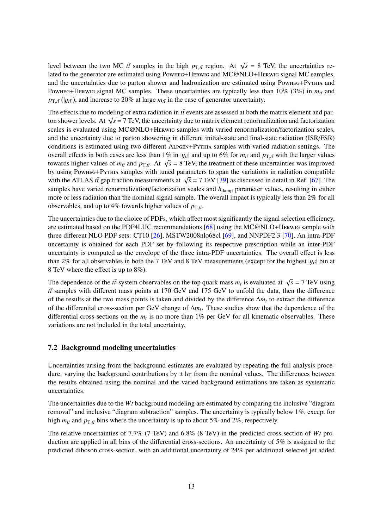level between the two MC *tt*<sup> $\tau$ </sup> samples in the high  $p_{\text{T},t\bar{t}}$  region. At  $\sqrt{s} = 8$  TeV, the uncertainties related to the generator are estimated using Powheg+Herwig and MC@NLO+Herwig signal MC samples, and the uncertainties due to parton shower and hadronization are estimated using Powheg+Pythia and Powheg+Herwig signal MC samples. These uncertainties are typically less than  $10\%$  (3%) in  $m_{t\bar{t}}$  and  $p_{\text{T},t\bar{t}}$  ( $|y_{t\bar{t}}|$ ), and increase to 20% at large  $m_{t\bar{t}}$  in the case of generator uncertainty.

The effects due to modeling of extra radiation in *tt*<sup> $\tau$ </sup> events are assessed at both the matrix element and par-The effects due to modeling of extra radiation in  $\mu$  events are assessed at both the matrix element and parton shower levels. At  $\sqrt{s}$  = 7 TeV, the uncertainty due to matrix element renormalization and factorization scales is evaluated using MC@NLO+Herwig samples with varied renormalization/factorization scales, and the uncertainty due to parton showering in different initial-state and final-state radiation (ISR/FSR) conditions is estimated using two different ALPGEN+PYTHIA samples with varied radiation settings. The overall effects in both cases are less than 1% in  $|y_{t\bar{t}}|$  and up to 6% for  $m_{t\bar{t}}$  and  $p_{T,t\bar{t}}$  with the larger values towards higher values of  $m_{t\bar{t}}$  and  $p_{\text{T},t\bar{t}}$ . At  $\sqrt{s} = 8$  TeV, the treatment of these uncertainties was improved<br>towards higher values of  $m_{t\bar{t}}$  and  $p_{\text{T},t\bar{t}}$ . At  $\sqrt{s} = 8$  TeV, the treatment of these by using Powheg+Pythia samples with tuned parameters to span the variations in radiation compatible  $\sigma$  with the ATLAS *tt*<sup> $\tau$ </sup> gap fraction measurements at  $\sqrt{s}$  = 7 TeV [\[39\]](#page-30-7) as discussed in detail in Ref. [\[67\]](#page-32-4). The samples have varied renormalization/factorization scales and  $h_{\text{damp}}$  parameter values, resulting in either more or less radiation than the nominal signal sample. The overall impact is typically less than 2% for all observables, and up to 4% towards higher values of  $p_{T,t\bar{t}}$ .

The uncertainties due to the choice of PDFs, which affect most significantly the signal selection efficiency, are estimated based on the PDF4LHC recommendations [\[68\]](#page-32-5) using the MC@NLO+Herwig sample with three different NLO PDF sets: CT10 [\[26\]](#page-29-9), MSTW2008nlo68cl [\[69\]](#page-32-6), and NNPDF2.3 [\[70\]](#page-32-7). An intra-PDF uncertainty is obtained for each PDF set by following its respective prescription while an inter-PDF uncertainty is computed as the envelope of the three intra-PDF uncertainties. The overall effect is less than 2% for all observables in both the 7 TeV and 8 TeV measurements (except for the highest  $|y_{t\bar{t}}|$  bin at 8 TeV where the effect is up to 8%).

The dependence of the *tt*-system observables on the top quark mass  $m_t$  is evaluated at  $\sqrt{s} = 7$  TeV using  $t\bar{t}$  samples with different mass points at 170 GeV and 175 GeV to unfold the data, then the difference of the results at the two mass points is taken and divided by the difference ∆*m<sup>t</sup>* to extract the difference of the differential cross-section per GeV change of ∆*m<sup>t</sup>* . These studies show that the dependence of the differential cross-sections on the  $m<sub>t</sub>$  is no more than 1% per GeV for all kinematic observables. These variations are not included in the total uncertainty.

#### <span id="page-12-0"></span>7.2 Background modeling uncertainties

Uncertainties arising from the background estimates are evaluated by repeating the full analysis procedure, varying the background contributions by  $\pm 1\sigma$  from the nominal values. The differences between the results obtained using the nominal and the varied background estimations are taken as systematic uncertainties.

The uncertainties due to the *Wt* background modeling are estimated by comparing the inclusive "diagram removal" and inclusive "diagram subtraction" samples. The uncertainty is typically below 1%, except for high  $m_{t\bar{t}}$  and  $p_{\text{T},t\bar{t}}$  bins where the uncertainty is up to about 5% and 2%, respectively.

The relative uncertainties of 7.7% (7 TeV) and 6.8% (8 TeV) in the predicted cross-section of *Wt* production are applied in all bins of the differential cross-sections. An uncertainty of  $5\%$  is assigned to the predicted diboson cross-section, with an additional uncertainty of 24% per additional selected jet added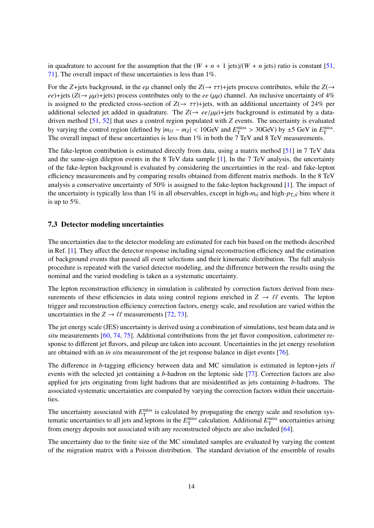in quadrature to account for the assumption that the  $(W + n + 1)$  jets)/ $(W + n)$  jets) ratio is constant [\[51,](#page-31-4) [71\]](#page-32-8). The overall impact of these uncertainties is less than 1%.

For the *Z*+jets background, in the *eµ* channel only the  $Z(\rightarrow \tau\tau)$ +jets process contributes, while the  $Z(\rightarrow \tau\tau)$  $ee$ )+jets ( $Z(\rightarrow \mu\mu)$ +jets) process contributes only to the *ee* ( $\mu\mu$ ) channel. An inclusive uncertainty of 4% is assigned to the predicted cross-section of  $Z(\rightarrow \tau\tau)$ +jets, with an additional uncertainty of 24% per additional selected jet added in quadrature. The  $Z(\rightarrow ee/\mu\mu)$ +jets background is estimated by a datadriven method [\[51,](#page-31-4) [52\]](#page-31-5) that uses a control region populated with *Z* events. The uncertainty is evaluated by varying the control region (defined by  $|m_{\ell\ell} - m_Z| < 10$ GeV and  $E_T^{\text{miss}} > 30$ GeV) by  $\pm 5$  GeV in  $E_T^{\text{miss}}$ .<br>The overall impact of these uncertainties is less than 1% in both the 7 TeV and 8 TeV measurements The overall impact of these uncertainties is less than 1% in both the 7 TeV and 8 TeV measurements.

The fake-lepton contribution is estimated directly from data, using a matrix method [\[51\]](#page-31-4) in 7 TeV data and the same-sign dilepton events in the 8 TeV data sample [\[1\]](#page-28-0). In the 7 TeV analysis, the uncertainty of the fake-lepton background is evaluated by considering the uncertainties in the real- and fake-lepton efficiency measurements and by comparing results obtained from different matrix methods. In the 8 TeV analysis a conservative uncertainty of 50% is assigned to the fake-lepton background [\[1\]](#page-28-0). The impact of the uncertainty is typically less than 1% in all observables, except in high- $m_t$ <sup>t</sup> and high- $p_{\text{T},t\bar{t}}$  bins where it is up to 5%.

#### <span id="page-13-0"></span>7.3 Detector modeling uncertainties

The uncertainties due to the detector modeling are estimated for each bin based on the methods described in Ref. [\[1\]](#page-28-0). They affect the detector response including signal reconstruction efficiency and the estimation of background events that passed all event selections and their kinematic distribution. The full analysis procedure is repeated with the varied detector modeling, and the difference between the results using the nominal and the varied modeling is taken as a systematic uncertainty.

The lepton reconstruction efficiency in simulation is calibrated by correction factors derived from measurements of these efficiencies in data using control regions enriched in  $Z \rightarrow \ell \ell$  events. The lepton trigger and reconstruction efficiency correction factors, energy scale, and resolution are varied within the uncertainties in the  $Z \rightarrow \ell \ell$  measurements [\[72,](#page-32-9) [73\]](#page-32-10).

The jet energy scale (JES) uncertainty is derived using a combination of simulations, test beam data and *in situ* measurements [\[60,](#page-31-13) [74,](#page-32-11) [75\]](#page-32-12). Additional contributions from the jet flavor composition, calorimeter response to different jet flavors, and pileup are taken into account. Uncertainties in the jet energy resolution are obtained with an *in situ* measurement of the jet response balance in dijet events [\[76\]](#page-32-13).

The difference in *b*-tagging efficiency between data and MC simulation is estimated in lepton+jets  $t\bar{t}$ events with the selected jet containing a *b*-hadron on the leptonic side [\[77\]](#page-32-14). Correction factors are also applied for jets originating from light hadrons that are misidentified as jets containing *b*-hadrons. The associated systematic uncertainties are computed by varying the correction factors within their uncertainties.

The uncertainty associated with  $E_T^{\text{miss}}$  is calculated by propagating the energy scale and resolution systematic uncertainties to all jets and leptons in the  $E_T^{\text{miss}}$  calculation. Additional  $E_T^{\text{miss}}$  uncertainties arising from energy deposits not associated with any reconstructed objects are also included [\[64\]](#page-32-1).

The uncertainty due to the finite size of the MC simulated samples are evaluated by varying the content of the migration matrix with a Poisson distribution. The standard deviation of the ensemble of results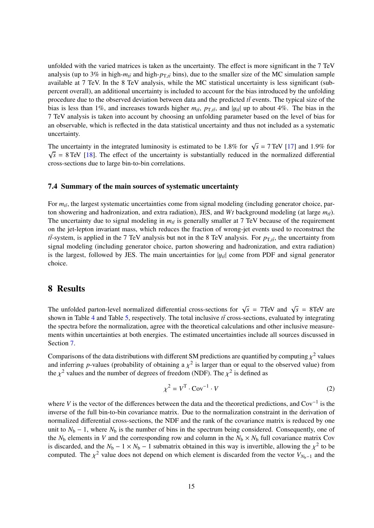unfolded with the varied matrices is taken as the uncertainty. The effect is more significant in the 7 TeV analysis (up to 3% in high- $m_{t\bar{t}}$  and high- $p_{\text{T},t\bar{t}}$  bins), due to the smaller size of the MC simulation sample available at 7 TeV. In the 8 TeV analysis, while the MC statistical uncertainty is less significant (subpercent overall), an additional uncertainty is included to account for the bias introduced by the unfolding procedure due to the observed deviation between data and the predicted  $t\bar{t}$  events. The typical size of the bias is less than 1%, and increases towards higher  $m_{t\bar{t}}$ ,  $p_{T,t\bar{t}}$ , and  $|y_{t\bar{t}}|$  up to about 4%. The bias in the 7 TeV analysis is taken into account by choosing an unfolding parameter based on the level of bias for an observable, which is reflected in the data statistical uncertainty and thus not included as a systematic uncertainty.

The uncertainty in the integrated luminosity is estimated to be 1.8% for  $\sqrt{s} = 7$  TeV [\[17\]](#page-29-2) and 1.9% for  $\sqrt{s}$  = 8 TeV [\[18\]](#page-29-3). The effect of the uncertainty is substantially reduced in the normalized differential cross-sections due to large bin-to-bin correlations.

#### <span id="page-14-0"></span>7.4 Summary of the main sources of systematic uncertainty

For  $m_{t\bar{t}}$ , the largest systematic uncertainties come from signal modeling (including generator choice, parton showering and hadronization, and extra radiation), JES, and *Wt* background modeling (at large  $m_f$ ). The uncertainty due to signal modeling in  $m<sub>t</sub>$  is generally smaller at 7 TeV because of the requirement on the jet-lepton invariant mass, which reduces the fraction of wrong-jet events used to reconstruct the *tt* $\bar{t}$ -system, is applied in the 7 TeV analysis but not in the 8 TeV analysis. For  $p_{\text{T},t\bar{t}}$ , the uncertainty from signal modeling (including generator choice, parton showering and hadronization, and extra radiation) is the largest, followed by JES. The main uncertainties for  $|y_{t\bar{t}}|$  come from PDF and signal generator choice.

#### <span id="page-14-1"></span>8 Results

The unfolded parton-level normalized differential cross-sections for  $\sqrt{s}$  = 7TeV and  $\sqrt{s}$  = 8TeV are shown in Table [4](#page-16-0) and Table [5,](#page-17-0) respectively. The total inclusive  $t\bar{t}$  cross-sections, evaluated by integrating the spectra before the normalization, agree with the theoretical calculations and other inclusive measurements within uncertainties at both energies. The estimated uncertainties include all sources discussed in Section [7.](#page-11-0)

Comparisons of the data distributions with different SM predictions are quantified by computing  $\chi^2$  values<br>and inferring a values (probability of obtaining a  $\chi^2$  is larger than or equal to the observed value) from and inferring *p*-values (probability of obtaining a  $\chi^2$  is larger than or equal to the observed value) from the  $\chi^2$  values and the number of degrees of freedom (NDF). The  $\chi^2$  is defined as the  $\chi^2$  values and the number of degrees of freedom (NDF). The  $\chi^2$  is defined as

$$
\chi^2 = V^{\mathrm{T}} \cdot \mathrm{Cov}^{-1} \cdot V \tag{2}
$$

where *V* is the vector of the differences between the data and the theoretical predictions, and  $Cov^{-1}$  is the inverse of the full bin-to-bin covariance matrix. Due to the normalization constraint in the derivation of normalized differential cross-sections, the NDF and the rank of the covariance matrix is reduced by one unit to  $N_b - 1$ , where  $N_b$  is the number of bins in the spectrum being considered. Consequently, one of the  $N_b$  elements in *V* and the corresponding row and column in the  $N_b \times N_b$  full covariance matrix Cov is discarded, and the  $N_b - 1 \times N_b - 1$  submatrix obtained in this way is invertible, allowing the  $\chi^2$  to be computed. The  $\chi^2$  value does not depend on which element is discarded from the vector  $V_{\text{tot}}$ , and the computed. The  $\chi^2$  value does not depend on which element is discarded from the vector  $V_{N_b-1}$  and the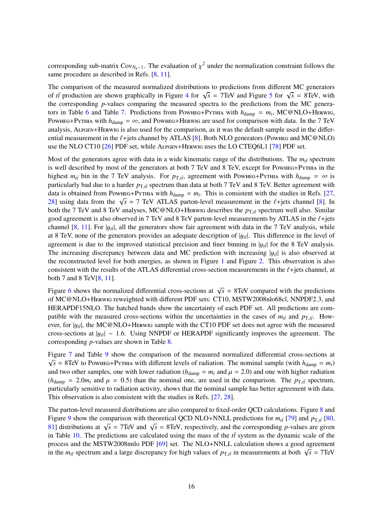corresponding sub-matrix  $Cov_{N_b-1}$ . The evaluation of  $\chi^2$  under the normalization constraint follows the same procedure as described in Refs. [8, 11] same procedure as described in Refs. [\[8,](#page-28-6) [11\]](#page-28-4).

The comparison of the measured normalized distributions to predictions from different MC generators of *tt* production are shown graphically in Figure [4](#page-18-0) for  $\sqrt{s}$  = 7TeV and Figure [5](#page-19-0) for  $\sqrt{s}$  = 8TeV, with the corresponding *p*-values comparing the measured spectra to the predictions from the MC genera-tors in Table [6](#page-24-0) and Table [7.](#page-24-1) Predictions from Powheg+PyTHIA with  $h_{\text{damp}} = m_t$ , MC@NLO+Herwig, Powheg+Pythia with  $h_{\text{damp}} = \infty$ , and Powheg+Herwig are used for comparison with data. In the 7 TeV analysis, Alpgen+Herwig is also used for the comparison, as it was the default sample used in the differential measurement in the  $\ell$ +jets channel by ATLAS [\[8\]](#page-28-6). Both NLO generators (Powheg and MC@NLO) use the NLO CT10 [\[26\]](#page-29-9) PDF set, while Alpgen+Herwig uses the LO CTEQ6L1 [\[78\]](#page-32-15) PDF set.

Most of the generators agree with data in a wide kinematic range of the distributions. The  $m_{t\bar{t}}$  spectrum is well described by most of the generators at both 7 TeV and 8 TeV, except for Powheg+Pythia in the highest  $m_{t\bar{t}}$  bin in the 7 TeV analysis. For  $p_{T,t\bar{t}}$ , agreement with Powheg+PyTHIA with  $h_{\text{damp}} = \infty$  is particularly bad due to a harder  $p_{T,t\bar{t}}$  spectrum than data at both 7 TeV and 8 TeV. Better agreement with data is obtained from Powheg+Pythia with  $h_{\text{damp}} = m_t$ . This is consistent with the studies in Refs. [\[27,](#page-29-10) ada is obtained from Fown<br>[28\]](#page-29-11) using data from the  $\sqrt{ }$  $\overline{s}$  = 7 TeV ATLAS parton-level measurement in the  $\ell$ +jets channel [\[8\]](#page-28-6). In<br>analyses, MC@NI O+Hrawic describes the re-spectrum well also. Similar both the 7 TeV and 8 TeV analyses, MC@NLO+Herwig describes the  $p_{T,t\bar{t}}$  spectrum well also. Similar good agreement is also observed in 7 TeV and 8 TeV parton-level measurements by ATLAS in the  $\ell$ +jets channel [\[8,](#page-28-6) [11\]](#page-28-4). For  $|y_{t\bar{t}}|$ , all the generators show fair agreement with data in the 7 TeV analysis, while at 8 TeV, none of the generators provides an adequate description of  $|y_{t\bar{t}}|$ . This difference in the level of agreement is due to the improved statistical precision and finer binning in  $|y_{t\bar{t}}|$  for the 8 TeV analysis. The increasing discrepancy between data and MC prediction with increasing  $|y_{t\bar{t}}|$  is also observed at the reconstructed level for both energies, as shown in Figure [1](#page-9-0) and Figure [2.](#page-10-0) This observation is also consistent with the results of the ATLAS differential cross-section measurements in the  $\ell$ +jets channel, at both 7 and 8 TeV[\[8,](#page-28-6) [11\]](#page-28-4).

Figure [6](#page-20-0) shows the normalized differential cross-sections at  $\sqrt{s}$  = 8TeV compared with the predictions of MC@NLO+Herwig reweighted with different PDF sets: CT10, MSTW2008nlo68cl, NNPDF2.3, and HERAPDF15NLO. The hatched bands show the uncertainty of each PDF set. All predictions are compatible with the measured cross-sections within the uncertainties in the cases of  $m_{t\bar{t}}$  and  $p_{\text{T},t\bar{t}}$ . However, for  $|y_{t\bar{t}}|$ , the MC@NLO+Herwig sample with the CT10 PDF set does not agree with the measured cross-sections at  $|y_{t\bar{t}}| \sim 1.6$ . Using NNPDF or HERAPDF significantly improves the agreement. The corresponding *p*-values are shown in Table [8.](#page-24-2)

Figure [7](#page-21-0) and Table [9](#page-25-0) show the comparison of the measured normalized differential cross-sections at ∠  $\sqrt{s}$  = 8TeV to Powheg+Pythia with different levels of radiation. The nominal sample (with  $h_{\text{damp}} = m_t$ ) and two other samples, one with lower radiation ( $h_{\text{damp}} = m_t$  and  $\mu = 2.0$ ) and one with higher radiation  $(h_{\text{damp}} = 2.0m_t$  and  $\mu = 0.5)$  than the nominal one, are used in the comparison. The  $p_{T,t\bar{t}}$  spectrum, particularly sensitive to radiation activity, shows that the nominal sample has better agreement with data. This observation is also consistent with the studies in Refs. [\[27,](#page-29-10) [28\]](#page-29-11).

The parton-level measured distributions are also compared to fixed-order QCD calculations. Figure [8](#page-22-0) and Figure [9](#page-22-1) show the comparison with theoretical QCD NLO+NNLL predictions for  $m_{t\bar{t}}$  [\[79\]](#page-33-0) and  $p_{T,t\bar{t}}$  [\[80,](#page-33-1) Figure 9 show the comparison with theoretical QCD NLO+INNLL predictions for  $m_{t\bar{t}}$  [19] and  $p_{T,t\bar{t}}$  [60, [81\]](#page-33-2) distributions at  $\sqrt{s}$  = 7TeV and  $\sqrt{s}$  = 8TeV, respectively, and the corresponding *p*-values are giv in Table [10.](#page-25-1) The predictions are calculated using the mass of the  $t\bar{t}$  system as the dynamic scale of the process and the MSTW2008nnlo PDF [\[69\]](#page-32-6) set. The NLO+NNLL calculation shows a good agreement process and the *M*<sub>*s*</sub> in w 2006 and *PDF* [09] set. The NLO+NNLL calculation shows a good agreement in the  $m_{t\bar{t}}$  spectrum and a large discrepancy for high values of  $p_{T,t\bar{t}}$  in measurements at both  $\sqrt{s} = 7$  Te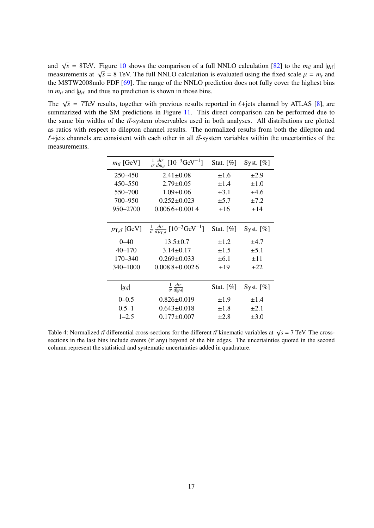and  $\sqrt{s}$  = 8TeV. Figure [10](#page-23-0) shows the comparison of a full NNLO calculation [\[82\]](#page-33-3) to the  $m_{t\bar{t}}$  and  $|y_{t\bar{t}}|$  measurements at  $\sqrt{s}$  = 8 TeV. The full NNLO calculation is evaluated using the fixed scale  $u = m$  and  $\frac{1}{2}$  measurements at  $\sqrt{ }$  $\overline{s}$  = 8 TeV. The full NNLO calculation is evaluated using the fixed scale  $\mu = m_t$  and  $\overline{s}$  PDE [60]. The range of the NNLO prediction does not fully cover the highest bins the MSTW2008nnlo PDF [\[69\]](#page-32-6). The range of the NNLO prediction does not fully cover the highest bins in  $m_{t\bar{t}}$  and  $|y_{t\bar{t}}|$  and thus no prediction is shown in those bins.

<span id="page-16-0"></span>The  $\sqrt{ }$  $\overline{s}$  = 7TeV results, together with previous results reported in  $\ell$ +jets channel by ATLAS [\[8\]](#page-28-6), are rized with the SM predictions in Figure 11. This direct comparison can be performed due to summarized with the SM predictions in Figure [11.](#page-26-1) This direct comparison can be performed due to the same bin widths of the *tt*¯-system observables used in both analyses. All distributions are plotted as ratios with respect to dilepton channel results. The normalized results from both the dilepton and  $\ell$ +jets channels are consistent with each other in all  $\ell\bar{\tau}$ -system variables within the uncertainties of the measurements.

| $m_{t\bar{t}}$ [GeV]            | $\frac{1}{\sigma} \frac{d\sigma}{dm_{\scriptscriptstyle{H}}}$ [10 <sup>-3</sup> GeV <sup>-1</sup> ] | Stat. $[\%]$ | Syst. $[\%]$ |
|---------------------------------|-----------------------------------------------------------------------------------------------------|--------------|--------------|
| 250–450                         | $2.41 \pm 0.08$                                                                                     | $\pm 1.6$    | $\pm 2.9$    |
| 450 - 550                       | $2.79 \pm 0.05$                                                                                     | $\pm 1.4$    | $\pm 1.0$    |
| 550-700                         | $1.09 \pm 0.06$                                                                                     | $\pm 3.1$    | $\pm 4.6$    |
| 700-950                         | $0.252 \pm 0.023$                                                                                   | $\pm$ 5.7    | $\pm 7.2$    |
| 950-2700                        | $0.0066 \pm 0.0014$                                                                                 | $\pm 16$     | ±14          |
|                                 |                                                                                                     |              |              |
| $p_{\mathrm{T},t\bar{t}}$ [GeV] | $\frac{1}{\sigma} \frac{d\sigma}{dp_{T,i}}$ [10 <sup>-3</sup> GeV <sup>-1</sup> ]                   | Stat. $[\%]$ | Syst. $[\%]$ |
| $0 - 40$                        | $13.5 \pm 0.7$                                                                                      | $\pm 1.2$    | $\pm 4.7$    |
| $40 - 170$                      | $3.14 \pm 0.17$                                                                                     | $\pm 1.5$    | $\pm 5.1$    |
| 170–340                         | $0.269 \pm 0.033$                                                                                   | $\pm 6.1$    | $\pm$ 11     |
| 340-1000                        | $0.0088 \pm 0.0026$                                                                                 | $\pm 19$     | $\pm 22$     |
|                                 |                                                                                                     |              |              |
| $ y_{t\bar{t}} $                | $rac{1}{\sigma} \frac{d\sigma}{d u_{\vec{r}} }$                                                     | Stat. $[\%]$ | Syst. $[\%]$ |
| $0 - 0.5$                       | $0.826 \pm 0.019$                                                                                   | $\pm 1.9$    | $\pm 1.4$    |
| $0.5 - 1$                       | $0.643 \pm 0.018$                                                                                   | $\pm 1.8$    | $\pm 2.1$    |
| $1 - 2.5$                       | $0.177 \pm 0.007$                                                                                   | $\pm 2.8$    | $\pm 3.0$    |

Table 4: Normalized *tt* differential cross-sections for the different *tt* kinematic variables at  $\sqrt{s} = 7$  TeV. The crosssections in the last bins include events (if any) beyond of the bin edges. The uncertainties quoted in the second column represent the statistical and systematic uncertainties added in quadrature.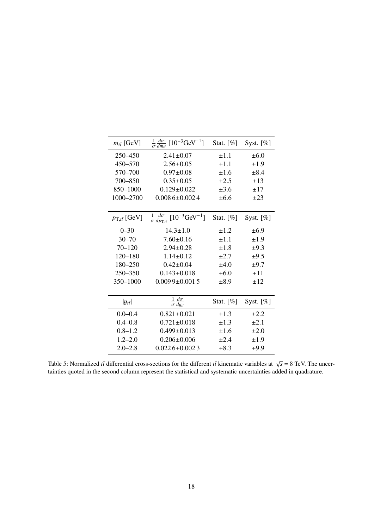<span id="page-17-0"></span>

| $m_{t\bar{t}}$ [GeV]            | $\frac{1}{\sigma} \frac{d\sigma}{dm_{\tau}}$ [10 <sup>-3</sup> GeV <sup>-1</sup> ]              | Stat. $[\%]$ | Syst. $[\%]$ |
|---------------------------------|-------------------------------------------------------------------------------------------------|--------------|--------------|
| 250–450                         | $2.41 \pm 0.07$                                                                                 | $\pm 1.1$    | $\pm 6.0$    |
| 450-570                         | $2.56 \pm 0.05$                                                                                 | $\pm 1.1$    | $\pm 1.9$    |
| 570-700                         | $0.97 \pm 0.08$                                                                                 | $\pm 1.6$    | $\pm 8.4$    |
| 700-850                         | $0.35 \pm 0.05$                                                                                 | $\pm 2.5$    | ±13          |
| 850-1000                        | $0.129 \pm 0.022$                                                                               | $\pm 3.6$    | $\pm 17$     |
| 1000-2700                       | $0.0086 \pm 0.0024$                                                                             | $\pm 6.6$    | $\pm 23$     |
|                                 |                                                                                                 |              |              |
| $p_{\mathrm{T},t\bar{t}}$ [GeV] | $\frac{1}{\sigma} \frac{d\sigma}{dp_{\text{T},i\bar{i}}}$ [10 <sup>-3</sup> GeV <sup>-1</sup> ] | Stat. $[\%]$ | Syst. $[\%]$ |
| $0 - 30$                        | $14.3 \pm 1.0$                                                                                  | $\pm 1.2$    | $\pm 6.9$    |
| $30 - 70$                       | $7.60 \pm 0.16$                                                                                 | $\pm 1.1$    | $\pm 1.9$    |
| $70 - 120$                      | $2.94 \pm 0.28$                                                                                 | $\pm 1.8$    | $\pm 9.3$    |
| $120 - 180$                     | $1.14 \pm 0.12$                                                                                 | $\pm 2.7$    | $\pm 9.5$    |
| 180-250                         | $0.42 \pm 0.04$                                                                                 | $\pm 4.0$    | $\pm 9.7$    |
| 250-350                         | $0.143 \pm 0.018$                                                                               | $\pm 6.0$    | $\pm 11$     |
| 350-1000                        | $0.0099 \pm 0.0015$                                                                             | $\pm 8.9$    | ±12          |
|                                 |                                                                                                 |              |              |
| $ y_{t\bar{t}} $                | $rac{1}{\sigma} \frac{d\sigma}{dy_{\bar{H}}}$                                                   | Stat. $[\%]$ | Syst. [%]    |
| $0.0 - 0.4$                     | $0.821 \pm 0.021$                                                                               | $\pm 1.3$    | $\pm 2.2$    |
| $0.4 - 0.8$                     | $0.721 \pm 0.018$                                                                               | $\pm 1.3$    | $\pm 2.1$    |
| $0.8 - 1.2$                     | $0.499 \pm 0.013$                                                                               | $\pm 1.6$    | $\pm 2.0$    |
| $1.2 - 2.0$                     | $0.206 \pm 0.006$                                                                               | $\pm 2.4$    | $\pm 1.9$    |
| $2.0 - 2.8$                     | $0.0226 \pm 0.0023$                                                                             | $\pm 8.3$    | ±9.9         |

Table 5: Normalized *tt* differential cross-sections for the different *tt* kinematic variables at  $\sqrt{s} = 8$  TeV. The uncertainties quoted in the second column represent the statistical and systematic uncertainties added in quadrature.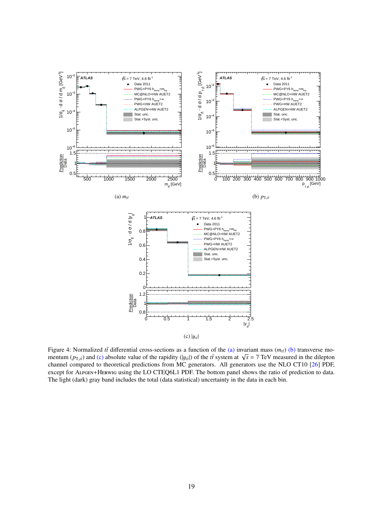<span id="page-18-2"></span><span id="page-18-1"></span><span id="page-18-0"></span>

<span id="page-18-3"></span>Figure 4: Normalized *tt* differential cross-sections as a function of the [\(a\)](#page-18-1) invariant mass  $(m<sub>t</sub>)$  [\(b\)](#page-18-2) transverse momentum ( $p_{T,t\bar{t}}$ ) and [\(c\)](#page-18-3) absolute value of the rapidity ( $|y_{t\bar{t}}|$ ) of the *t* $\bar{t}$  system at  $\sqrt{s} = 7$  TeV measured in the dilepton channel compared to theoretical predictions from MC generators. All generators channel compared to theoretical predictions from MC generators. All generators use the NLO CT10 [\[26\]](#page-29-9) PDF, except for Alpgen+Herwig using the LO CTEQ6L1 PDF. The bottom panel shows the ratio of prediction to data. The light (dark) gray band includes the total (data statistical) uncertainty in the data in each bin.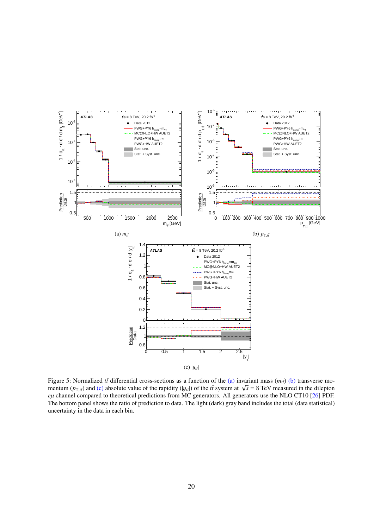<span id="page-19-2"></span><span id="page-19-1"></span><span id="page-19-0"></span>

<span id="page-19-3"></span>Figure 5: Normalized *tt* differential cross-sections as a function of the [\(a\)](#page-19-1) invariant mass  $(m<sub>t<sub>t</sub></sub>)$  [\(b\)](#page-19-2) transverse momentum ( $p_{T,t\bar{t}}$ ) and [\(c\)](#page-19-3) absolute value of the rapidity ( $|y_{t\bar{t}}|$ ) of the *t* $\bar{t}$  system at  $\sqrt{s} = 8$  TeV measured in the dilepton mentum ( $p_{T,t\bar{t}}$ ) and (c) absolute value of the rapidity ( $|y_{t\bar{t}}|$ ) of t *e*µ channel compared to theoretical predictions from MC generators. All generators use the NLO CT10 [\[26\]](#page-29-9) PDF. The bottom panel shows the ratio of prediction to data. The light (dark) gray band includes the total (data statistical) uncertainty in the data in each bin.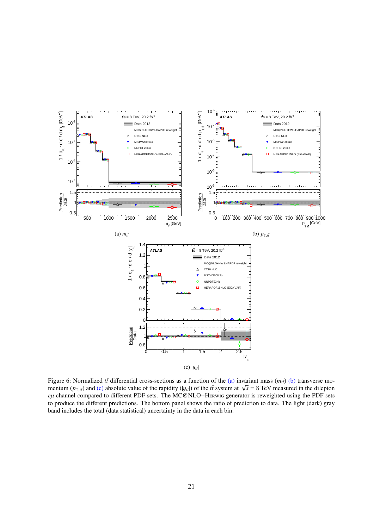<span id="page-20-2"></span><span id="page-20-1"></span><span id="page-20-0"></span>

<span id="page-20-3"></span>Figure 6: Normalized *tt* differential cross-sections as a function of the [\(a\)](#page-20-1) invariant mass  $(m_{\tilde{t}})$  [\(b\)](#page-20-2) transverse momentum ( $p_{T,t\bar{t}}$ ) and [\(c\)](#page-20-3) absolute value of the rapidity ( $|y_{t\bar{t}}|$ ) of the *t* $\bar{t}$  system at  $\sqrt{s} = 8$  TeV measured in the dilepton equipmentum ( $p_{T,t\bar{t}}$ ) and (c) absolute value of the rapidity ( $|y_{t\bar{t}}|$ ) *<sup>e</sup>*µ channel compared to different PDF sets. The MC@NLO+Herwig generator is reweighted using the PDF sets to produce the different predictions. The bottom panel shows the ratio of prediction to data. The light (dark) gray band includes the total (data statistical) uncertainty in the data in each bin.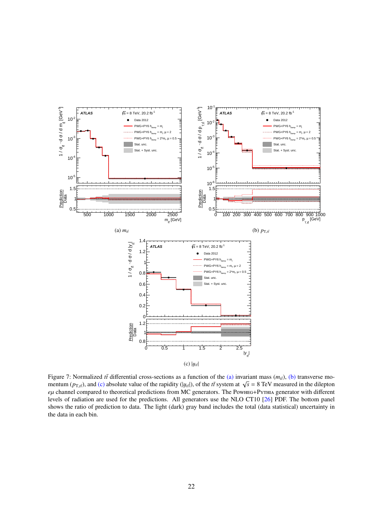<span id="page-21-2"></span><span id="page-21-1"></span><span id="page-21-0"></span>

<span id="page-21-3"></span>Figure 7: Normalized *tt* differential cross-sections as a function of the [\(a\)](#page-21-1) invariant mass  $(m_{t}t)$ , [\(b\)](#page-21-2) transverse momentum ( $p_{T,t\bar{t}}$ ), and [\(c\)](#page-21-3) absolute value of the rapidity ( $|y_{t\bar{t}}|$ ), of the *tt*<sup> $\bar{t}$ </sup> system at  $\sqrt{s} = 8$  TeV measured in the dilepton equation ( $p_{T,t\bar{t}}$ ), and (c) absolute value of the rapidity ( $|y_{t\bar{t}}$ *<sup>e</sup>*µ channel compared to theoretical predictions from MC generators. The Powheg+Pythia generator with different levels of radiation are used for the predictions. All generators use the NLO CT10 [\[26\]](#page-29-9) PDF. The bottom panel shows the ratio of prediction to data. The light (dark) gray band includes the total (data statistical) uncertainty in the data in each bin.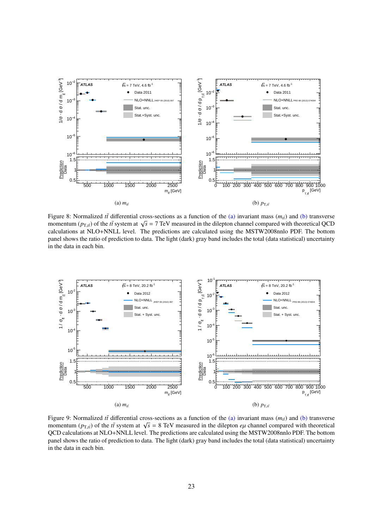<span id="page-22-2"></span><span id="page-22-0"></span>

<span id="page-22-3"></span>Figure 8: Normalized *tt* differential cross-sections as a function of the [\(a\)](#page-22-2) invariant mass  $(m<sub>t</sub>)$  and [\(b\)](#page-22-3) transverse momentum ( $p_{T,t\bar{t}}$ ) of the *tt*<sup> $\bar{t}$ </sup> system at  $\sqrt{s} = 7$  TeV measured in the dilepton channel compared with theoretical QCD ealsylations at MLO (MML) layed. The prodictions are calculated wine the MSTW2009rals PDE calculations at NLO+NNLL level. The predictions are calculated using the MSTW2008nnlo PDF. The bottom panel shows the ratio of prediction to data. The light (dark) gray band includes the total (data statistical) uncertainty in the data in each bin.

<span id="page-22-4"></span><span id="page-22-1"></span>

<span id="page-22-5"></span>Figure 9: Normalized *tt* differential cross-sections as a function of the [\(a\)](#page-22-4) invariant mass  $(m_t)$  and [\(b\)](#page-22-5) transverse momentum ( $p_{T,t\bar{t}}$ ) of the *tt*<sup> $\bar{t}$ </sup> system at √ $\bar{s}$  = 8 TeV measured in the dilepton *eµ* channel compared with theoretical momentum ( $p_{T,t\bar{t}}$ ) of the *tt*<sup> $\bar{t}$ </sup> system at √ $\bar{s}$  = 8 TeV measured in the d QCD calculations at NLO+NNLL level. The predictions are calculated using the MSTW2008nnlo PDF. The bottom panel shows the ratio of prediction to data. The light (dark) gray band includes the total (data statistical) uncertainty in the data in each bin.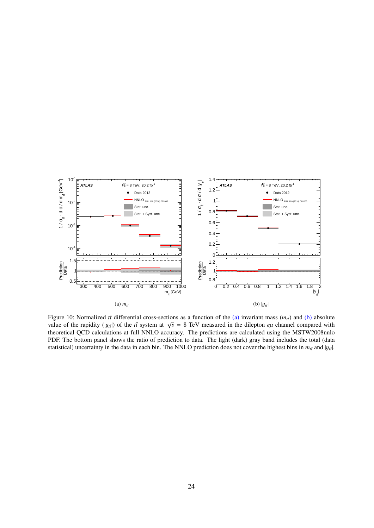<span id="page-23-1"></span><span id="page-23-0"></span>

<span id="page-23-2"></span>Figure 10: Normalized *tt* differential cross-sections as a function of the [\(a\)](#page-23-1) invariant mass  $(m_{t\bar{t}})$  and [\(b\)](#page-23-2) absolute value of the rapidity ( $|y_{t\bar{t}}|$ ) of the *tt* system at  $\sqrt{s} = 8$  TeV measured in the dilepton *eµ* channel compared with value of the rapidity ( $|y_{t\bar{t}}|$ ) of the *tt* system at  $\sqrt{s} = 8$  TeV measured in the dilepto theoretical QCD calculations at full NNLO accuracy. The predictions are calculated using the MSTW2008nnlo PDF. The bottom panel shows the ratio of prediction to data. The light (dark) gray band includes the total (data statistical) uncertainty in the data in each bin. The NNLO prediction does not cover the highest bins in  $m_{t\bar{t}}$  and  $|y_{t\bar{t}}|$ .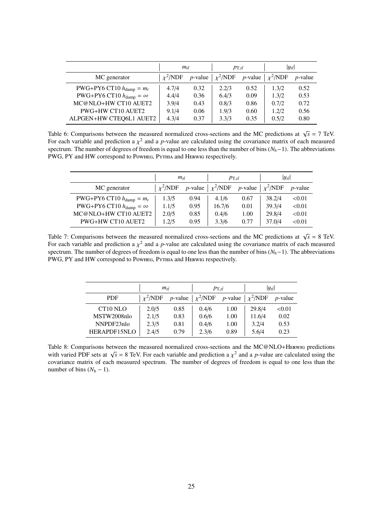<span id="page-24-0"></span>

|                                         | $m_{t\bar{t}}$ |            | $p_{\mathrm{T}.t\bar{t}}$ |            | $ y_{t\bar{t}} $ |            |
|-----------------------------------------|----------------|------------|---------------------------|------------|------------------|------------|
| MC generator                            | $\chi^2/NDF$   | $p$ -value | $\chi^2/NDF$              | $p$ -value | $\chi^2/NDF$     | $p$ -value |
| $PWG+PY6$ CT10 $h_{\text{damp}} = m_t$  | 4.7/4          | 0.32       | 2.2/3                     | 0.52       | 1.3/2            | 0.52       |
| PWG+PY6 CT10 $h_{\text{damp}} = \infty$ | 4.4/4          | 0.36       | 6.4/3                     | 0.09       | 1.3/2            | 0.53       |
| MC@NLO+HW CT10 AUET2                    | 3.9/4          | 0.43       | 0.8/3                     | 0.86       | 0.7/2            | 0.72       |
| <b>PWG+HW CT10 AUET2</b>                | 9.1/4          | 0.06       | 1.9/3                     | 0.60       | 1.2/2            | 0.56       |
| ALPGEN+HW CTEQ6L1 AUET2                 | 4.3/4          | 0.37       | 3.3/3                     | 0.35       | 0.5/2            | 0.80       |

Table 6: Comparisons between the measured normalized cross-sections and the MC predictions at  $\sqrt{s} = 7$  TeV. For each variable and prediction a  $\chi^2$  and a *p*-value are calculated using the covariance matrix of each measured<br>spectrum. The number of degrees of freedom is equal to one less than the number of hips  $(N-1)$ . The abb spectrum. The number of degrees of freedom is equal to one less than the number of bins (*N*<sub>b</sub>−1). The abbreviations PWG, PY and HW correspond to Powheg, PYTHIA and Herwig respectively.

<span id="page-24-1"></span>

|                                         | $m_{t\bar{t}}$ |      | $p_{\mathrm{T},t\bar{t}}$    |      | $ y_{t\bar{t}} $             |            |
|-----------------------------------------|----------------|------|------------------------------|------|------------------------------|------------|
| MC generator                            | $\chi^2/NDF$   |      | <i>p</i> -value $\chi^2/NDF$ |      | <i>p</i> -value $\chi^2/NDF$ | $p$ -value |
| $PWG+PY6$ CT10 $h_{\text{damp}} = m_t$  | 1.3/5          | 0.94 | 4.1/6                        | 0.67 | 38.2/4                       | < 0.01     |
| PWG+PY6 CT10 $h_{\text{damp}} = \infty$ | 1.1/5          | 0.95 | 16.7/6                       | 0.01 | 39.3/4                       | < 0.01     |
| MC@NLO+HW CT10 AUET2                    | 2.0/5          | 0.85 | 0.4/6                        | 1.00 | 29.8/4                       | < 0.01     |
| <b>PWG+HW CT10 AUET2</b>                | 1.2/5          | 0.95 | 3.3/6                        | 0.77 | 37.0/4                       | <0.01      |

Table 7: Comparisons between the measured normalized cross-sections and the MC predictions at  $\sqrt{s} = 8$  TeV. For each variable and prediction a  $\chi^2$  and a *p*-value are calculated using the covariance matrix of each measured<br>spectrum. The number of degrees of freedom is equal to one less than the number of hips  $(N-1)$ . The abb spectrum. The number of degrees of freedom is equal to one less than the number of bins (*N*<sub>b</sub>−1). The abbreviations PWG, PY and HW correspond to Powheg, PYTHIA and Herwig respectively.

<span id="page-24-2"></span>

|                      | $m_{t\bar{t}}$ |      | $p_{\mathrm{T},t\bar{t}}$    |            | $ y_{t\bar{t}} $ |            |
|----------------------|----------------|------|------------------------------|------------|------------------|------------|
| <b>PDF</b>           | $\chi^2/NDF$   |      | <i>p</i> -value $\chi^2/NDF$ | $p$ -value | $\chi^2/NDF$     | $p$ -value |
| CT <sub>10</sub> NLO | 2.0/5          | 0.85 | 0.4/6                        | 1.00       | 29.8/4           | < 0.01     |
| MSTW2008nlo          | 2.1/5          | 0.83 | 0.6/6                        | 1.00       | 11.6/4           | 0.02       |
| NNPDF23nlo           | 2.3/5          | 0.81 | 0.4/6                        | 1.00       | 3.2/4            | 0.53       |
| HERAPDF15NLO         | 2.4/5          | 0.79 | 2.3/6                        | 0.89       | 5.6/4            | 0.23       |

Table 8: Comparisons between the measured normalized cross-sections and the MC@NLO+Herwig predictions rable of comparisons between the measured normalized cross-sections and the MC@NLO+HERWIG predictions<br>with varied PDF sets at  $\sqrt{s} = 8$  TeV. For each variable and prediction a  $\chi^2$  and a *p*-value are calculated using t covariance matrix of each measured spectrum. The number of degrees of freedom is equal to one less than the number of bins  $(N_b - 1)$ .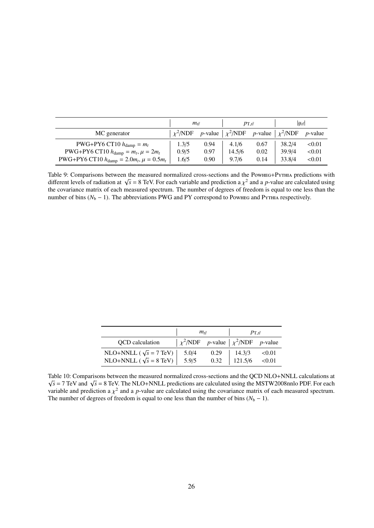<span id="page-25-0"></span>

|                                                          | $m_{t\bar{t}}$ |      | $p_{\mathrm{T}.t\bar{t}}$                                 |      | $ y_{t\bar{t}} $ |            |
|----------------------------------------------------------|----------------|------|-----------------------------------------------------------|------|------------------|------------|
| MC generator                                             | $\chi^2/NDF$   |      | <i>p</i> -value $\chi^2/NDF$ <i>p</i> -value $\chi^2/NDF$ |      |                  | $p$ -value |
| $PWG+PY6$ CT10 $h_{\text{damp}} = m_t$                   | 1.3/5          | 0.94 | 4.1/6                                                     | 0.67 | 38.2/4           | < 0.01     |
| PWG+PY6 CT10 $h_{\text{damp}} = m_t$ , $\mu = 2m_t$      | 0.9/5          | 0.97 | 14.5/6                                                    | 0.02 | 39.9/4           | < 0.01     |
| PWG+PY6 CT10 $h_{\text{damp}} = 2.0m_t$ , $\mu = 0.5m_t$ | 1.6/5          | 0.90 | 9.7/6                                                     | 0.14 | 33.8/4           | < 0.01     |

Table 9: Comparisons between the measured normalized cross-sections and the Powheg+PyTHIA predictions with The provident levels of radiation at  $\sqrt{s} = 8$  TeV. For each variable and prediction a  $\chi^2$  and a *p*-value are calculated using the covariance matrix of each measured spectrum. The number of degrees of freedom is equal the covariance matrix of each measured spectrum. The number of degrees of freedom is equal to one less than the number of bins (*N*<sub>b</sub> − 1). The abbreviations PWG and PY correspond to Powнес and PYTHIA respectively.

|                                | $m_{t\bar{t}}$                                            |      | $p_{\mathrm{T}.t\bar{t}}$ |        |  |
|--------------------------------|-----------------------------------------------------------|------|---------------------------|--------|--|
| <b>OCD</b> calculation         | $\chi^2/NDF$ <i>p</i> -value $\chi^2/NDF$ <i>p</i> -value |      |                           |        |  |
| NLO+NNLL ( $\sqrt{s}$ = 7 TeV) | 5.0/4                                                     | 0.29 |                           | < 0.01 |  |
| NLO+NNLL ( $\sqrt{s}$ = 8 TeV) | 5.9/5                                                     | 0.32 | $14.3/3$<br>$121.5/6$     | < 0.01 |  |

<span id="page-25-1"></span>Table 10: Comparisons between the measured normalized cross-sections and the QCD NLO+NNLL calculations at sole To. Comparisons between the measured normanzed cross-sections and the QCD NLO+NNLL calculations at  $\sqrt{s} = 7$  TeV and  $\sqrt{s} = 8$  TeV. The NLO+NNLL predictions are calculated using the MSTW2008nnlo PDF. For each variable and prediction a  $\chi^2$  and a *p*-value are calculated using the covariance matrix of each measured spectrum.<br>The number of degrees of freedom is equal to one less than the number of bins  $(N_1 - 1)$ The number of degrees of freedom is equal to one less than the number of bins  $(N_b - 1)$ .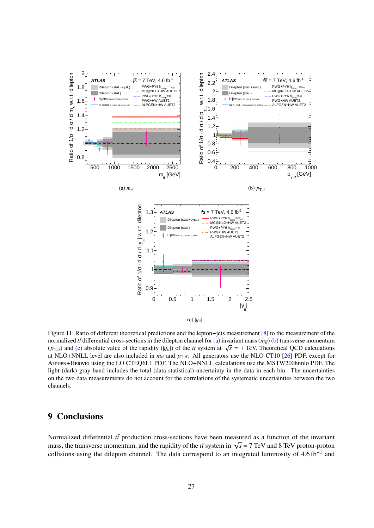<span id="page-26-3"></span><span id="page-26-2"></span><span id="page-26-1"></span>

<span id="page-26-4"></span>Figure 11: Ratio of different theoretical predictions and the lepton+jets measurement [\[8\]](#page-28-6) to the measurement of the normalized *tt* differential cross-sections in the dilepton channel for [\(a\)](#page-26-2) invariant mass  $(m<sub>t<sub>i</sub></sub>)$  [\(b\)](#page-26-3) transverse momentum formalized *tr* differential cross-sections in the difference radius ( $\eta_{\bar{t}}$ ) ( $\eta_{\bar{t}}$ ) ( $\eta_{\bar{t}}$ ) and [\(c\)](#page-26-4) absolute value of the rapidity ( $|y_{\bar{t}}|$ ) of the *t* $\bar{t}$  system at  $\sqrt{s} = 7$  TeV. Theoretical QCD c at NLO+NNLL level are also included in  $m_{t\bar{t}}$  and  $p_{T,t\bar{t}}$ . All generators use the NLO CT10 [\[26\]](#page-29-9) PDF, except for Alpgen+Herwig using the LO CTEQ6L1 PDF. The NLO+NNLL calculations use the MSTW2008nnlo PDF. The light (dark) gray band includes the total (data statistical) uncertainty in the data in each bin. The uncertainties on the two data measurements do not account for the correlations of the systematic uncertainties between the two channels.

# <span id="page-26-0"></span>9 Conclusions

Normalized differential *tt*<sup> $\bar{t}$ </sup> production cross-sections have been measured as a function of the invariant mass, the transverse momentum, and the rapidity of the *tt*<sup> $t$ </sup> system in  $\sqrt{s}$  = 7 TeV and 8 TeV proton-proton mass, the transverse momentum, and the rapidity of the *tt*<sup> $t$ </sup> system in  $\sqrt{s}$  = 7 TeV and 8 TeV protoncollisions using the dilepton channel. The data correspond to an integrated luminosity of  $4.6 \text{ fb}^{-1}$  and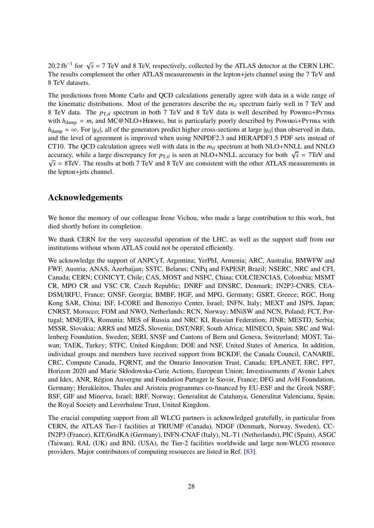20.2 fb<sup>-1</sup> for  $\sqrt{s}$  = 7 TeV and 8 TeV, respectively, collected by the ATLAS detector at the CERN LHC. The results complement the other ATLAS measurements in the lepton+jets channel using the 7 TeV and 8 TeV datasets.

The predictions from Monte Carlo and QCD calculations generally agree with data in a wide range of the kinematic distributions. Most of the generators describe the  $m<sub>t\bar{t}</sub>$  spectrum fairly well in 7 TeV and 8 TeV data. The  $p_{T,t\bar{t}}$  spectrum in both 7 TeV and 8 TeV data is well described by Powheg+PyTHIA with  $h_{\text{damp}} = m_t$  and MC@NLO+Herwig, but is particularly poorly described by Powheg+PyTHIA with  $h_{\text{damp}} = \infty$ . For  $|y_{t\bar{t}}|$ , all of the generators predict higher cross-sections at large  $|y_{t\bar{t}}|$  than observed in data, and the level of agreement is improved when using NNPDF2.3 and HERAPDF1.5 PDF sets instead of CT10. The QCD calculation agrees well with data in the  $m_{t\bar{t}}$  spectrum at both NLO+NNLL and NNLO accuracy, while a large discrepancy for  $p_{T,t\bar{t}}$  is seen at NLO+NNLL accuracy for both  $\sqrt{s} = 7$ TeV and  $\sqrt{s} = 8$ TeV. The results of both  $\sqrt{s} = 7$ TeV and  $\sqrt{s} = 8$ TeV. The results of both  $\sqrt{s} = 7$ TeV and  $\sqrt{s} = 8$  Te  $\sqrt{s}$  = 8TeV. The results at both 7 TeV and 8 TeV are consistent with the other ATLAS measurements in the lepton+jets channel.

### Acknowledgements

We honor the memory of our colleague Irene Vichou, who made a large contribution to this work, but died shortly before its completion.

We thank CERN for the very successful operation of the LHC, as well as the support staff from our institutions without whom ATLAS could not be operated efficiently.

We acknowledge the support of ANPCyT, Argentina; YerPhI, Armenia; ARC, Australia; BMWFW and FWF, Austria; ANAS, Azerbaijan; SSTC, Belarus; CNPq and FAPESP, Brazil; NSERC, NRC and CFI, Canada; CERN; CONICYT, Chile; CAS, MOST and NSFC, China; COLCIENCIAS, Colombia; MSMT CR, MPO CR and VSC CR, Czech Republic; DNRF and DNSRC, Denmark; IN2P3-CNRS, CEA-DSM/IRFU, France; GNSF, Georgia; BMBF, HGF, and MPG, Germany; GSRT, Greece; RGC, Hong Kong SAR, China; ISF, I-CORE and Benoziyo Center, Israel; INFN, Italy; MEXT and JSPS, Japan; CNRST, Morocco; FOM and NWO, Netherlands; RCN, Norway; MNiSW and NCN, Poland; FCT, Portugal; MNE/IFA, Romania; MES of Russia and NRC KI, Russian Federation; JINR; MESTD, Serbia; MSSR, Slovakia; ARRS and MIZŠ, Slovenia; DST/NRF, South Africa; MINECO, Spain; SRC and Wallenberg Foundation, Sweden; SERI, SNSF and Cantons of Bern and Geneva, Switzerland; MOST, Taiwan; TAEK, Turkey; STFC, United Kingdom; DOE and NSF, United States of America. In addition, individual groups and members have received support from BCKDF, the Canada Council, CANARIE, CRC, Compute Canada, FQRNT, and the Ontario Innovation Trust, Canada; EPLANET, ERC, FP7, Horizon 2020 and Marie Skłodowska-Curie Actions, European Union; Investissements d'Avenir Labex and Idex, ANR, Région Auvergne and Fondation Partager le Savoir, France; DFG and AvH Foundation, Germany; Herakleitos, Thales and Aristeia programmes co-financed by EU-ESF and the Greek NSRF; BSF, GIF and Minerva, Israel; BRF, Norway; Generalitat de Catalunya, Generalitat Valenciana, Spain; the Royal Society and Leverhulme Trust, United Kingdom.

The crucial computing support from all WLCG partners is acknowledged gratefully, in particular from CERN, the ATLAS Tier-1 facilities at TRIUMF (Canada), NDGF (Denmark, Norway, Sweden), CC-IN2P3 (France), KIT/GridKA (Germany), INFN-CNAF (Italy), NL-T1 (Netherlands), PIC (Spain), ASGC (Taiwan), RAL (UK) and BNL (USA), the Tier-2 facilities worldwide and large non-WLCG resource providers. Major contributors of computing resources are listed in Ref. [\[83\]](#page-33-4).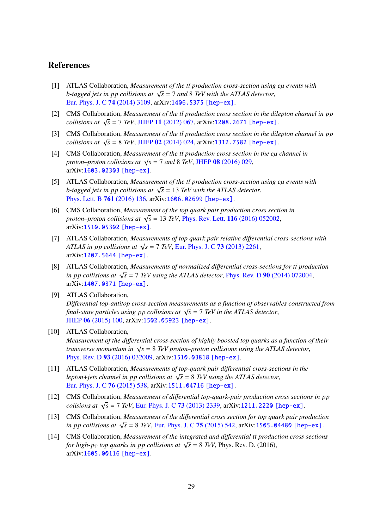### References

- <span id="page-28-0"></span>[1] ATLAS Collaboration, *Measurement of the tt production cross-section using eµ events with b-tagged jets in pp collisions at* <sup>√</sup> *s* = 7 *and* 8 *TeV with the ATLAS detector*, [Eur. Phys. J. C](http://dx.doi.org/10.1140/epjc/s10052-014-3109-7) 74 (2014) 3109, arXiv:[1406.5375 \[hep-ex\]](http://arxiv.org/abs/1406.5375).
- [2] CMS Collaboration, *Measurement of the tt* production cross section in the dilepton channel in pp *collisions at*  $\sqrt{s}$  = 7 *TeV*, JHEP 11 [\(2012\) 067,](http://dx.doi.org/10.1007/JHEP11(2012)067) arXiv:[1208.2671 \[hep-ex\]](http://arxiv.org/abs/1208.2671).
- [3] CMS Collaboration, *Measurement of the tt* production cross section in the dilepton channel in pp *collisions at*  $\sqrt{s}$  = 8 *TeV*, JHEP 02 [\(2014\) 024,](http://dx.doi.org/10.1007/JHEP02(2014)024) arXiv:[1312.7582 \[hep-ex\]](http://arxiv.org/abs/1312.7582).
- <span id="page-28-2"></span>[4] CMS Collaboration, *Measurement of the tt̄ production cross section in the eµ channel in proton–proton collisions at* <sup>√</sup> *s* = 7 *and* 8 *TeV*, JHEP 08 [\(2016\) 029,](http://dx.doi.org/10.1007/JHEP08(2016)029) arXiv:[1603.02303 \[hep-ex\]](http://arxiv.org/abs/1603.02303).
- [5] ATLAS Collaboration, *Measurement of the tte production cross-section using eu events with b-tagged jets in pp collisions at* <sup>√</sup> *s* = 13 *TeV with the ATLAS detector*, [Phys. Lett. B](http://dx.doi.org/10.1016/j.physletb.2016.08.019) 761 (2016) 136, arXiv:[1606.02699 \[hep-ex\]](http://arxiv.org/abs/1606.02699).
- <span id="page-28-1"></span>[6] CMS Collaboration, *Measurement of the top quark pair production cross section in proton–proton collisions at* <sup>√</sup> *s* = 13 *TeV*, [Phys. Rev. Lett.](http://dx.doi.org/10.1103/PhysRevLett.116.052002) 116 (2016) 052002, arXiv:[1510.05302 \[hep-ex\]](http://arxiv.org/abs/1510.05302).
- <span id="page-28-3"></span>[7] ATLAS Collaboration, *Measurements of top quark pair relative di*ff*erential cross-sections with ATLAS Conaboration, measurements by top quark pair retailve afflere.*<br>*ATLAS in pp collisions at*  $\sqrt{s} = 7$  *TeV, [Eur. Phys. J. C](http://dx.doi.org/10.1140/epjc/s10052-012-2261-1)* **73** (2013) 2261, arXiv:[1207.5644 \[hep-ex\]](http://arxiv.org/abs/1207.5644).
- <span id="page-28-6"></span>[8] ATLAS Collaboration, *Measurements of normalized di*ff*erential cross-sections for tt production* ¯ *in pp collisions at* <sup>√</sup> *s* = 7 *TeV using the ATLAS detector*, Phys. Rev. D 90 [\(2014\) 072004,](http://dx.doi.org/10.1103/PhysRevD.90.072004) arXiv:[1407.0371 \[hep-ex\]](http://arxiv.org/abs/1407.0371).
- [9] ATLAS Collaboration, *Di*ff*erential top-antitop cross-section measurements as a function of observables constructed from final-state particles using pp collisions at* <sup>√</sup> *s* = 7 *TeV in the ATLAS detector*, JHEP 06 [\(2015\) 100,](http://dx.doi.org/10.1007/JHEP06(2015)100) arXiv:[1502.05923 \[hep-ex\]](http://arxiv.org/abs/1502.05923).
- [10] ATLAS Collaboration, *Measurement of the di*ff*erential cross-section of highly boosted top quarks as a function of their transverse momentum in* <sup>√</sup> *s* = 8 *TeV proton–proton collisions using the ATLAS detector*, Phys. Rev. D 93 [\(2016\) 032009,](http://dx.doi.org/10.1103/PhysRevD.93.032009) arXiv:[1510.03818 \[hep-ex\]](http://arxiv.org/abs/1510.03818).
- <span id="page-28-4"></span>[11] ATLAS Collaboration, *Measurements of top-quark pair di*ff*erential cross-sections in the lepton*+*jets channel in pp collisions at* <sup>√</sup> *s* = 8 *TeV using the ATLAS detector*, [Eur. Phys. J. C](http://dx.doi.org/10.1140/epjc/s10052-016-4366-4) 76 (2015) 538, arXiv:[1511.04716 \[hep-ex\]](http://arxiv.org/abs/1511.04716).
- <span id="page-28-5"></span>[12] CMS Collaboration, *Measurement of di*ff*erential top-quark-pair production cross sections in pp colisions at* <sup>√</sup> *s* = 7 *TeV*, [Eur. Phys. J. C](http://dx.doi.org/10.1140/epjc/s10052-013-2339-4) 73 (2013) 2339, arXiv:[1211.2220 \[hep-ex\]](http://arxiv.org/abs/1211.2220).
- [13] CMS Collaboration, *Measurement of the di*ff*erential cross section for top quark pair production in pp collisions at*  $\sqrt{s} = 8$  *TeV*, [Eur. Phys. J. C](http://dx.doi.org/10.1140/epjc/s10052-015-3709-x) 75 (2015) 542, arXiv:[1505.04480 \[hep-ex\]](http://arxiv.org/abs/1505.04480).
- [14] CMS Collaboration, *Measurement of the integrated and di*ff*erential tt production cross sections* ¯ *for high-p<sub>T</sub> top quarks in pp collisions at*  $\sqrt{s} = 8$  *TeV*, Phys. Rev. D. (2016), arXiv:[1605.00116 \[hep-ex\]](http://arxiv.org/abs/1605.00116).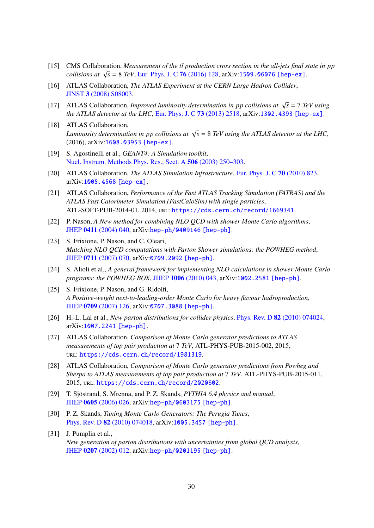- <span id="page-29-0"></span>[15] CMS Collaboration, *Measurement of the tte production cross section in the all-jets final state in pp collisions at*  $\sqrt{s}$  = 8 *TeV*, [Eur. Phys. J. C](http://dx.doi.org/10.1140/epjc/s10052-016-3956-5) **76** (2016) 128, arXiv:[1509.06076 \[hep-ex\]](http://arxiv.org/abs/1509.06076).
- <span id="page-29-1"></span>[16] ATLAS Collaboration, *The ATLAS Experiment at the CERN Large Hadron Collider*, JINST 3 [\(2008\) S08003.](http://dx.doi.org/10.1088/1748-0221/3/08/S08003)
- <span id="page-29-2"></span>[17] ATLAS Collaboration, *Improved luminosity determination in pp collisions at*  $\sqrt{s} = 7$  *TeV using the ATLAS detector at the LHC*, [Eur. Phys. J. C](http://dx.doi.org/10.1140/epjc/s10052-013-2518-3) 73 (2013) 2518, arXiv:[1302.4393 \[hep-ex\]](http://arxiv.org/abs/1302.4393).
- <span id="page-29-3"></span>[18] ATLAS Collaboration, *Luminosity determination in pp collisions at* <sup>√</sup> *s* = 8 *TeV using the ATLAS detector at the LHC*, (2016), arXiv:[1608.03953 \[hep-ex\]](http://arxiv.org/abs/1608.03953).
- <span id="page-29-4"></span>[19] S. Agostinelli et al., *GEANT4: A Simulation toolkit*, [Nucl. Instrum. Methods Phys. Res., Sect. A](http://dx.doi.org/10.1016/S0168-9002(03)01368-8) 506 (2003) 250–303.
- <span id="page-29-5"></span>[20] ATLAS Collaboration, *The ATLAS Simulation Infrastructure*, [Eur. Phys. J. C](http://dx.doi.org/10.1140/epjc/s10052-010-1429-9) 70 (2010) 823, arXiv:[1005.4568 \[hep-ex\]](http://arxiv.org/abs/1005.4568).
- <span id="page-29-6"></span>[21] ATLAS Collaboration, *Performance of the Fast ATLAS Tracking Simulation (FATRAS) and the ATLAS Fast Calorimeter Simulation (FastCaloSim) with single particles*, ATL-SOFT-PUB-2014-01, 2014, url: <https://cds.cern.ch/record/1669341>.
- <span id="page-29-7"></span>[22] P. Nason, *A New method for combining NLO QCD with shower Monte Carlo algorithms*, JHEP 0411 [\(2004\) 040,](http://dx.doi.org/10.1088/1126-6708/2004/11/040) arXiv:[hep-ph/0409146 \[hep-ph\]](http://arxiv.org/abs/hep-ph/0409146).
- [23] S. Frixione, P. Nason, and C. Oleari, *Matching NLO QCD computations with Parton Shower simulations: the POWHEG method*, JHEP 0711 [\(2007\) 070,](http://dx.doi.org/10.1088/1126-6708/2007/11/070) arXiv:[0709.2092 \[hep-ph\]](http://arxiv.org/abs/0709.2092).
- [24] S. Alioli et al., *A general framework for implementing NLO calculations in shower Monte Carlo programs: the POWHEG BOX*, JHEP 1006 [\(2010\) 043,](http://dx.doi.org/10.1007/JHEP06(2010)043) arXiv:[1002.2581 \[hep-ph\]](http://arxiv.org/abs/1002.2581).
- <span id="page-29-8"></span>[25] S. Frixione, P. Nason, and G. Ridolfi, *A Positive-weight next-to-leading-order Monte Carlo for heavy flavour hadroproduction*, JHEP 0709 [\(2007\) 126,](http://dx.doi.org/10.1088/1126-6708/2007/09/126) arXiv:[0707.3088 \[hep-ph\]](http://arxiv.org/abs/0707.3088).
- <span id="page-29-9"></span>[26] H.-L. Lai et al., *New parton distributions for collider physics*, Phys. Rev. D 82 [\(2010\) 074024,](http://dx.doi.org/10.1103/PhysRevD.82.074024) arXiv:[1007.2241 \[hep-ph\]](http://arxiv.org/abs/1007.2241).
- <span id="page-29-10"></span>[27] ATLAS Collaboration, *Comparison of Monte Carlo generator predictions to ATLAS measurements of top pair production at* 7 *TeV*, ATL-PHYS-PUB-2015-002, 2015, url: <https://cds.cern.ch/record/1981319>.
- <span id="page-29-11"></span>[28] ATLAS Collaboration, *Comparison of Monte Carlo generator predictions from Powheg and Sherpa to ATLAS measurements of top pair production at* 7 *TeV*, ATL-PHYS-PUB-2015-011, 2015, url: <https://cds.cern.ch/record/2020602>.
- <span id="page-29-12"></span>[29] T. Sjöstrand, S. Mrenna, and P. Z. Skands, *PYTHIA 6.4 physics and manual*, JHEP 0605 [\(2006\) 026,](http://dx.doi.org/10.1088/1126-6708/2006/05/026) arXiv:[hep-ph/0603175 \[hep-ph\]](http://arxiv.org/abs/hep-ph/0603175).
- <span id="page-29-13"></span>[30] P. Z. Skands, *Tuning Monte Carlo Generators: The Perugia Tunes*, Phys. Rev. D 82 [\(2010\) 074018,](http://dx.doi.org/10.1103/PhysRevD.82.074018) arXiv:[1005.3457 \[hep-ph\]](http://arxiv.org/abs/1005.3457).
- <span id="page-29-14"></span>[31] J. Pumplin et al., *New generation of parton distributions with uncertainties from global QCD analysis*, JHEP 0207 [\(2002\) 012,](http://dx.doi.org/10.1088/1126-6708/2002/07/012) arXiv:[hep-ph/0201195 \[hep-ph\]](http://arxiv.org/abs/hep-ph/0201195).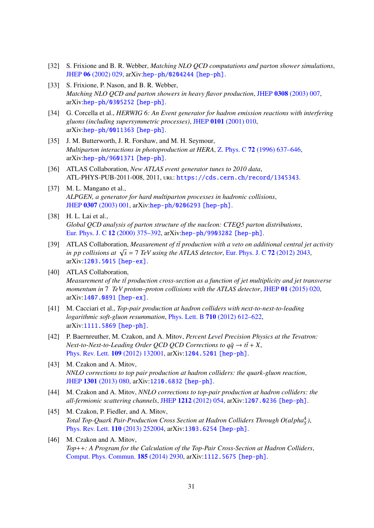- <span id="page-30-0"></span>[32] S. Frixione and B. R. Webber, *Matching NLO QCD computations and parton shower simulations*, JHEP 06 [\(2002\) 029,](http://dx.doi.org/10.1088/1126-6708/2002/06/029) arXiv:[hep-ph/0204244 \[hep-ph\]](http://arxiv.org/abs/hep-ph/0204244).
- <span id="page-30-1"></span>[33] S. Frixione, P. Nason, and B. R. Webber, *Matching NLO QCD and parton showers in heavy flavor production*, JHEP 0308 [\(2003\) 007,](http://dx.doi.org/10.1088/1126-6708/2003/08/007) arXiv:[hep-ph/0305252 \[hep-ph\]](http://arxiv.org/abs/hep-ph/0305252).
- <span id="page-30-2"></span>[34] G. Corcella et al., *HERWIG 6: An Event generator for hadron emission reactions with interfering gluons (including supersymmetric processes)*, JHEP 0101 [\(2001\) 010,](http://dx.doi.org/10.1088/1126-6708/2001/01/010) arXiv:[hep-ph/0011363 \[hep-ph\]](http://arxiv.org/abs/hep-ph/0011363).
- <span id="page-30-3"></span>[35] J. M. Butterworth, J. R. Forshaw, and M. H. Seymour, *Multiparton interactions in photoproduction at HERA*, Z. Phys. C 72 [\(1996\) 637–646,](http://dx.doi.org/10.1007/s002880050286) arXiv:[hep-ph/9601371 \[hep-ph\]](http://arxiv.org/abs/hep-ph/9601371).
- <span id="page-30-4"></span>[36] ATLAS Collaboration, *New ATLAS event generator tunes to 2010 data*, ATL-PHYS-PUB-2011-008, 2011, url: <https://cds.cern.ch/record/1345343>.
- <span id="page-30-5"></span>[37] M. L. Mangano et al., *ALPGEN, a generator for hard multiparton processes in hadronic collisions*, JHEP 0307 [\(2003\) 001,](http://dx.doi.org/10.1088/1126-6708/2003/07/001) arXiv:[hep-ph/0206293 \[hep-ph\]](http://arxiv.org/abs/hep-ph/0206293).
- <span id="page-30-6"></span>[38] H. L. Lai et al., *Global QCD analysis of parton structure of the nucleon: CTEQ5 parton distributions*, Eur. Phys. J. C 12 [\(2000\) 375–392,](http://dx.doi.org/10.1007/s100529900196) arXiv:[hep-ph/9903282 \[hep-ph\]](http://arxiv.org/abs/hep-ph/9903282).
- <span id="page-30-7"></span>[39] ATLAS Collaboration, *Measurement of tt production with a veto on additional central jet activity* ¯ *in pp collisions at* <sup>√</sup> *s* = 7 *TeV using the ATLAS detector*, [Eur. Phys. J. C](http://dx.doi.org/10.1140/epjc/s10052-012-2043-9) 72 (2012) 2043, arXiv:[1203.5015 \[hep-ex\]](http://arxiv.org/abs/1203.5015).
- <span id="page-30-8"></span>[40] ATLAS Collaboration, *Measurement of the tt* production cross-section as a function of jet multiplicity and jet transverse *momentum in* 7 *TeV proton–proton collisions with the ATLAS detector*, JHEP 01 [\(2015\) 020,](http://dx.doi.org/10.1007/JHEP01(2015)020) arXiv:[1407.0891 \[hep-ex\]](http://arxiv.org/abs/1407.0891).
- <span id="page-30-9"></span>[41] M. Cacciari et al., *Top-pair production at hadron colliders with next-to-next-to-leading logarithmic soft-gluon resummation*, Phys. Lett. B 710 [\(2012\) 612–622,](http://dx.doi.org/10.1016/j.physletb.2012.03.013) arXiv:[1111.5869 \[hep-ph\]](http://arxiv.org/abs/1111.5869).
- [42] P. Baernreuther, M. Czakon, and A. Mitov, *Percent Level Precision Physics at the Tevatron: Next-to-Next-to-Leading Order QCD QCD Corrections to*  $q\bar{q} \rightarrow t\bar{t} + X$ *,* [Phys. Rev. Lett.](http://dx.doi.org/10.1103/PhysRevLett.109.132001) 109 (2012) 132001, arXiv:[1204.5201 \[hep-ph\]](http://arxiv.org/abs/1204.5201).
- [43] M. Czakon and A. Mitov, *NNLO corrections to top pair production at hadron colliders: the quark-gluon reaction*, JHEP 1301 [\(2013\) 080,](http://dx.doi.org/10.1007/JHEP01(2013)080) arXiv:[1210.6832 \[hep-ph\]](http://arxiv.org/abs/1210.6832).
- [44] M. Czakon and A. Mitov, *NNLO corrections to top-pair production at hadron colliders: the all-fermionic scattering channels*, JHEP 1212 [\(2012\) 054,](http://dx.doi.org/10.1007/JHEP12(2012)054) arXiv:[1207.0236 \[hep-ph\]](http://arxiv.org/abs/1207.0236).
- [45] M. Czakon, P. Fiedler, and A. Mitov, *Total Top-Quark Pair-Production Cross Section at Hadron Colliders Through O(alpha*<sup>4</sup> *S )*, [Phys. Rev. Lett.](http://dx.doi.org/10.1103/PhysRevLett.110.252004) 110 (2013) 252004, arXiv:[1303.6254 \[hep-ph\]](http://arxiv.org/abs/1303.6254).
- <span id="page-30-10"></span>[46] M. Czakon and A. Mitov, *Top*++*: A Program for the Calculation of the Top-Pair Cross-Section at Hadron Colliders*, [Comput. Phys. Commun.](http://dx.doi.org/10.1016/j.cpc.2014.06.021) 185 (2014) 2930, arXiv:[1112.5675 \[hep-ph\]](http://arxiv.org/abs/1112.5675).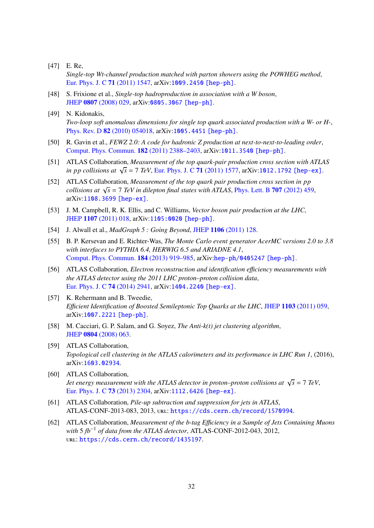- <span id="page-31-0"></span>[47] E. Re, *Single-top Wt-channel production matched with parton showers using the POWHEG method*, [Eur. Phys. J. C](http://dx.doi.org/10.1140/epjc/s10052-011-1547-z) 71 (2011) 1547, arXiv:[1009.2450 \[hep-ph\]](http://arxiv.org/abs/1009.2450).
- <span id="page-31-1"></span>[48] S. Frixione et al., *Single-top hadroproduction in association with a W boson*, JHEP 0807 [\(2008\) 029,](http://dx.doi.org/10.1088/1126-6708/2008/07/029) arXiv:[0805.3067 \[hep-ph\]](http://arxiv.org/abs/0805.3067).
- <span id="page-31-2"></span>[49] N. Kidonakis, *Two-loop soft anomalous dimensions for single top quark associated production with a W- or H-*, Phys. Rev. D 82 [\(2010\) 054018,](http://dx.doi.org/10.1103/PhysRevD.82.054018) arXiv:[1005.4451 \[hep-ph\]](http://arxiv.org/abs/1005.4451).
- <span id="page-31-3"></span>[50] R. Gavin et al., *FEWZ 2.0: A code for hadronic Z production at next-to-next-to-leading order*, [Comput. Phys. Commun.](http://dx.doi.org/10.1016/j.cpc.2011.06.008) 182 (2011) 2388–2403, arXiv:[1011.3540 \[hep-ph\]](http://arxiv.org/abs/1011.3540).
- <span id="page-31-4"></span>[51] ATLAS Collaboration, *Measurement of the top quark-pair production cross section with ATLAS in pp collisions at* <sup>√</sup> *s* = 7 *TeV*, [Eur. Phys. J. C](http://dx.doi.org/10.1140/epjc/s10052-011-1577-6) 71 (2011) 1577, arXiv:[1012.1792 \[hep-ex\]](http://arxiv.org/abs/1012.1792).
- <span id="page-31-5"></span>[52] ATLAS Collaboration, *Measurement of the top quark pair production cross section in pp collisions at* <sup>√</sup> *s* = 7 *TeV in dilepton final states with ATLAS*, [Phys. Lett. B](http://dx.doi.org/10.1016/j.physletb.2011.12.055) 707 (2012) 459, arXiv:[1108.3699 \[hep-ex\]](http://arxiv.org/abs/1108.3699).
- <span id="page-31-6"></span>[53] J. M. Campbell, R. K. Ellis, and C. Williams, *Vector boson pair production at the LHC*, JHEP 1107 [\(2011\) 018,](http://dx.doi.org/10.1007/JHEP07(2011)018) arXiv:[1105:0020 \[hep-ph\]](http://arxiv.org/abs/1105:0020).
- <span id="page-31-7"></span>[54] J. Alwall et al., *MadGraph 5 : Going Beyond*, JHEP 1106 [\(2011\) 128.](http://dx.doi.org/10.1007/JHEP06(2011)128)
- <span id="page-31-8"></span>[55] B. P. Kersevan and E. Richter-Was, *The Monte Carlo event generator AcerMC versions 2.0 to 3.8 with interfaces to PYTHIA 6.4, HERWIG 6.5 and ARIADNE 4.1*, [Comput. Phys. Commun.](http://dx.doi.org/10.1016/j.cpc.2012.10.032) 184 (2013) 919–985, arXiv:[hep-ph/0405247 \[hep-ph\]](http://arxiv.org/abs/hep-ph/0405247).
- <span id="page-31-9"></span>[56] ATLAS Collaboration, *Electron reconstruction and identification e*ffi*ciency measurements with the ATLAS detector using the 2011 LHC proton–proton collision data*, [Eur. Phys. J. C](http://dx.doi.org/10.1140/epjc/s10052-014-2941-0) 74 (2014) 2941, arXiv:[1404.2240 \[hep-ex\]](http://arxiv.org/abs/1404.2240).
- <span id="page-31-10"></span>[57] K. Rehermann and B. Tweedie, *E*ffi*cient Identification of Boosted Semileptonic Top Quarks at the LHC*, JHEP 1103 [\(2011\) 059,](http://dx.doi.org/10.1007/JHEP03(2011)059) arXiv:[1007.2221 \[hep-ph\]](http://arxiv.org/abs/1007.2221).
- <span id="page-31-11"></span>[58] M. Cacciari, G. P. Salam, and G. Soyez, *The Anti-k(t) jet clustering algorithm*, JHEP 0804 [\(2008\) 063.](http://dx.doi.org/10.1088/1126-6708/2008/04/063)
- <span id="page-31-12"></span>[59] ATLAS Collaboration, *Topological cell clustering in the ATLAS calorimeters and its performance in LHC Run 1*, (2016), arXiv:[1603.02934](http://arxiv.org/abs/1603.02934).
- <span id="page-31-13"></span>[60] ATLAS Collaboration, *Jet energy measurement with the ATLAS detector in proton–proton collisions at* <sup>√</sup> *s* = 7 *TeV*, [Eur. Phys. J. C](http://dx.doi.org/10.1140/epjc/s10052-013-2304-2) 73 (2013) 2304, arXiv:[1112.6426 \[hep-ex\]](http://arxiv.org/abs/1112.6426).
- <span id="page-31-14"></span>[61] ATLAS Collaboration, *Pile-up subtraction and suppression for jets in ATLAS*, ATLAS-CONF-2013-083, 2013, url: <https://cds.cern.ch/record/1570994>.
- <span id="page-31-15"></span>[62] ATLAS Collaboration, *Measurement of the b-tag E*ffi*ciency in a Sample of Jets Containing Muons with* 5 *fb*−<sup>1</sup> *of data from the ATLAS detector*, ATLAS-CONF-2012-043, 2012, url: <https://cds.cern.ch/record/1435197>.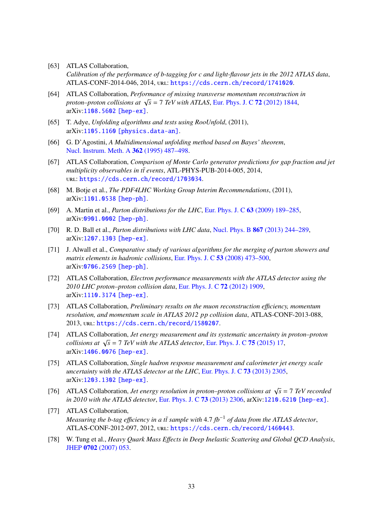- <span id="page-32-0"></span>[63] ATLAS Collaboration, *Calibration of the performance of b-tagging for c and light-flavour jets in the 2012 ATLAS data*, ATLAS-CONF-2014-046, 2014, url: <https://cds.cern.ch/record/1741020>.
- <span id="page-32-1"></span>[64] ATLAS Collaboration, *Performance of missing transverse momentum reconstruction in proton–proton collisions at* <sup>√</sup> *s* = 7 *TeV with ATLAS*, [Eur. Phys. J. C](http://dx.doi.org/10.1140/epjc/s10052-011-1844-6) 72 (2012) 1844, arXiv:[1108.5602 \[hep-ex\]](http://arxiv.org/abs/1108.5602).
- <span id="page-32-2"></span>[65] T. Adye, *Unfolding algorithms and tests using RooUnfold*, (2011), arXiv:[1105.1160 \[physics.data-an\]](http://arxiv.org/abs/1105.1160).
- <span id="page-32-3"></span>[66] G. D'Agostini, *A Multidimensional unfolding method based on Bayes' theorem*, [Nucl. Instrum. Meth. A](http://dx.doi.org/10.1016/0168-9002(95)00274-X) 362 (1995) 487–498.
- <span id="page-32-4"></span>[67] ATLAS Collaboration, *Comparison of Monte Carlo generator predictions for gap fraction and jet multiplicity observables in tt events, ATL-PHYS-PUB-2014-005, 2014,* url: <https://cds.cern.ch/record/1703034>.
- <span id="page-32-5"></span>[68] M. Botje et al., *The PDF4LHC Working Group Interim Recommendations*, (2011), arXiv:[1101.0538 \[hep-ph\]](http://arxiv.org/abs/1101.0538).
- <span id="page-32-6"></span>[69] A. Martin et al., *Parton distributions for the LHC*, Eur. Phys. J. C 63 [\(2009\) 189–285,](http://dx.doi.org/10.1140/epjc/s10052-009-1072-5) arXiv:[0901.0002 \[hep-ph\]](http://arxiv.org/abs/0901.0002).
- <span id="page-32-7"></span>[70] R. D. Ball et al., *Parton distributions with LHC data*, Nucl. Phys. B 867 [\(2013\) 244–289,](http://dx.doi.org/10.1016/j.nuclphysb.2012.10.003) arXiv:[1207.1303 \[hep-ex\]](http://arxiv.org/abs/1207.1303).
- <span id="page-32-8"></span>[71] J. Alwall et al., *Comparative study of various algorithms for the merging of parton showers and matrix elements in hadronic collisions*, Eur. Phys. J. C 53 [\(2008\) 473–500,](http://dx.doi.org/10.1140/epjc/s10052-007-0490-5) arXiv:[0706.2569 \[hep-ph\]](http://arxiv.org/abs/0706.2569).
- <span id="page-32-9"></span>[72] ATLAS Collaboration, *Electron performance measurements with the ATLAS detector using the 2010 LHC proton–proton collision data*, [Eur. Phys. J. C](http://dx.doi.org/10.1140/epjc/s10052-012-1909-1) 72 (2012) 1909, arXiv:[1110.3174 \[hep-ex\]](http://arxiv.org/abs/1110.3174).
- <span id="page-32-10"></span>[73] ATLAS Collaboration, *Preliminary results on the muon reconstruction e*ffi*ciency, momentum resolution, and momentum scale in ATLAS 2012 pp collision data*, ATLAS-CONF-2013-088, 2013, url: <https://cds.cern.ch/record/1580207>.
- <span id="page-32-11"></span>[74] ATLAS Collaboration, *Jet energy measurement and its systematic uncertainty in proton–proton collisions at* <sup>√</sup> *s* = 7 *TeV with the ATLAS detector*, [Eur. Phys. J. C](http://dx.doi.org/10.1140/epjc/s10052-014-3190-y) 75 (2015) 17, arXiv:[1406.0076 \[hep-ex\]](http://arxiv.org/abs/1406.0076).
- <span id="page-32-12"></span>[75] ATLAS Collaboration, *Single hadron response measurement and calorimeter jet energy scale uncertainty with the ATLAS detector at the LHC*, [Eur. Phys. J. C](http://dx.doi.org/10.1140/epjc/s10052-013-2305-1) 73 (2013) 2305, arXiv:[1203.1302 \[hep-ex\]](http://arxiv.org/abs/1203.1302).
- <span id="page-32-13"></span>[76] ATLAS Collaboration, *Jet energy resolution in proton–proton collisions at* <sup>√</sup> *s* = 7 *TeV recorded in 2010 with the ATLAS detector*, [Eur. Phys. J. C](http://dx.doi.org/10.1140/epjc/s10052-013-2306-0) 73 (2013) 2306, arXiv:[1210.6210 \[hep-ex\]](http://arxiv.org/abs/1210.6210).
- <span id="page-32-14"></span>[77] ATLAS Collaboration, *Measuring the b-tag efficiency in a tt̃ sample with* 4.7 *fb<sup>−1</sup> of data from the ATLAS detector*,<br>ATL AS-CONE-2012-097, 2012, UPL: https://cds..cerp..ch/record/1460443 ATLAS-CONF-2012-097, 2012, url: <https://cds.cern.ch/record/1460443>.
- <span id="page-32-15"></span>[78] W. Tung et al., *Heavy Quark Mass E*ff*ects in Deep Inelastic Scattering and Global QCD Analysis*, JHEP 0702 [\(2007\) 053.](http://dx.doi.org/10.1088/1126-6708/2007/02/053)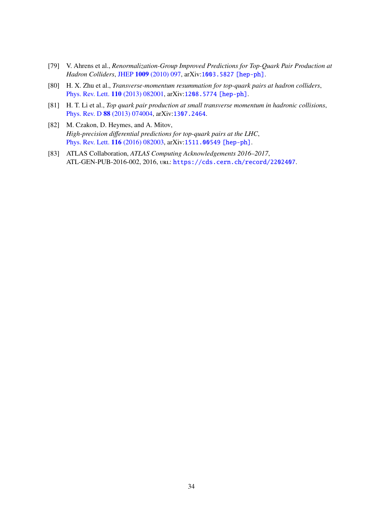- <span id="page-33-0"></span>[79] V. Ahrens et al., *Renormalization-Group Improved Predictions for Top-Quark Pair Production at Hadron Colliders*, JHEP 1009 [\(2010\) 097,](http://dx.doi.org/10.1007/JHEP09(2010)097) arXiv:[1003.5827 \[hep-ph\]](http://arxiv.org/abs/1003.5827).
- <span id="page-33-1"></span>[80] H. X. Zhu et al., *Transverse-momentum resummation for top-quark pairs at hadron colliders*, [Phys. Rev. Lett.](http://dx.doi.org/10.1103/PhysRevLett.110.082001) 110 (2013) 082001, arXiv:[1208.5774 \[hep-ph\]](http://arxiv.org/abs/1208.5774).
- <span id="page-33-2"></span>[81] H. T. Li et al., *Top quark pair production at small transverse momentum in hadronic collisions*, Phys. Rev. D 88 [\(2013\) 074004,](http://dx.doi.org/10.1103/PhysRevD.88.074004) arXiv:[1307.2464](http://arxiv.org/abs/1307.2464).
- <span id="page-33-3"></span>[82] M. Czakon, D. Heymes, and A. Mitov, *High-precision di*ff*erential predictions for top-quark pairs at the LHC*, [Phys. Rev. Lett.](http://dx.doi.org/10.1103/PhysRevLett.116.082003) 116 (2016) 082003, arXiv:[1511.00549 \[hep-ph\]](http://arxiv.org/abs/1511.00549).
- <span id="page-33-4"></span>[83] ATLAS Collaboration, *ATLAS Computing Acknowledgements 2016–2017*, ATL-GEN-PUB-2016-002, 2016, url: <https://cds.cern.ch/record/2202407>.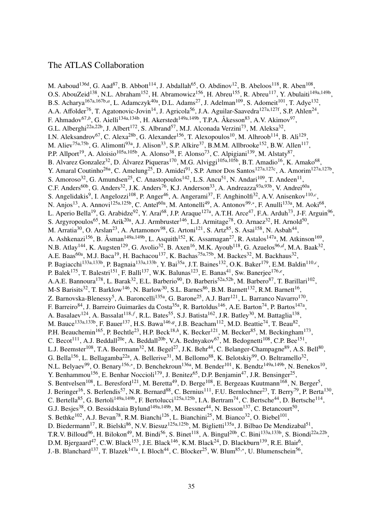### The ATLAS Collaboration

M. Aaboud<sup>136d</sup>, G. Aad<sup>87</sup>, B. Abbott<sup>114</sup>, J. Abdallah<sup>65</sup>, O. Abdinov<sup>12</sup>, B. Abeloos<sup>118</sup>, R. Aben<sup>108</sup>, O.S. AbouZeid<sup>138</sup>, N.L. Abraham<sup>152</sup>, H. Abramowicz<sup>156</sup>, H. Abreu<sup>155</sup>, R. Abreu<sup>117</sup>, Y. Abulaiti<sup>149a,149b</sup>, B.S. Acharya<sup>167a,167b,a</sup>, L. Adamczyk<sup>40a</sup>, D.L. Adams<sup>27</sup>, J. Adelman<sup>109</sup>, S. Adomeit<sup>101</sup>, T. Adye<sup>132</sup>, A.A. Affolder<sup>76</sup>, T. Agatonovic-Jovin<sup>14</sup>, J. Agricola<sup>56</sup>, J.A. Aguilar-Saavedra<sup>127a,127f</sup>, S.P. Ahlen<sup>24</sup>, F. Ahmadov<sup>67,b</sup>, G. Aielli<sup>134a,134b</sup>, H. Akerstedt<sup>149a,149b</sup>, T.P.A. Åkesson<sup>83</sup>, A.V. Akimov<sup>97</sup>, G.L. Alberghi<sup>22a,22b</sup>, J. Albert<sup>172</sup>, S. Albrand<sup>57</sup>, M.J. Alconada Verzini<sup>73</sup>, M. Aleksa<sup>32</sup>, I.N. Aleksandrov<sup>67</sup>, C. Alexa<sup>28b</sup>, G. Alexander<sup>156</sup>, T. Alexopoulos<sup>10</sup>, M. Alhroob<sup>114</sup>, B. Ali<sup>129</sup>, M. Aliev<sup>75a,75b</sup>, G. Alimonti<sup>93a</sup>, J. Alison<sup>33</sup>, S.P. Alkire<sup>37</sup>, B.M.M. Allbrooke<sup>152</sup>, B.W. Allen<sup>117</sup>, P.P. Allport<sup>19</sup>, A. Aloisio<sup>105a,105b</sup>, A. Alonso<sup>38</sup>, F. Alonso<sup>73</sup>, C. Alpigiani<sup>139</sup>, M. Alstaty<sup>87</sup>, B. Alvarez Gonzalez<sup>32</sup>, D. Álvarez Piqueras<sup>170</sup>, M.G. Alviggi<sup>105a,105b</sup>, B.T. Amadio<sup>16</sup>, K. Amako<sup>68</sup>, Y. Amaral Coutinho<sup>26a</sup>, C. Amelung<sup>25</sup>, D. Amidei<sup>91</sup>, S.P. Amor Dos Santos<sup>127a,127c</sup>, A. Amorim<sup>127a,127b</sup>, S. Amoroso<sup>32</sup>, G. Amundsen<sup>25</sup>, C. Anastopoulos<sup>142</sup>, L.S. Ancu<sup>51</sup>, N. Andari<sup>109</sup>, T. Andeen<sup>11</sup>, C.F. Anders<sup>60b</sup>, G. Anders<sup>32</sup>, J.K. Anders<sup>76</sup>, K.J. Anderson<sup>33</sup>, A. Andreazza<sup>93a,93b</sup>, V. Andrei<sup>60a</sup>, S. Angelidakis<sup>9</sup>, I. Angelozzi<sup>108</sup>, P. Anger<sup>46</sup>, A. Angerami<sup>37</sup>, F. Anghinolfi<sup>32</sup>, A.V. Anisenkov<sup>110,*c*</sup>, N. Anjos<sup>13</sup>, A. Annovi<sup>125a,125b</sup>, C. Antel<sup>60a</sup>, M. Antonelli<sup>49</sup>, A. Antonov<sup>99,∗</sup>, F. Anulli<sup>133a</sup>, M. Aoki<sup>68</sup>, L. Aperio Bella<sup>19</sup>, G. Arabidze<sup>92</sup>, Y. Arai<sup>68</sup>, J.P. Araque<sup>127a</sup>, A.T.H. Arce<sup>47</sup>, F.A. Arduh<sup>73</sup>, J-F. Arguin<sup>96</sup>, S. Argyropoulos<sup>65</sup>, M. Arik<sup>20a</sup>, A.J. Armbruster<sup>146</sup>, L.J. Armitage<sup>78</sup>, O. Arnaez<sup>32</sup>, H. Arnold<sup>50</sup>, M. Arratia $^{30}$ , O. Arslan $^{23}$ , A. Artamonov $^{98}$ , G. Artoni $^{121}$ , S. Artz $^{85}$ , S. Asai $^{158}$ , N. Asbah $^{44}$ , A. Ashkenazi<sup>156</sup>, B. Åsman<sup>149a,149b</sup>, L. Asquith<sup>152</sup>, K. Assamagan<sup>27</sup>, R. Astalos<sup>147a</sup>, M. Atkinson<sup>169</sup>, N.B. Atlay<sup>144</sup>, K. Augsten<sup>129</sup>, G. Avolio<sup>32</sup>, B. Axen<sup>16</sup>, M.K. Ayoub<sup>118</sup>, G. Azuelos<sup>96,d</sup>, M.A. Baak<sup>32</sup>, A.E. Baas<sup>60a</sup>, M.J. Baca<sup>19</sup>, H. Bachacou<sup>137</sup>, K. Bachas<sup>75a,75b</sup>, M. Backes<sup>32</sup>, M. Backhaus<sup>32</sup>, P. Bagiacchi<sup>133a,133b</sup>, P. Bagnaia<sup>133a,133b</sup>, Y. Bai<sup>35a</sup>, J.T. Baines<sup>132</sup>, O.K. Baker<sup>179</sup>, E.M. Baldin<sup>110,*c*</sup>, P. Balek<sup>175</sup>, T. Balestri<sup>151</sup>, F. Balli<sup>137</sup>, W.K. Balunas<sup>123</sup>, E. Banas<sup>41</sup>, Sw. Banerjee<sup>176,e</sup>, A.A.E. Bannoura<sup>178</sup>, L. Barak<sup>32</sup>, E.L. Barberio<sup>90</sup>, D. Barberis<sup>52a,52b</sup>, M. Barbero<sup>87</sup>, T. Barillari<sup>102</sup>, M-S Barisits<sup>32</sup>, T. Barklow<sup>146</sup>, N. Barlow<sup>30</sup>, S.L. Barnes<sup>86</sup>, B.M. Barnett<sup>132</sup>, R.M. Barnett<sup>16</sup>, Z. Barnovska-Blenessy<sup>5</sup>, A. Baroncelli<sup>135a</sup>, G. Barone<sup>25</sup>, A.J. Barr<sup>121</sup>, L. Barranco Navarro<sup>170</sup>, F. Barreiro<sup>84</sup>, J. Barreiro Guimarães da Costa<sup>35a</sup>, R. Bartoldus<sup>146</sup>, A.E. Barton<sup>74</sup>, P. Bartos<sup>147a</sup>, A. Basalaev<sup>124</sup>, A. Bassalat<sup>118, f</sup>, R.L. Bates<sup>55</sup>, S.J. Batista<sup>162</sup>, J.R. Batley<sup>30</sup>, M. Battaglia<sup>138</sup>, M. Bauce<sup>133a,133b</sup>, F. Bauer<sup>137</sup>, H.S. Bawa<sup>146,g</sup>, J.B. Beacham<sup>112</sup>, M.D. Beattie<sup>74</sup>, T. Beau<sup>82</sup>, P.H. Beauchemin<sup>165</sup>, P. Bechtle<sup>23</sup>, H.P. Beck<sup>18,*h*</sup>, K. Becker<sup>121</sup>, M. Becker<sup>85</sup>, M. Beckingham<sup>173</sup>, C. Becot<sup>111</sup>, A.J. Beddall<sup>20e</sup>, A. Beddall<sup>20b</sup>, V.A. Bednyakov<sup>67</sup>, M. Bedognetti<sup>108</sup>, C.P. Bee<sup>151</sup>, L.J. Beemster<sup>108</sup>, T.A. Beermann<sup>32</sup>, M. Begel<sup>27</sup>, J.K. Behr<sup>44</sup>, C. Belanger-Champagne<sup>89</sup>, A.S. Bell<sup>80</sup>, G. Bella<sup>156</sup>, L. Bellagamba<sup>22a</sup>, A. Bellerive<sup>31</sup>, M. Bellomo<sup>88</sup>, K. Belotskiy<sup>99</sup>, O. Beltramello<sup>32</sup>, N.L. Belyaev<sup>99</sup>, O. Benary<sup>156,∗</sup>, D. Benchekroun<sup>136a</sup>, M. Bender<sup>101</sup>, K. Bendtz<sup>149a,149b</sup>, N. Benekos<sup>10</sup>, Y. Benhammou<sup>156</sup>, E. Benhar Noccioli<sup>179</sup>, J. Benitez<sup>65</sup>, D.P. Benjamin<sup>47</sup>, J.R. Bensinger<sup>25</sup>, S. Bentvelsen<sup>108</sup>, L. Beresford<sup>121</sup>, M. Beretta<sup>49</sup>, D. Berge<sup>108</sup>, E. Bergeaas Kuutmann<sup>168</sup>, N. Berger<sup>5</sup>, J. Beringer<sup>16</sup>, S. Berlendis<sup>57</sup>, N.R. Bernard<sup>88</sup>, C. Bernius<sup>111</sup>, F.U. Bernlochner<sup>23</sup>, T. Berry<sup>79</sup>, P. Berta<sup>130</sup>, C. Bertella<sup>85</sup>, G. Bertoli<sup>149a,149b</sup>, F. Bertolucci<sup>125a,125b</sup>, I.A. Bertram<sup>74</sup>, C. Bertsche<sup>44</sup>, D. Bertsche<sup>114</sup>, G.J. Besjes<sup>38</sup>, O. Bessidskaia Bylund<sup>149a,149b</sup>, M. Bessner<sup>44</sup>, N. Besson<sup>137</sup>, C. Betancourt<sup>50</sup>, S. Bethke<sup>102</sup>, A.J. Bevan<sup>78</sup>, R.M. Bianchi<sup>126</sup>, L. Bianchini<sup>25</sup>, M. Bianco<sup>32</sup>, O. Biebel<sup>101</sup>, D. Biedermann<sup>17</sup>, R. Bielski<sup>86</sup>, N.V. Biesuz<sup>125a,125b</sup>, M. Biglietti<sup>135a</sup>, J. Bilbao De Mendizabal<sup>51</sup>, T.R.V. Billoud<sup>96</sup>, H. Bilokon<sup>49</sup>, M. Bindi<sup>56</sup>, S. Binet<sup>118</sup>, A. Bingul<sup>20b</sup>, C. Bini<sup>133a,133b</sup>, S. Biondi<sup>22a,22b</sup>, D.M. Bjergaard<sup>47</sup>, C.W. Black<sup>153</sup>, J.E. Black<sup>146</sup>, K.M. Black<sup>24</sup>, D. Blackburn<sup>139</sup>, R.E. Blair<sup>6</sup>, J.-B. Blanchard<sup>137</sup>, T. Blazek<sup>147a</sup>, I. Bloch<sup>44</sup>, C. Blocker<sup>25</sup>, W. Blum<sup>85,\*</sup>, U. Blumenschein<sup>56</sup>,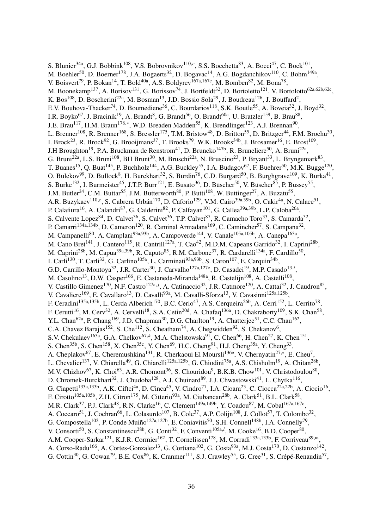S. Blunier<sup>34a</sup>, G.J. Bobbink<sup>108</sup>, V.S. Bobrovnikov<sup>110,*c*</sup>, S.S. Bocchetta<sup>83</sup>, A. Bocci<sup>47</sup>, C. Bock<sup>101</sup>, M. Boehler<sup>50</sup>, D. Boerner<sup>178</sup>, J.A. Bogaerts<sup>32</sup>, D. Bogavac<sup>14</sup>, A.G. Bogdanchikov<sup>110</sup>, C. Bohm<sup>149a</sup>, V. Boisvert<sup>79</sup>, P. Bokan<sup>14</sup>, T. Bold<sup>40a</sup>, A.S. Boldyrev<sup>167a,167c</sup>, M. Bomben<sup>82</sup>, M. Bona<sup>78</sup>, M. Boonekamp<sup>137</sup>, A. Borisov<sup>131</sup>, G. Borissov<sup>74</sup>, J. Bortfeldt<sup>32</sup>, D. Bortoletto<sup>121</sup>, V. Bortolotto<sup>62a,62b,62c</sup>, K. Bos<sup>108</sup>, D. Boscherini<sup>22a</sup>, M. Bosman<sup>13</sup>, J.D. Bossio Sola<sup>29</sup>, J. Boudreau<sup>126</sup>, J. Bouffard<sup>2</sup>, E.V. Bouhova-Thacker<sup>74</sup>, D. Boumediene<sup>36</sup>, C. Bourdarios<sup>118</sup>, S.K. Boutle<sup>55</sup>, A. Boveia<sup>32</sup>, J. Boyd<sup>32</sup>, I.R. Boyko<sup>67</sup>, J. Bracinik<sup>19</sup>, A. Brandt<sup>8</sup>, G. Brandt<sup>56</sup>, O. Brandt<sup>60a</sup>, U. Bratzler<sup>159</sup>, B. Brau<sup>88</sup>, J.E. Brau<sup>117</sup>, H.M. Braun<sup>178,∗</sup>, W.D. Breaden Madden<sup>55</sup>, K. Brendlinger<sup>123</sup>, A.J. Brennan<sup>90</sup>, L. Brenner<sup>108</sup>, R. Brenner<sup>168</sup>, S. Bressler<sup>175</sup>, T.M. Bristow<sup>48</sup>, D. Britton<sup>55</sup>, D. Britzger<sup>44</sup>, F.M. Brochu<sup>30</sup>, I. Brock<sup>23</sup>, R. Brock<sup>92</sup>, G. Brooijmans<sup>37</sup>, T. Brooks<sup>79</sup>, W.K. Brooks<sup>34b</sup>, J. Brosamer<sup>16</sup>, E. Brost<sup>109</sup>, J.H Broughton<sup>19</sup>, P.A. Bruckman de Renstrom<sup>41</sup>, D. Bruncko<sup>147b</sup>, R. Bruneliere<sup>50</sup>, A. Bruni<sup>22a</sup>, G. Bruni<sup>22a</sup>, L.S. Bruni<sup>108</sup>, BH Brunt<sup>30</sup>, M. Bruschi<sup>22a</sup>, N. Bruscino<sup>23</sup>, P. Bryant<sup>33</sup>, L. Bryngemark<sup>83</sup>, T. Buanes<sup>15</sup>, Q. Buat<sup>145</sup>, P. Buchholz<sup>144</sup>, A.G. Buckley<sup>55</sup>, I.A. Budagov<sup>67</sup>, F. Buehrer<sup>50</sup>, M.K. Bugge<sup>120</sup>, O. Bulekov<sup>99</sup>, D. Bullock<sup>8</sup>, H. Burckhart<sup>32</sup>, S. Burdin<sup>76</sup>, C.D. Burgard<sup>50</sup>, B. Burghgrave<sup>109</sup>, K. Burka<sup>41</sup>, S. Burke<sup>132</sup>, I. Burmeister<sup>45</sup>, J.T.P. Burr<sup>121</sup>, E. Busato<sup>36</sup>, D. Büscher<sup>50</sup>, V. Büscher<sup>85</sup>, P. Bussey<sup>55</sup>, J.M. Butler<sup>24</sup>, C.M. Buttar<sup>55</sup>, J.M. Butterworth<sup>80</sup>, P. Butti<sup>108</sup>, W. Buttinger<sup>27</sup>, A. Buzatu<sup>55</sup>, A.R. Buzykaev<sup>110,c</sup>, S. Cabrera Urbán<sup>170</sup>, D. Caforio<sup>129</sup>, V.M. Cairo<sup>39a,39b</sup>, O. Cakir<sup>4a</sup>, N. Calace<sup>51</sup>, P. Calafiura<sup>16</sup>, A. Calandri<sup>87</sup>, G. Calderini<sup>82</sup>, P. Calfayan<sup>101</sup>, G. Callea<sup>39a,39b</sup>, L.P. Caloba<sup>26a</sup>, S. Calvente Lopez<sup>84</sup>, D. Calvet<sup>36</sup>, S. Calvet<sup>36</sup>, T.P. Calvet<sup>87</sup>, R. Camacho Toro<sup>33</sup>, S. Camarda<sup>32</sup>, P. Camarri<sup>134a,134b</sup>, D. Cameron<sup>120</sup>, R. Caminal Armadans<sup>169</sup>, C. Camincher<sup>57</sup>, S. Campana<sup>32</sup>, M. Campanelli<sup>80</sup>, A. Camplani<sup>93a,93b</sup>, A. Campoverde<sup>144</sup>, V. Canale<sup>105a,105b</sup>, A. Canepa<sup>163a</sup>, M. Cano Bret<sup>141</sup>, J. Cantero<sup>115</sup>, R. Cantrill<sup>127a</sup>, T. Cao<sup>42</sup>, M.D.M. Capeans Garrido<sup>32</sup>, I. Caprini<sup>28b</sup>, M. Caprini<sup>28b</sup>, M. Capua<sup>39a,39b</sup>, R. Caputo<sup>85</sup>, R.M. Carbone<sup>37</sup>, R. Cardarelli<sup>134a</sup>, F. Cardillo<sup>50</sup>, I. Carli<sup>130</sup>, T. Carli<sup>32</sup>, G. Carlino<sup>105a</sup>, L. Carminati<sup>93a,93b</sup>, S. Caron<sup>107</sup>, E. Carquin<sup>34b</sup>, G.D. Carrillo-Montoya<sup>32</sup>, J.R. Carter<sup>30</sup>, J. Carvalho<sup>127a,127c</sup>, D. Casadei<sup>19</sup>, M.P. Casado<sup>13,*i*</sup>, M. Casolino<sup>13</sup>, D.W. Casper<sup>166</sup>, E. Castaneda-Miranda<sup>148a</sup>, R. Castelijn<sup>108</sup>, A. Castelli<sup>108</sup>, V. Castillo Gimenez<sup>170</sup>, N.F. Castro<sup>127a, *j*</sup>, A. Catinaccio<sup>32</sup>, J.R. Catmore<sup>120</sup>, A. Cattai<sup>32</sup>, J. Caudron<sup>85</sup>, V. Cavaliere<sup>169</sup>, E. Cavallaro<sup>13</sup>, D. Cavalli<sup>93a</sup>, M. Cavalli-Sforza<sup>13</sup>, V. Cavasinni<sup>125a,125b</sup>, F. Ceradini<sup>135a,135b</sup>, L. Cerda Alberich<sup>170</sup>, B.C. Cerio<sup>47</sup>, A.S. Cerqueira<sup>26b</sup>, A. Cerri<sup>152</sup>, L. Cerrito<sup>78</sup>, F. Cerutti<sup>16</sup>, M. Cerv<sup>32</sup>, A. Cervelli<sup>18</sup>, S.A. Cetin<sup>20d</sup>, A. Chafaq<sup>136a</sup>, D. Chakraborty<sup>109</sup>, S.K. Chan<sup>58</sup>, Y.L. Chan<sup>62a</sup>, P. Chang<sup>169</sup>, J.D. Chapman<sup>30</sup>, D.G. Charlton<sup>19</sup>, A. Chatterjee<sup>51</sup>, C.C. Chau<sup>162</sup>, C.A. Chavez Barajas<sup>152</sup>, S. Che<sup>112</sup>, S. Cheatham<sup>74</sup>, A. Chegwidden<sup>92</sup>, S. Chekanov<sup>6</sup>, S.V. Chekulaev<sup>163a</sup>, G.A. Chelkov<sup>67,k</sup>, M.A. Chelstowska<sup>91</sup>, C. Chen<sup>66</sup>, H. Chen<sup>27</sup>, K. Chen<sup>151</sup>, S. Chen<sup>35b</sup>, S. Chen<sup>158</sup>, X. Chen<sup>35c</sup>, Y. Chen<sup>69</sup>, H.C. Cheng<sup>91</sup>, H.J. Cheng<sup>35a</sup>, Y. Cheng<sup>33</sup>, A. Cheplakov<sup>67</sup>, E. Cheremushkina<sup>131</sup>, R. Cherkaoui El Moursli<sup>136e</sup>, V. Chernyatin<sup>27,\*</sup>, E. Cheu<sup>7</sup>, L. Chevalier<sup>137</sup>, V. Chiarella<sup>49</sup>, G. Chiarelli<sup>125a,125b</sup>, G. Chiodini<sup>75a</sup>, A.S. Chisholm<sup>19</sup>, A. Chitan<sup>28b</sup>, M.V. Chizhov<sup>67</sup>, K. Choi<sup>63</sup>, A.R. Chomont<sup>36</sup>, S. Chouridou<sup>9</sup>, B.K.B. Chow<sup>101</sup>, V. Christodoulou<sup>80</sup>, D. Chromek-Burckhart<sup>32</sup>, J. Chudoba<sup>128</sup>, A.J. Chuinard<sup>89</sup>, J.J. Chwastowski<sup>41</sup>, L. Chytka<sup>116</sup>, G. Ciapetti<sup>133a,133b</sup>, A.K. Ciftci<sup>4a</sup>, D. Cinca<sup>45</sup>, V. Cindro<sup>77</sup>, I.A. Cioara<sup>23</sup>, C. Ciocca<sup>22a,22b</sup>, A. Ciocio<sup>16</sup>, F. Cirotto<sup>105a,105b</sup>, Z.H. Citron<sup>175</sup>, M. Citterio<sup>93a</sup>, M. Ciubancan<sup>28b</sup>, A. Clark<sup>51</sup>, B.L. Clark<sup>58</sup>, M.R. Clark<sup>37</sup>, P.J. Clark<sup>48</sup>, R.N. Clarke<sup>16</sup>, C. Clement<sup>149a,149b</sup>, Y. Coadou<sup>87</sup>, M. Cobal<sup>167a,167c</sup>, A. Coccaro<sup>51</sup>, J. Cochran<sup>66</sup>, L. Colasurdo<sup>107</sup>, B. Cole<sup>37</sup>, A.P. Colijn<sup>108</sup>, J. Collot<sup>57</sup>, T. Colombo<sup>32</sup>, G. Compostella<sup>102</sup>, P. Conde Muiño<sup>127a,127b</sup>, E. Coniavitis<sup>50</sup>, S.H. Connell<sup>148b</sup>, I.A. Connelly<sup>79</sup>, V. Consorti<sup>50</sup>, S. Constantinescu<sup>28b</sup>, G. Conti<sup>32</sup>, F. Conventi<sup>105a,*l*</sup>, M. Cooke<sup>16</sup>, B.D. Cooper<sup>80</sup>, A.M. Cooper-Sarkar<sup>121</sup>, K.J.R. Cormier<sup>162</sup>, T. Cornelissen<sup>178</sup>, M. Corradi<sup>133a,133b</sup>, F. Corriveau<sup>89,*m*</sup>, A. Corso-Radu<sup>166</sup>, A. Cortes-Gonzalez<sup>13</sup>, G. Cortiana<sup>102</sup>, G. Costa<sup>93a</sup>, M.J. Costa<sup>170</sup>, D. Costanzo<sup>142</sup>, G. Cottin<sup>30</sup>, G. Cowan<sup>79</sup>, B.E. Cox<sup>86</sup>, K. Cranmer<sup>111</sup>, S.J. Crawley<sup>55</sup>, G. Cree<sup>31</sup>, S. Crépé-Renaudin<sup>57</sup>,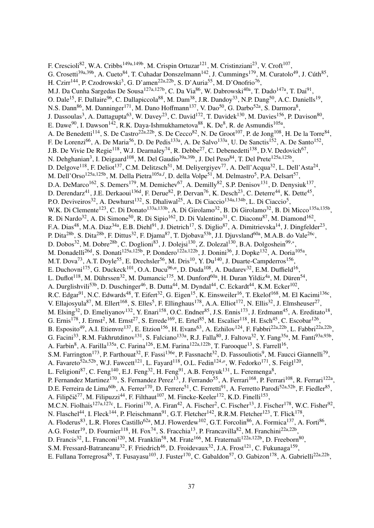F. Crescioli<sup>82</sup>, W.A. Cribbs<sup>149a,149b</sup>, M. Crispin Ortuzar<sup>121</sup>, M. Cristinziani<sup>23</sup>, V. Croft<sup>107</sup>, G. Crosetti<sup>39a,39b</sup>, A. Cueto<sup>84</sup>, T. Cuhadar Donszelmann<sup>142</sup>, J. Cummings<sup>179</sup>, M. Curatolo<sup>49</sup>, J. Cúth<sup>85</sup>, H. Czirr<sup>144</sup>, P. Czodrowski<sup>3</sup>, G. D'amen<sup>22a,22b</sup>, S. D'Auria<sup>55</sup>, M. D'Onofrio<sup>76</sup>, M.J. Da Cunha Sargedas De Sousa<sup>127a,127b</sup>, C. Da Via<sup>86</sup>, W. Dabrowski<sup>40a</sup>, T. Dado<sup>147a</sup>, T. Dai<sup>91</sup>, O. Dale<sup>15</sup>, F. Dallaire<sup>96</sup>, C. Dallapiccola<sup>88</sup>, M. Dam<sup>38</sup>, J.R. Dandoy<sup>33</sup>, N.P. Dang<sup>50</sup>, A.C. Daniells<sup>19</sup>, N.S. Dann<sup>86</sup>, M. Danninger<sup>171</sup>, M. Dano Hoffmann<sup>137</sup>, V. Dao<sup>50</sup>, G. Darbo<sup>52a</sup>, S. Darmora<sup>8</sup>, J. Dassoulas<sup>3</sup>, A. Dattagupta<sup>63</sup>, W. Davey<sup>23</sup>, C. David<sup>172</sup>, T. Davidek<sup>130</sup>, M. Davies<sup>156</sup>, P. Davison<sup>80</sup>, E. Dawe $^{90}$ , I. Dawson<sup>142</sup>, R.K. Daya-Ishmukhametova $^{88}$ , K. De $^{8}$ , R. de Asmundis<sup>105a</sup>, A. De Benedetti<sup>114</sup>, S. De Castro<sup>22a,22b</sup>, S. De Cecco<sup>82</sup>, N. De Groot<sup>107</sup>, P. de Jong<sup>108</sup>, H. De la Torre<sup>84</sup>, F. De Lorenzi<sup>66</sup>, A. De Maria<sup>56</sup>, D. De Pedis<sup>133a</sup>, A. De Salvo<sup>133a</sup>, U. De Sanctis<sup>152</sup>, A. De Santo<sup>152</sup>, J.B. De Vivie De Regie<sup>118</sup>, W.J. Dearnaley<sup>74</sup>, R. Debbe<sup>27</sup>, C. Debenedetti<sup>138</sup>, D.V. Dedovich<sup>67</sup>, N. Dehghanian<sup>3</sup>, I. Deigaard<sup>108</sup>, M. Del Gaudio<sup>39a,39b</sup>, J. Del Peso<sup>84</sup>, T. Del Prete<sup>125a,125b</sup>, D. Delgove<sup>118</sup>, F. Deliot<sup>137</sup>, C.M. Delitzsch<sup>51</sup>, M. Deliyergiyev<sup>77</sup>, A. Dell'Acqua<sup>32</sup>, L. Dell'Asta<sup>24</sup>, M. Dell'Orso<sup>125a,125b</sup>, M. Della Pietra<sup>105a,*l*</sup>, D. della Volpe<sup>51</sup>, M. Delmastro<sup>5</sup>, P.A. Delsart<sup>57</sup>, D.A. DeMarco<sup>162</sup>, S. Demers<sup>179</sup>, M. Demichev<sup>67</sup>, A. Demilly<sup>82</sup>, S.P. Denisov<sup>131</sup>, D. Denysiuk<sup>137</sup>, D. Derendarz<sup>41</sup>, J.E. Derkaoui<sup>136d</sup>, F. Derue<sup>82</sup>, P. Dervan<sup>76</sup>, K. Desch<sup>23</sup>, C. Deterre<sup>44</sup>, K. Dette<sup>45</sup>, P.O. Deviveiros<sup>32</sup>, A. Dewhurst<sup>132</sup>, S. Dhaliwal<sup>25</sup>, A. Di Ciaccio<sup>134a,134b</sup>, L. Di Ciaccio<sup>5</sup>, W.K. Di Clemente<sup>123</sup>, C. Di Donato<sup>133a,133b</sup>, A. Di Girolamo<sup>32</sup>, B. Di Girolamo<sup>32</sup>, B. Di Micco<sup>135a,135b</sup>, R. Di Nardo<sup>32</sup>, A. Di Simone<sup>50</sup>, R. Di Sipio<sup>162</sup>, D. Di Valentino<sup>31</sup>, C. Diaconu<sup>87</sup>, M. Diamond<sup>162</sup>, F.A. Dias<sup>48</sup>, M.A. Diaz<sup>34a</sup>, E.B. Diehl<sup>91</sup>, J. Dietrich<sup>17</sup>, S. Diglio<sup>87</sup>, A. Dimitrievska<sup>14</sup>, J. Dingfelder<sup>23</sup>, P. Dita<sup>28b</sup>, S. Dita<sup>28b</sup>, F. Dittus<sup>32</sup>, F. Djama<sup>87</sup>, T. Djobava<sup>53b</sup>, J.I. Djuvsland<sup>60a</sup>, M.A.B. do Vale<sup>26c</sup>, D. Dobos<sup>32</sup>, M. Dobre<sup>28b</sup>, C. Doglioni<sup>83</sup>, J. Dolejsi<sup>130</sup>, Z. Dolezal<sup>130</sup>, B.A. Dolgoshein<sup>99,∗</sup>, M. Donadelli<sup>26d</sup>, S. Donati<sup>125a,125b</sup>, P. Dondero<sup>122a,122b</sup>, J. Donini<sup>36</sup>, J. Dopke<sup>132</sup>, A. Doria<sup>105a</sup>, M.T. Dova<sup>73</sup>, A.T. Doyle<sup>55</sup>, E. Drechsler<sup>56</sup>, M. Dris<sup>10</sup>, Y. Du<sup>140</sup>, J. Duarte-Campderros<sup>156</sup>, E. Duchovni<sup>175</sup>, G. Duckeck<sup>101</sup>, O.A. Ducu<sup>96,*n*</sup>, D. Duda<sup>108</sup>, A. Dudarev<sup>32</sup>, E.M. Duffield<sup>16</sup>, L. Duflot<sup>118</sup>, M. Dührssen<sup>32</sup>, M. Dumancic<sup>175</sup>, M. Dunford<sup>60a</sup>, H. Duran Yildiz<sup>4a</sup>, M. Düren<sup>54</sup>, A. Durglishvili<sup>53b</sup>, D. Duschinger<sup>46</sup>, B. Dutta<sup>44</sup>, M. Dyndal<sup>44</sup>, C. Eckardt<sup>44</sup>, K.M. Ecker<sup>102</sup>, R.C. Edgar<sup>91</sup>, N.C. Edwards<sup>48</sup>, T. Eifert<sup>32</sup>, G. Eigen<sup>15</sup>, K. Einsweiler<sup>16</sup>, T. Ekelof<sup>168</sup>, M. El Kacimi<sup>136c</sup>, V. Ellajosyula<sup>87</sup>, M. Ellert<sup>168</sup>, S. Elles<sup>5</sup>, F. Ellinghaus<sup>178</sup>, A.A. Elliot<sup>172</sup>, N. Ellis<sup>32</sup>, J. Elmsheuser<sup>27</sup>, M. Elsing<sup>32</sup>, D. Emeliyanov<sup>132</sup>, Y. Enari<sup>158</sup>, O.C. Endner<sup>85</sup>, J.S. Ennis<sup>173</sup>, J. Erdmann<sup>45</sup>, A. Ereditato<sup>18</sup>, G. Ernis<sup>178</sup>, J. Ernst<sup>2</sup>, M. Ernst<sup>27</sup>, S. Errede<sup>169</sup>, E. Ertel<sup>85</sup>, M. Escalier<sup>118</sup>, H. Esch<sup>45</sup>, C. Escobar<sup>126</sup>, B. Esposito<sup>49</sup>, A.I. Etienvre<sup>137</sup>, E. Etzion<sup>156</sup>, H. Evans<sup>63</sup>, A. Ezhilov<sup>124</sup>, F. Fabbri<sup>22a,22b</sup>, L. Fabbri<sup>22a,22b</sup>, G. Facini<sup>33</sup>, R.M. Fakhrutdinov<sup>131</sup>, S. Falciano<sup>133a</sup>, R.J. Falla<sup>80</sup>, J. Faltova<sup>32</sup>, Y. Fang<sup>35a</sup>, M. Fanti<sup>93a,93b</sup>, A. Farbin<sup>8</sup>, A. Farilla<sup>135a</sup>, C. Farina<sup>126</sup>, E.M. Farina<sup>122a,122b</sup>, T. Farooque<sup>13</sup>, S. Farrell<sup>16</sup>, S.M. Farrington<sup>173</sup>, P. Farthouat<sup>32</sup>, F. Fassi<sup>136e</sup>, P. Fassnacht<sup>32</sup>, D. Fassouliotis<sup>9</sup>, M. Faucci Giannelli<sup>79</sup>, A. Favareto<sup>52a,52b</sup>, W.J. Fawcett<sup>121</sup>, L. Fayard<sup>118</sup>, O.L. Fedin<sup>124,0</sup>, W. Fedorko<sup>171</sup>, S. Feigl<sup>120</sup>, L. Feligioni<sup>87</sup>, C. Feng<sup>140</sup>, E.J. Feng<sup>32</sup>, H. Feng<sup>91</sup>, A.B. Fenyuk<sup>131</sup>, L. Feremenga<sup>8</sup>, P. Fernandez Martinez<sup>170</sup>, S. Fernandez Perez<sup>13</sup>, J. Ferrando<sup>55</sup>, A. Ferrari<sup>168</sup>, P. Ferrari<sup>108</sup>, R. Ferrari<sup>122a</sup>, D.E. Ferreira de Lima<sup>60b</sup>, A. Ferrer<sup>170</sup>, D. Ferrere<sup>51</sup>, C. Ferretti<sup>91</sup>, A. Ferretto Parodi<sup>52a,52b</sup>, F. Fiedler<sup>85</sup>, A. Filipčič<sup>77</sup>, M. Filipuzzi<sup>44</sup>, F. Filthaut<sup>107</sup>, M. Fincke-Keeler<sup>172</sup>, K.D. Finelli<sup>153</sup>, M.C.N. Fiolhais<sup>127a,127c</sup>, L. Fiorini<sup>170</sup>, A. Firan<sup>42</sup>, A. Fischer<sup>2</sup>, C. Fischer<sup>13</sup>, J. Fischer<sup>178</sup>, W.C. Fisher<sup>92</sup>, N. Flaschel<sup>44</sup>, I. Fleck<sup>144</sup>, P. Fleischmann<sup>91</sup>, G.T. Fletcher<sup>142</sup>, R.R.M. Fletcher<sup>123</sup>, T. Flick<sup>178</sup>, A. Floderus<sup>83</sup>, L.R. Flores Castillo<sup>62a</sup>, M.J. Flowerdew<sup>102</sup>, G.T. Forcolin<sup>86</sup>, A. Formica<sup>137</sup>, A. Forti<sup>86</sup>, A.G. Foster<sup>19</sup>, D. Fournier<sup>118</sup>, H. Fox<sup>74</sup>, S. Fracchia<sup>13</sup>, P. Francavilla<sup>82</sup>, M. Franchini<sup>22a,22b</sup>, D. Francis<sup>32</sup>, L. Franconi<sup>120</sup>, M. Franklin<sup>58</sup>, M. Frate<sup>166</sup>, M. Fraternali<sup>122a,122b</sup>, D. Freeborn<sup>80</sup>, S.M. Fressard-Batraneanu<sup>32</sup>, F. Friedrich<sup>46</sup>, D. Froidevaux<sup>32</sup>, J.A. Frost<sup>121</sup>, C. Fukunaga<sup>159</sup>, E. Fullana Torregrosa<sup>85</sup>, T. Fusayasu<sup>103</sup>, J. Fuster<sup>170</sup>, C. Gabaldon<sup>57</sup>, O. Gabizon<sup>178</sup>, A. Gabrielli<sup>22a,22b</sup>,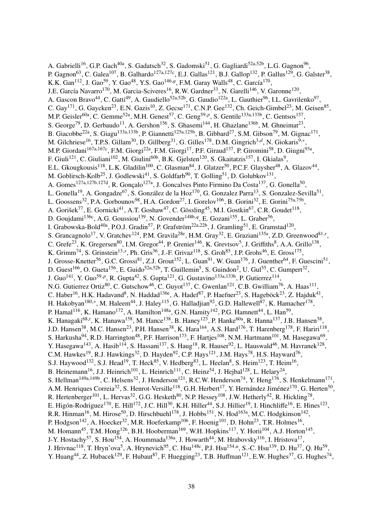A. Gabrielli<sup>16</sup>, G.P. Gach<sup>40a</sup>, S. Gadatsch<sup>32</sup>, S. Gadomski<sup>51</sup>, G. Gagliardi<sup>52a,52b</sup>, L.G. Gagnon<sup>96</sup>, P. Gagnon<sup>63</sup>, C. Galea<sup>107</sup>, B. Galhardo<sup>127a,127c</sup>, E.J. Gallas<sup>121</sup>, B.J. Gallop<sup>132</sup>, P. Gallus<sup>129</sup>, G. Galster<sup>38</sup>, K.K. Gan<sup>112</sup>, J. Gao<sup>59</sup>, Y. Gao<sup>48</sup>, Y.S. Gao<sup>146,g</sup>, F.M. Garay Walls<sup>48</sup>, C. García<sup>170</sup>, J.E. García Navarro<sup>170</sup>, M. Garcia-Sciveres<sup>16</sup>, R.W. Gardner<sup>33</sup>, N. Garelli<sup>146</sup>, V. Garonne<sup>120</sup>, A. Gascon Bravo<sup>44</sup>, C. Gatti<sup>49</sup>, A. Gaudiello<sup>52a,52b</sup>, G. Gaudio<sup>122a</sup>, L. Gauthier<sup>96</sup>, I.L. Gavrilenko<sup>97</sup>, C. Gay<sup>171</sup>, G. Gaycken<sup>23</sup>, E.N. Gazis<sup>10</sup>, Z. Gecse<sup>171</sup>, C.N.P. Gee<sup>132</sup>, Ch. Geich-Gimbel<sup>23</sup>, M. Geisen<sup>85</sup>, M.P. Geisler<sup>60a</sup>, C. Gemme<sup>52a</sup>, M.H. Genest<sup>57</sup>, C. Geng<sup>59,p</sup>, S. Gentile<sup>133a,133b</sup>, C. Gentsos<sup>157</sup>, S. George<sup>79</sup>, D. Gerbaudo<sup>13</sup>, A. Gershon<sup>156</sup>, S. Ghasemi<sup>144</sup>, H. Ghazlane<sup>136b</sup>, M. Ghneimat<sup>23</sup>, B. Giacobbe<sup>22a</sup>, S. Giagu<sup>133a,133b</sup>, P. Giannetti<sup>125a,125b</sup>, B. Gibbard<sup>27</sup>, S.M. Gibson<sup>79</sup>, M. Gignac<sup>171</sup>, M. Gilchriese<sup>16</sup>, T.P.S. Gillam<sup>30</sup>, D. Gillberg<sup>31</sup>, G. Gilles<sup>178</sup>, D.M. Gingrich<sup>3,d</sup>, N. Giokaris<sup>9,\*</sup>, M.P. Giordani<sup>167a,167c</sup>, F.M. Giorgi<sup>22a</sup>, F.M. Giorgi<sup>17</sup>, P.F. Giraud<sup>137</sup>, P. Giromini<sup>58</sup>, D. Giugni<sup>93a</sup>, F. Giuli<sup>121</sup>, C. Giuliani<sup>102</sup>, M. Giulini<sup>60b</sup>, B.K. Gjelsten<sup>120</sup>, S. Gkaitatzis<sup>157</sup>, I. Gkialas<sup>9</sup>, E.L. Gkougkousis<sup>118</sup>, L.K. Gladilin<sup>100</sup>, C. Glasman<sup>84</sup>, J. Glatzer<sup>50</sup>, P.C.F. Glaysher<sup>48</sup>, A. Glazov<sup>44</sup>, M. Goblirsch-Kolb<sup>25</sup>, J. Godlewski $^{41}$ , S. Goldfarb $^{90}$ , T. Golling $^{51}$ , D. Golubkov $^{131}$ , A. Gomes<sup>127a,127b,127d</sup>, R. Gonçalo<sup>127a</sup>, J. Goncalves Pinto Firmino Da Costa<sup>137</sup>, G. Gonella<sup>50</sup>, L. Gonella<sup>19</sup>, A. Gongadze<sup>67</sup>, S. González de la Hoz<sup>170</sup>, G. Gonzalez Parra<sup>13</sup>, S. Gonzalez-Sevilla<sup>51</sup>, L. Goossens<sup>32</sup>, P.A. Gorbounov<sup>98</sup>, H.A. Gordon<sup>27</sup>, I. Gorelov<sup>106</sup>, B. Gorini<sup>32</sup>, E. Gorini<sup>75a,75b</sup>, A. Gorišek<sup>77</sup>, E. Gornicki<sup>41</sup>, A.T. Goshaw<sup>47</sup>, C. Gössling<sup>45</sup>, M.I. Gostkin<sup>67</sup>, C.R. Goudet<sup>118</sup>, D. Goujdami<sup>136c</sup>, A.G. Goussiou<sup>139</sup>, N. Govender<sup>148b, q</sup>, E. Gozani<sup>155</sup>, L. Graber<sup>56</sup>, I. Grabowska-Bold $^{40a}$ , P.O.J. Gradin $^{57}$ , P. Grafström $^{22a,22b}$ , J. Gramling $^{51}$ , E. Gramstad $^{120}$ , S. Grancagnolo<sup>17</sup>, V. Gratchev<sup>124</sup>, P.M. Gravila<sup>28e</sup>, H.M. Gray<sup>32</sup>, E. Graziani<sup>135a</sup>, Z.D. Greenwood<sup>81,*r*</sup>, C. Grefe<sup>23</sup>, K. Gregersen<sup>80</sup>, I.M. Gregor<sup>44</sup>, P. Grenier<sup>146</sup>, K. Grevtsov<sup>5</sup>, J. Griffiths<sup>8</sup>, A.A. Grillo<sup>138</sup>, K. Grimm<sup>74</sup>, S. Grinstein<sup>13,*s*</sup>, Ph. Gris<sup>36</sup>, J.-F. Grivaz<sup>118</sup>, S. Groh<sup>85</sup>, J.P. Grohs<sup>46</sup>, E. Gross<sup>175</sup>, J. Grosse-Knetter<sup>56</sup>, G.C. Grossi<sup>81</sup>, Z.J. Grout<sup>152</sup>, L. Guan<sup>91</sup>, W. Guan<sup>176</sup>, J. Guenther<sup>64</sup>, F. Guescini<sup>51</sup>, D. Guest<sup>166</sup>, O. Gueta<sup>156</sup>, E. Guido<sup>52a,52b</sup>, T. Guillemin<sup>5</sup>, S. Guindon<sup>2</sup>, U. Gul<sup>55</sup>, C. Gumpert<sup>32</sup>, J. Guo<sup>141</sup>, Y. Guo<sup>59,p</sup>, R. Gupta<sup>42</sup>, S. Gupta<sup>121</sup>, G. Gustavino<sup>133a,133b</sup>, P. Gutierrez<sup>114</sup>, N.G. Gutierrez Ortiz<sup>80</sup>, C. Gutschow<sup>46</sup>, C. Guyot<sup>137</sup>, C. Gwenlan<sup>121</sup>, C.B. Gwilliam<sup>76</sup>, A. Haas<sup>111</sup>, C. Haber<sup>16</sup>, H.K. Hadavand<sup>8</sup>, N. Haddad<sup>136e</sup>, A. Hadef<sup>87</sup>, P. Haefner<sup>23</sup>, S. Hageböck<sup>23</sup>, Z. Hajduk<sup>41</sup>, H. Hakobyan $^{180,*}$ , M. Haleem $^{44}$ , J. Haley $^{115}$ , G. Halladjian $^{92}$ , G.D. Hallewell $^{87}$ , K. Hamacher $^{178}$ , P. Hamal<sup>116</sup>, K. Hamano<sup>172</sup>, A. Hamilton<sup>148a</sup>, G.N. Hamity<sup>142</sup>, P.G. Hamnett<sup>44</sup>, L. Han<sup>59</sup>, K. Hanagaki<sup>68,*t*</sup>, K. Hanawa<sup>158</sup>, M. Hance<sup>138</sup>, B. Haney<sup>123</sup>, P. Hanke<sup>60a</sup>, R. Hanna<sup>137</sup>, J.B. Hansen<sup>38</sup>, J.D. Hansen<sup>38</sup>, M.C. Hansen<sup>23</sup>, P.H. Hansen<sup>38</sup>, K. Hara<sup>164</sup>, A.S. Hard<sup>176</sup>, T. Harenberg<sup>178</sup>, F. Hariri<sup>118</sup>, S. Harkusha<sup>94</sup>, R.D. Harrington<sup>48</sup>, P.F. Harrison<sup>173</sup>, F. Hartjes<sup>108</sup>, N.M. Hartmann<sup>101</sup>, M. Hasegawa<sup>69</sup>, Y. Hasegawa<sup>143</sup>, A. Hasib<sup>114</sup>, S. Hassani<sup>137</sup>, S. Haug<sup>18</sup>, R. Hauser<sup>92</sup>, L. Hauswald<sup>46</sup>, M. Havranek<sup>128</sup>, C.M. Hawkes<sup>19</sup>, R.J. Hawkings<sup>32</sup>, D. Hayden<sup>92</sup>, C.P. Hays<sup>121</sup>, J.M. Hays<sup>78</sup>, H.S. Hayward<sup>76</sup>, S.J. Haywood<sup>132</sup>, S.J. Head<sup>19</sup>, T. Heck<sup>85</sup>, V. Hedberg<sup>83</sup>, L. Heelan<sup>8</sup>, S. Heim<sup>123</sup>, T. Heim<sup>16</sup>, B. Heinemann<sup>16</sup>, J.J. Heinrich<sup>101</sup>, L. Heinrich<sup>111</sup>, C. Heinz<sup>54</sup>, J. Hejbal<sup>128</sup>, L. Helary<sup>24</sup>, S. Hellman<sup>149a,149b</sup>, C. Helsens<sup>32</sup>, J. Henderson<sup>121</sup>, R.C.W. Henderson<sup>74</sup>, Y. Heng<sup>176</sup>, S. Henkelmann<sup>171</sup>, A.M. Henriques Correia<sup>32</sup>, S. Henrot-Versille<sup>118</sup>, G.H. Herbert<sup>17</sup>, Y. Hernández Jiménez<sup>170</sup>, G. Herten<sup>50</sup>, R. Hertenberger<sup>101</sup>, L. Hervas<sup>32</sup>, G.G. Hesketh<sup>80</sup>, N.P. Hessey<sup>108</sup>, J.W. Hetherly<sup>42</sup>, R. Hickling<sup>78</sup>, E. Higón-Rodriguez<sup>170</sup>, E. Hill<sup>172</sup>, J.C. Hill<sup>30</sup>, K.H. Hiller<sup>44</sup>, S.J. Hillier<sup>19</sup>, I. Hinchliffe<sup>16</sup>, E. Hines<sup>123</sup>, R.R. Hinman<sup>16</sup>, M. Hirose<sup>50</sup>, D. Hirschbuehl<sup>178</sup>, J. Hobbs<sup>151</sup>, N. Hod<sup>163a</sup>, M.C. Hodgkinson<sup>142</sup>, P. Hodgson<sup>142</sup>, A. Hoecker<sup>32</sup>, M.R. Hoeferkamp<sup>106</sup>, F. Hoenig<sup>101</sup>, D. Hohn<sup>23</sup>, T.R. Holmes<sup>16</sup>, M. Homann<sup>45</sup>, T.M. Hong<sup>126</sup>, B.H. Hooberman<sup>169</sup>, W.H. Hopkins<sup>117</sup>, Y. Horii<sup>104</sup>, A.J. Horton<sup>145</sup>, J-Y. Hostachy<sup>57</sup>, S. Hou<sup>154</sup>, A. Hoummada<sup>136a</sup>, J. Howarth<sup>44</sup>, M. Hrabovsky<sup>116</sup>, I. Hristova<sup>17</sup>, J. Hrivnac<sup>118</sup>, T. Hryn'ova<sup>5</sup>, A. Hrynevich<sup>95</sup>, C. Hsu<sup>148c</sup>, P.J. Hsu<sup>154,*u*</sup>, S.-C. Hsu<sup>139</sup>, D. Hu<sup>37</sup>, Q. Hu<sup>59</sup>, Y. Huang<sup>44</sup>, Z. Hubacek<sup>129</sup>, F. Hubaut<sup>87</sup>, F. Huegging<sup>23</sup>, T.B. Huffman<sup>121</sup>, E.W. Hughes<sup>37</sup>, G. Hughes<sup>74</sup>,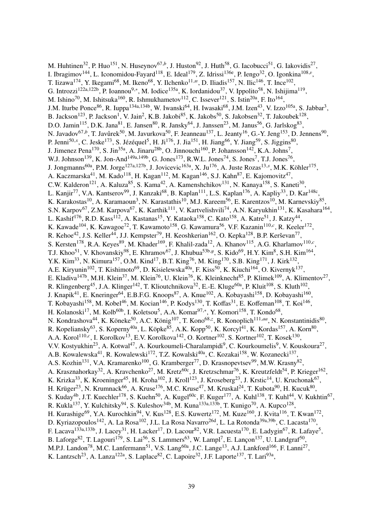M. Huhtinen<sup>32</sup>, P. Huo<sup>151</sup>, N. Huseynov<sup>67,b</sup>, J. Huston<sup>92</sup>, J. Huth<sup>58</sup>, G. Iacobucci<sup>51</sup>, G. Iakovidis<sup>27</sup>, I. Ibragimov<sup>144</sup>, L. Iconomidou-Fayard<sup>118</sup>, E. Ideal<sup>179</sup>, Z. Idrissi<sup>136e</sup>, P. Iengo<sup>32</sup>, O. Igonkina<sup>108,*v*</sup>, T. Iizawa<sup>174</sup>, Y. Ikegami<sup>68</sup>, M. Ikeno<sup>68</sup>, Y. Ilchenko<sup>11,*w*</sup>, D. Iliadis<sup>157</sup>, N. Ilic<sup>146</sup>, T. Ince<sup>102</sup>, G. Introzzi<sup>122a,122b</sup>, P. Ioannou<sup>9,\*</sup>, M. Iodice<sup>135a</sup>, K. Iordanidou<sup>37</sup>, V. Ippolito<sup>58</sup>, N. Ishijima<sup>119</sup>, M. Ishino<sup>70</sup>, M. Ishitsuka<sup>160</sup>, R. Ishmukhametov<sup>112</sup>, C. Issever<sup>121</sup>, S. Istin<sup>20a</sup>, F. Ito<sup>164</sup>, J.M. Iturbe Ponce<sup>86</sup>, R. Iuppa<sup>134a,134b</sup>, W. Iwanski<sup>64</sup>, H. Iwasaki<sup>68</sup>, J.M. Izen<sup>43</sup>, V. Izzo<sup>105a</sup>, S. Jabbar<sup>3</sup>, B. Jackson<sup>123</sup>, P. Jackson<sup>1</sup>, V. Jain<sup>2</sup>, K.B. Jakobi<sup>85</sup>, K. Jakobs<sup>50</sup>, S. Jakobsen<sup>32</sup>, T. Jakoubek<sup>128</sup>, D.O. Jamin<sup>115</sup>, D.K. Jana<sup>81</sup>, E. Jansen<sup>80</sup>, R. Jansky<sup>64</sup>, J. Janssen<sup>23</sup>, M. Janus<sup>56</sup>, G. Jarlskog<sup>83</sup>, N. Javadov<sup>67,b</sup>, T. Javůrek<sup>50</sup>, M. Javurkova<sup>50</sup>, F. Jeanneau<sup>137</sup>, L. Jeanty<sup>16</sup>, G.-Y. Jeng<sup>153</sup>, D. Jennens<sup>90</sup>, P. Jenni<sup>50,x</sup>, C. Jeske<sup>173</sup>, S. Jézéquel<sup>5</sup>, H. Ji<sup>176</sup>, J. Jia<sup>151</sup>, H. Jiang<sup>66</sup>, Y. Jiang<sup>59</sup>, S. Jiggins<sup>80</sup>, J. Jimenez Pena<sup>170</sup>, S. Jin<sup>35a</sup>, A. Jinaru<sup>28b</sup>, O. Jinnouchi<sup>160</sup>, P. Johansson<sup>142</sup>, K.A. Johns<sup>7</sup>, W.J. Johnson<sup>139</sup>, K. Jon-And<sup>149a,149b</sup>, G. Jones<sup>173</sup>, R.W.L. Jones<sup>74</sup>, S. Jones<sup>7</sup>, T.J. Jones<sup>76</sup>, J. Jongmanns<sup>60a</sup>, P.M. Jorge<sup>127a,127b</sup>, J. Jovicevic<sup>163a</sup>, X. Ju<sup>176</sup>, A. Juste Rozas<sup>13,s</sup>, M.K. Köhler<sup>175</sup>, A. Kaczmarska<sup>41</sup>, M. Kado<sup>118</sup>, H. Kagan<sup>112</sup>, M. Kagan<sup>146</sup>, S.J. Kahn<sup>87</sup>, E. Kajomovitz<sup>47</sup>, C.W. Kalderon<sup>121</sup>, A. Kaluza<sup>85</sup>, S. Kama<sup>42</sup>, A. Kamenshchikov<sup>131</sup>, N. Kanaya<sup>158</sup>, S. Kaneti<sup>30</sup>, L. Kanjir<sup>77</sup>, V.A. Kantserov<sup>99</sup>, J. Kanzaki<sup>68</sup>, B. Kaplan<sup>111</sup>, L.S. Kaplan<sup>176</sup>, A. Kapliy<sup>33</sup>, D. Kar<sup>148c</sup>, K. Karakostas<sup>10</sup>, A. Karamaoun<sup>3</sup>, N. Karastathis<sup>10</sup>, M.J. Kareem<sup>56</sup>, E. Karentzos<sup>10</sup>, M. Karnevskiy<sup>85</sup>, S.N. Karpov<sup>67</sup>, Z.M. Karpova<sup>67</sup>, K. Karthik<sup>111</sup>, V. Kartvelishvili<sup>74</sup>, A.N. Karyukhin<sup>131</sup>, K. Kasahara<sup>164</sup>, L. Kashif<sup>176</sup>, R.D. Kass<sup>112</sup>, A. Kastanas<sup>15</sup>, Y. Kataoka<sup>158</sup>, C. Kato<sup>158</sup>, A. Katre<sup>51</sup>, J. Katzy<sup>44</sup>, K. Kawade<sup>104</sup>, K. Kawagoe<sup>72</sup>, T. Kawamoto<sup>158</sup>, G. Kawamura<sup>56</sup>, V.F. Kazanin<sup>110,*c*</sup>, R. Keeler<sup>172</sup>, R. Kehoe<sup>42</sup>, J.S. Keller<sup>44</sup>, J.J. Kempster<sup>79</sup>, H. Keoshkerian<sup>162</sup>, O. Kepka<sup>128</sup>, B.P. Kerševan<sup>77</sup>, S. Kersten<sup>178</sup>, R.A. Keyes<sup>89</sup>, M. Khader<sup>169</sup>, F. Khalil-zada<sup>12</sup>, A. Khanov<sup>115</sup>, A.G. Kharlamov<sup>110,*c*</sup>, T.J. Khoo<sup>51</sup>, V. Khovanskiy<sup>98</sup>, E. Khramov<sup>67</sup>, J. Khubua<sup>53b,*y*</sup>, S. Kido<sup>69</sup>, H.Y. Kim<sup>8</sup>, S.H. Kim<sup>164</sup>, Y.K. Kim<sup>33</sup>, N. Kimura<sup>157</sup>, O.M. Kind<sup>17</sup>, B.T. King<sup>76</sup>, M. King<sup>170</sup>, S.B. King<sup>171</sup>, J. Kirk<sup>132</sup>, A.E. Kiryunin<sup>102</sup>, T. Kishimoto<sup>69</sup>, D. Kisielewska<sup>40a</sup>, F. Kiss<sup>50</sup>, K. Kiuchi<sup>164</sup>, O. Kivernyk<sup>137</sup>, E. Kladiva<sup>147b</sup>, M.H. Klein<sup>37</sup>, M. Klein<sup>76</sup>, U. Klein<sup>76</sup>, K. Kleinknecht<sup>85</sup>, P. Klimek<sup>109</sup>, A. Klimentov<sup>27</sup>, R. Klingenberg<sup>45</sup>, J.A. Klinger<sup>142</sup>, T. Klioutchnikova<sup>32</sup>, E.-E. Kluge<sup>60a</sup>, P. Kluit<sup>108</sup>, S. Kluth<sup>102</sup>, J. Knapik<sup>41</sup>, E. Kneringer<sup>64</sup>, E.B.F.G. Knoops<sup>87</sup>, A. Knue<sup>102</sup>, A. Kobayashi<sup>158</sup>, D. Kobayashi<sup>160</sup>, T. Kobayashi<sup>158</sup>, M. Kobel<sup>46</sup>, M. Kocian<sup>146</sup>, P. Kodys<sup>130</sup>, T. Koffas<sup>31</sup>, E. Koffeman<sup>108</sup>, T. Koi<sup>146</sup>, H. Kolanoski<sup>17</sup>, M. Kolb<sup>60b</sup>, I. Koletsou<sup>5</sup>, A.A. Komar<sup>97,\*</sup>, Y. Komori<sup>158</sup>, T. Kondo<sup>68</sup>, N. Kondrashova<sup>44</sup>, K. Köneke<sup>50</sup>, A.C. König<sup>107</sup>, T. Kono<sup>68,*z*</sup>, R. Konoplich<sup>111,aa</sup>, N. Konstantinidis<sup>80</sup>, R. Kopeliansky<sup>63</sup>, S. Koperny<sup>40a</sup>, L. Köpke<sup>85</sup>, A.K. Kopp<sup>50</sup>, K. Korcyl<sup>41</sup>, K. Kordas<sup>157</sup>, A. Korn<sup>80</sup>, A.A. Korol<sup>110,*c*</sup>, I. Korolkov<sup>13</sup>, E.V. Korolkova<sup>142</sup>, O. Kortner<sup>102</sup>, S. Kortner<sup>102</sup>, T. Kosek<sup>130</sup>, V.V. Kostyukhin<sup>23</sup>, A. Kotwal<sup>47</sup>, A. Kourkoumeli-Charalampidi<sup>9</sup>, C. Kourkoumelis<sup>9</sup>, V. Kouskoura<sup>27</sup>, A.B. Kowalewska<sup>41</sup>, R. Kowalewski<sup>172</sup>, T.Z. Kowalski<sup>40a</sup>, C. Kozakai<sup>158</sup>, W. Kozanecki<sup>137</sup>, A.S. Kozhin<sup>131</sup>, V.A. Kramarenko<sup>100</sup>, G. Kramberger<sup>77</sup>, D. Krasnopevtsev<sup>99</sup>, M.W. Krasny<sup>82</sup>, A. Krasznahorkay<sup>32</sup>, A. Kravchenko<sup>27</sup>, M. Kretz<sup>60c</sup>, J. Kretzschmar<sup>76</sup>, K. Kreutzfeldt<sup>54</sup>, P. Krieger<sup>162</sup>, K. Krizka<sup>33</sup>, K. Kroeninger<sup>45</sup>, H. Kroha<sup>102</sup>, J. Kroll<sup>123</sup>, J. Kroseberg<sup>23</sup>, J. Krstic<sup>14</sup>, U. Kruchonak<sup>67</sup>, H. Krüger<sup>23</sup>, N. Krumnack<sup>66</sup>, A. Kruse<sup>176</sup>, M.C. Kruse<sup>47</sup>, M. Kruskal<sup>24</sup>, T. Kubota<sup>90</sup>, H. Kucuk<sup>80</sup>, S. Kuday<sup>4b</sup>, J.T. Kuechler<sup>178</sup>, S. Kuehn<sup>50</sup>, A. Kugel<sup>60c</sup>, F. Kuger<sup>177</sup>, A. Kuhl<sup>138</sup>, T. Kuhl<sup>44</sup>, V. Kukhtin<sup>67</sup>, R. Kukla<sup>137</sup>, Y. Kulchitsky<sup>94</sup>, S. Kuleshov<sup>34b</sup>, M. Kuna<sup>133a,133b</sup>, T. Kunigo<sup>70</sup>, A. Kupco<sup>128</sup>, H. Kurashige<sup>69</sup>, Y.A. Kurochkin<sup>94</sup>, V. Kus<sup>128</sup>, E.S. Kuwertz<sup>172</sup>, M. Kuze<sup>160</sup>, J. Kvita<sup>116</sup>, T. Kwan<sup>172</sup>, D. Kyriazopoulos<sup>142</sup>, A. La Rosa<sup>102</sup>, J.L. La Rosa Navarro<sup>26d</sup>, L. La Rotonda<sup>39a,39b</sup>, C. Lacasta<sup>170</sup>, F. Lacava<sup>133a,133b</sup>, J. Lacey<sup>31</sup>, H. Lacker<sup>17</sup>, D. Lacour<sup>82</sup>, V.R. Lacuesta<sup>170</sup>, E. Ladygin<sup>67</sup>, R. Lafaye<sup>5</sup>, B. Laforge<sup>82</sup>, T. Lagouri<sup>179</sup>, S. Lai<sup>56</sup>, S. Lammers<sup>63</sup>, W. Lampl<sup>7</sup>, E. Lançon<sup>137</sup>, U. Landgraf<sup>50</sup>, M.P.J. Landon<sup>78</sup>, M.C. Lanfermann<sup>51</sup>, V.S. Lang<sup>60a</sup>, J.C. Lange<sup>13</sup>, A.J. Lankford<sup>166</sup>, F. Lanni<sup>27</sup>, K. Lantzsch<sup>23</sup>, A. Lanza<sup>122a</sup>, S. Laplace<sup>82</sup>, C. Lapoire<sup>32</sup>, J.F. Laporte<sup>137</sup>, T. Lari<sup>93a</sup>,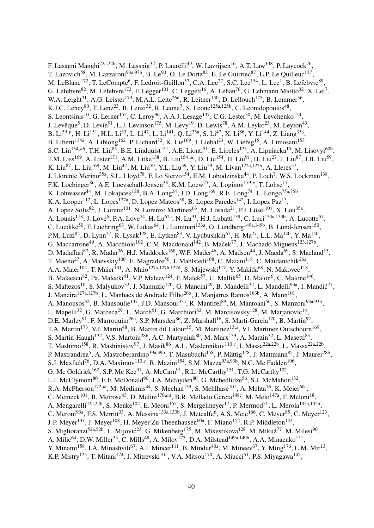F. Lasagni Manghi<sup>22a,22b</sup>, M. Lassnig<sup>32</sup>, P. Laurelli<sup>49</sup>, W. Lavrijsen<sup>16</sup>, A.T. Law<sup>138</sup>, P. Laycock<sup>76</sup>, T. Lazovich<sup>58</sup>, M. Lazzaroni<sup>93a,93b</sup>, B. Le<sup>90</sup>, O. Le Dortz<sup>82</sup>, E. Le Guirriec<sup>87</sup>, E.P. Le Quilleuc<sup>137</sup>, M. LeBlanc<sup>172</sup>, T. LeCompte<sup>6</sup>, F. Ledroit-Guillon<sup>57</sup>, C.A. Lee<sup>27</sup>, S.C. Lee<sup>154</sup>, L. Lee<sup>1</sup>, B. Lefebvre<sup>89</sup>, G. Lefebvre<sup>82</sup>, M. Lefebvre<sup>172</sup>, F. Legger<sup>101</sup>, C. Leggett<sup>16</sup>, A. Lehan<sup>76</sup>, G. Lehmann Miotto<sup>32</sup>, X. Lei<sup>7</sup>, W.A. Leight<sup>31</sup>, A.G. Leister<sup>179</sup>, M.A.L. Leite<sup>26d</sup>, R. Leitner<sup>130</sup>, D. Lellouch<sup>175</sup>, B. Lemmer<sup>56</sup>, K.J.C. Leney<sup>80</sup>, T. Lenz<sup>23</sup>, B. Lenzi<sup>32</sup>, R. Leone<sup>7</sup>, S. Leone<sup>125a,125b</sup>, C. Leonidopoulos<sup>48</sup>, S. Leontsinis<sup>10</sup>, G. Lerner<sup>152</sup>, C. Leroy<sup>96</sup>, A.A.J. Lesage<sup>137</sup>, C.G. Lester<sup>30</sup>, M. Levchenko<sup>124</sup>, J. Levêque<sup>5</sup>, D. Levin<sup>91</sup>, L.J. Levinson<sup>175</sup>, M. Levy<sup>19</sup>, D. Lewis<sup>78</sup>, A.M. Leyko<sup>23</sup>, M. Leyton<sup>43</sup>, B. Li<sup>59,p</sup>, H. Li<sup>151</sup>, H.L. Li<sup>33</sup>, L. Li<sup>47</sup>, L. Li<sup>141</sup>, Q. Li<sup>35a</sup>, S. Li<sup>47</sup>, X. Li<sup>86</sup>, Y. Li<sup>144</sup>, Z. Liang<sup>35a</sup>, B. Liberti<sup>134a</sup>, A. Liblong<sup>162</sup>, P. Lichard<sup>32</sup>, K. Lie<sup>169</sup>, J. Liebal<sup>23</sup>, W. Liebig<sup>15</sup>, A. Limosani<sup>153</sup>, S.C. Lin<sup>154,ab</sup>, T.H. Lin<sup>85</sup>, B.E. Lindquist<sup>151</sup>, A.E. Lionti<sup>51</sup>, E. Lipeles<sup>123</sup>, A. Lipniacka<sup>15</sup>, M. Lisovyi<sup>60b</sup>, T.M. Liss<sup>169</sup>, A. Lister<sup>171</sup>, A.M. Litke<sup>138</sup>, B. Liu<sup>154,ac</sup>, D. Liu<sup>154</sup>, H. Liu<sup>91</sup>, H. Liu<sup>27</sup>, J. Liu<sup>87</sup>, J.B. Liu<sup>59</sup>, K. Liu<sup>87</sup>, L. Liu<sup>169</sup>, M. Liu<sup>47</sup>, M. Liu<sup>59</sup>, Y.L. Liu<sup>59</sup>, Y. Liu<sup>59</sup>, M. Livan<sup>122a,122b</sup>, A. Lleres<sup>57</sup>, J. Llorente Merino<sup>35a</sup>, S.L. Lloyd<sup>78</sup>, F. Lo Sterzo<sup>154</sup>, E.M. Lobodzinska<sup>44</sup>, P. Loch<sup>7</sup>, W.S. Lockman<sup>138</sup>, F.K. Loebinger<sup>86</sup>, A.E. Loevschall-Jensen<sup>38</sup>, K.M. Loew<sup>25</sup>, A. Loginov<sup>179,∗</sup>, T. Lohse<sup>17</sup>, K. Lohwasser<sup>44</sup>, M. Lokajicek<sup>128</sup>, B.A. Long<sup>24</sup>, J.D. Long<sup>169</sup>, R.E. Long<sup>74</sup>, L. Longo<sup>75a,75b</sup>, K.A. Looper<sup>112</sup>, L. Lopes<sup>127a</sup>, D. Lopez Mateos<sup>58</sup>, B. Lopez Paredes<sup>142</sup>, I. Lopez Paz<sup>13</sup>, A. Lopez Solis<sup>82</sup>, J. Lorenz<sup>101</sup>, N. Lorenzo Martinez<sup>63</sup>, M. Losada<sup>21</sup>, P.J. Lösel<sup>101</sup>, X. Lou<sup>35a</sup>, A. Lounis<sup>118</sup>, J. Love<sup>6</sup>, P.A. Love<sup>74</sup>, H. Lu<sup>62a</sup>, N. Lu<sup>91</sup>, H.J. Lubatti<sup>139</sup>, C. Luci<sup>133a,133b</sup>, A. Lucotte<sup>57</sup>, C. Luedtke<sup>50</sup>, F. Luehring<sup>63</sup>, W. Lukas<sup>64</sup>, L. Luminari<sup>133a</sup>, O. Lundberg<sup>149a,149b</sup>, B. Lund-Jensen<sup>150</sup>, P.M. Luzi<sup>82</sup>, D. Lynn<sup>27</sup>, R. Lysak<sup>128</sup>, E. Lytken<sup>83</sup>, V. Lyubushkin<sup>67</sup>, H. Ma<sup>27</sup>, L.L. Ma<sup>140</sup>, Y. Ma<sup>140</sup>, G. Maccarrone<sup>49</sup>, A. Macchiolo<sup>102</sup>, C.M. Macdonald<sup>142</sup>, B. Maček<sup>77</sup>, J. Machado Miguens<sup>123,127b</sup>, D. Madaffari $^{87}$ , R. Madar $^{36}$ , H.J. Maddocks $^{168}$ , W.F. Mader $^{46}$ , A. Madsen $^{44}$ , J. Maeda $^{69}$ , S. Maeland $^{15}$ , T. Maeno<sup>27</sup>, A. Maevskiy<sup>100</sup>, E. Magradze<sup>56</sup>, J. Mahlstedt<sup>108</sup>, C. Maiani<sup>118</sup>, C. Maidantchik<sup>26a</sup>, A.A. Maier<sup>102</sup>, T. Maier<sup>101</sup>, A. Maio<sup>127a,127b,127d</sup>, S. Majewski<sup>117</sup>, Y. Makida<sup>68</sup>, N. Makovec<sup>118</sup>, B. Malaescu $^{82}$ , Pa. Malecki $^{41}$ , V.P. Maleev $^{124}$ , F. Malek $^{57}$ , U. Mallik $^{65}$ , D. Malon $^6$ , C. Malone $^{146}$ , S. Maltezos<sup>10</sup>, S. Malyukov<sup>32</sup>, J. Mamuzic<sup>170</sup>, G. Mancini<sup>49</sup>, B. Mandelli<sup>32</sup>, L. Mandelli<sup>93a</sup>, I. Mandić<sup>77</sup>, J. Maneira<sup>127a,127b</sup>, L. Manhaes de Andrade Filho<sup>26b</sup>, J. Manjarres Ramos<sup>163b</sup>, A. Mann<sup>101</sup>, A. Manousos<sup>32</sup>, B. Mansoulie<sup>137</sup>, J.D. Mansour<sup>35a</sup>, R. Mantifel<sup>89</sup>, M. Mantoani<sup>56</sup>, S. Manzoni<sup>93a,93b</sup>, L. Mapelli<sup>32</sup>, G. Marceca<sup>29</sup>, L. March<sup>51</sup>, G. Marchiori<sup>82</sup>, M. Marcisovsky<sup>128</sup>, M. Marjanovic<sup>14</sup>, D.E. Marley<sup>91</sup>, F. Marroquim<sup>26a</sup>, S.P. Marsden<sup>86</sup>, Z. Marshall<sup>16</sup>, S. Marti-Garcia<sup>170</sup>, B. Martin<sup>92</sup>, T.A. Martin<sup>173</sup>, V.J. Martin<sup>48</sup>, B. Martin dit Latour<sup>15</sup>, M. Martinez<sup>13,*s*</sup>, V.I. Martinez Outschoorn<sup>169</sup>, S. Martin-Haugh<sup>132</sup>, V.S. Martoiu<sup>28b</sup>, A.C. Martyniuk<sup>80</sup>, M. Marx<sup>139</sup>, A. Marzin<sup>32</sup>, L. Masetti<sup>85</sup>, T. Mashimo<sup>158</sup>, R. Mashinistov<sup>97</sup>, J. Masik<sup>86</sup>, A.L. Maslennikov<sup>110,*c*</sup>, I. Massa<sup>22a,22b</sup>, L. Massa<sup>22a,22b</sup>, P. Mastrandrea<sup>5</sup>, A. Mastroberardino<sup>39a,39b</sup>, T. Masubuchi<sup>158</sup>, P. Mättig<sup>178</sup>, J. Mattmann<sup>85</sup>, J. Maurer<sup>28b</sup>, S.J. Maxfield<sup>76</sup>, D.A. Maximov<sup>110,c</sup>, R. Mazini<sup>154</sup>, S.M. Mazza<sup>93a,93b</sup>, N.C. Mc Fadden<sup>106</sup>, G. Mc Goldrick<sup>162</sup>, S.P. Mc Kee<sup>91</sup>, A. McCarn<sup>91</sup>, R.L. McCarthy<sup>151</sup>, T.G. McCarthy<sup>102</sup>, L.I. McClymont<sup>80</sup>, E.F. McDonald<sup>90</sup>, J.A. Mcfayden<sup>80</sup>, G. Mchedlidze<sup>56</sup>, S.J. McMahon<sup>132</sup>, R.A. McPherson<sup>172,*m*</sup>, M. Medinnis<sup>44</sup>, S. Meehan<sup>139</sup>, S. Mehlhase<sup>101</sup>, A. Mehta<sup>76</sup>, K. Meier<sup>60a</sup>, C. Meineck<sup>101</sup>, B. Meirose<sup>43</sup>, D. Melini<sup>170,ad</sup>, B.R. Mellado Garcia<sup>148c</sup>, M. Melo<sup>147a</sup>, F. Meloni<sup>18</sup>, A. Mengarelli<sup>22a,22b</sup>, S. Menke<sup>102</sup>, E. Meoni<sup>165</sup>, S. Mergelmeyer<sup>17</sup>, P. Mermod<sup>51</sup>, L. Merola<sup>105a,105b</sup>, C. Meroni<sup>93a</sup>, F.S. Merritt<sup>33</sup>, A. Messina<sup>133a,133b</sup>, J. Metcalfe<sup>6</sup>, A.S. Mete<sup>166</sup>, C. Meyer<sup>85</sup>, C. Meyer<sup>123</sup>, J-P. Meyer<sup>137</sup>, J. Meyer<sup>108</sup>, H. Meyer Zu Theenhausen<sup>60a</sup>, F. Miano<sup>152</sup>, R.P. Middleton<sup>132</sup>, S. Miglioranzi<sup>52a,52b</sup>, L. Mijović<sup>23</sup>, G. Mikenberg<sup>175</sup>, M. Mikestikova<sup>128</sup>, M. Mikuž<sup>77</sup>, M. Milesi<sup>90</sup>, A. Milic<sup>64</sup>, D.W. Miller<sup>33</sup>, C. Mills<sup>48</sup>, A. Milov<sup>175</sup>, D.A. Milstead<sup>149a,149b</sup>, A.A. Minaenko<sup>131</sup>, Y. Minami<sup>158</sup>, I.A. Minashvili<sup>67</sup>, A.I. Mincer<sup>111</sup>, B. Mindur<sup>40a</sup>, M. Mineev<sup>67</sup>, Y. Ming<sup>176</sup>, L.M. Mir<sup>13</sup>, K.P. Mistry<sup>123</sup>, T. Mitani<sup>174</sup>, J. Mitrevski<sup>101</sup>, V.A. Mitsou<sup>170</sup>, A. Miucci<sup>51</sup>, P.S. Miyagawa<sup>142</sup>,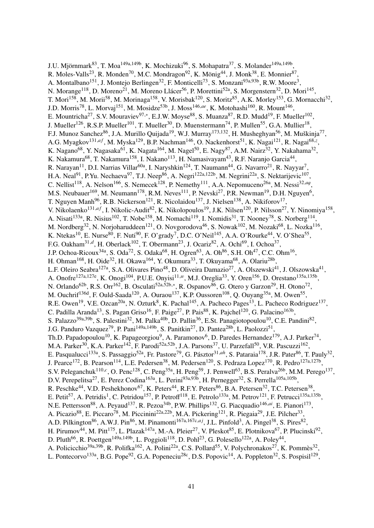J.U. Mjörnmark $^{83}$ , T. Moa<sup>149a,149b</sup>, K. Mochizuki<sup>96</sup>, S. Mohapatra<sup>37</sup>, S. Molander<sup>149a,149b</sup>, R. Moles-Valls<sup>23</sup>, R. Monden<sup>70</sup>, M.C. Mondragon<sup>92</sup>, K. Mönig<sup>44</sup>, J. Monk<sup>38</sup>, E. Monnier<sup>87</sup>, A. Montalbano<sup>151</sup>, J. Montejo Berlingen<sup>32</sup>, F. Monticelli<sup>73</sup>, S. Monzani<sup>93a,93b</sup>, R.W. Moore<sup>3</sup>, N. Morange<sup>118</sup>, D. Moreno<sup>21</sup>, M. Moreno Llácer<sup>56</sup>, P. Morettini<sup>52a</sup>, S. Morgenstern<sup>32</sup>, D. Mori<sup>145</sup>, T. Mori<sup>158</sup>, M. Morii<sup>58</sup>, M. Morinaga<sup>158</sup>, V. Morisbak<sup>120</sup>, S. Moritz<sup>85</sup>, A.K. Morley<sup>153</sup>, G. Mornacchi<sup>32</sup>, J.D. Morris<sup>78</sup>, L. Morvaj<sup>151</sup>, M. Mosidze<sup>53b</sup>, J. Moss<sup>146,ae</sup>, K. Motohashi<sup>160</sup>, R. Mount<sup>146</sup>, E. Mountricha<sup>27</sup>, S.V. Mouraviev<sup>97,\*</sup>, E.J.W. Moyse<sup>88</sup>, S. Muanza<sup>87</sup>, R.D. Mudd<sup>19</sup>, F. Mueller<sup>102</sup>, J. Mueller<sup>126</sup>, R.S.P. Mueller<sup>101</sup>, T. Mueller<sup>30</sup>, D. Muenstermann<sup>74</sup>, P. Mullen<sup>55</sup>, G.A. Mullier<sup>18</sup>, F.J. Munoz Sanchez<sup>86</sup>, J.A. Murillo Quijada<sup>19</sup>, W.J. Murray<sup>173,132</sup>, H. Musheghyan<sup>56</sup>, M. Muškinja<sup>77</sup>, A.G. Myagkov<sup>131,af</sup>, M. Myska<sup>129</sup>, B.P. Nachman<sup>146</sup>, O. Nackenhorst<sup>51</sup>, K. Nagai<sup>121</sup>, R. Nagai<sup>68,*z*</sup>, K. Nagano<sup>68</sup>, Y. Nagasaka<sup>61</sup>, K. Nagata<sup>164</sup>, M. Nagel<sup>50</sup>, E. Nagy<sup>87</sup>, A.M. Nairz<sup>32</sup>, Y. Nakahama<sup>32</sup>, K. Nakamura<sup>68</sup>, T. Nakamura<sup>158</sup>, I. Nakano<sup>113</sup>, H. Namasivayam<sup>43</sup>, R.F. Naranjo Garcia<sup>44</sup>, R. Narayan<sup>11</sup>, D.I. Narrias Villar<sup>60a</sup>, I. Naryshkin<sup>124</sup>, T. Naumann<sup>44</sup>, G. Navarro<sup>21</sup>, R. Nayyar<sup>7</sup>, H.A. Neal<sup>91</sup>, P.Yu. Nechaeva<sup>97</sup>, T.J. Neep<sup>86</sup>, A. Negri<sup>122a,122b</sup>, M. Negrini<sup>22a</sup>, S. Nektarijevic<sup>107</sup>, C. Nellist<sup>118</sup>, A. Nelson<sup>166</sup>, S. Nemecek<sup>128</sup>, P. Nemethy<sup>111</sup>, A.A. Nepomuceno<sup>26a</sup>, M. Nessi<sup>32,ag</sup>, M.S. Neubauer<sup>169</sup>, M. Neumann<sup>178</sup>, R.M. Neves<sup>111</sup>, P. Nevski<sup>27</sup>, P.R. Newman<sup>19</sup>, D.H. Nguyen<sup>6</sup>, T. Nguyen Manh<sup>96</sup>, R.B. Nickerson<sup>121</sup>, R. Nicolaidou<sup>137</sup>, J. Nielsen<sup>138</sup>, A. Nikiforov<sup>17</sup>, V. Nikolaenko<sup>131,af</sup>, I. Nikolic-Audit<sup>82</sup>, K. Nikolopoulos<sup>19</sup>, J.K. Nilsen<sup>120</sup>, P. Nilsson<sup>27</sup>, Y. Ninomiya<sup>158</sup>, A. Nisati<sup>133a</sup>, R. Nisius<sup>102</sup>, T. Nobe<sup>158</sup>, M. Nomachi<sup>119</sup>, I. Nomidis<sup>31</sup>, T. Nooney<sup>78</sup>, S. Norberg<sup>114</sup>, M. Nordberg<sup>32</sup>, N. Norjoharuddeen<sup>121</sup>, O. Novgorodova<sup>46</sup>, S. Nowak<sup>102</sup>, M. Nozaki<sup>68</sup>, L. Nozka<sup>116</sup>, K. Ntekas<sup>10</sup>, E. Nurse<sup>80</sup>, F. Nuti<sup>90</sup>, F. O'grady<sup>7</sup>, D.C. O'Neil<sup>145</sup>, A.A. O'Rourke<sup>44</sup>, V. O'Shea<sup>55</sup>, F.G. Oakham<sup>31,d</sup>, H. Oberlack<sup>102</sup>, T. Obermann<sup>23</sup>, J. Ocariz<sup>82</sup>, A. Ochi<sup>69</sup>, I. Ochoa<sup>37</sup>, J.P. Ochoa-Ricoux<sup>34a</sup>, S. Oda<sup>72</sup>, S. Odaka<sup>68</sup>, H. Ogren<sup>63</sup>, A. Oh<sup>86</sup>, S.H. Oh<sup>47</sup>, C.C. Ohm<sup>16</sup>, H. Ohman<sup>168</sup>, H. Oide<sup>32</sup>, H. Okawa<sup>164</sup>, Y. Okumura<sup>33</sup>, T. Okuyama<sup>68</sup>, A. Olariu<sup>28b</sup>, L.F. Oleiro Seabra<sup>127a</sup>, S.A. Olivares Pino<sup>48</sup>, D. Oliveira Damazio<sup>27</sup>, A. Olszewski<sup>41</sup>, J. Olszowska<sup>41</sup>, A. Onofre<sup>127a,127e</sup>, K. Onogi<sup>104</sup>, P.U.E. Onyisi<sup>11,*w*</sup>, M.J. Oreglia<sup>33</sup>, Y. Oren<sup>156</sup>, D. Orestano<sup>135a,135b</sup>, N. Orlando<sup>62b</sup>, R.S. Orr<sup>162</sup>, B. Osculati<sup>52a,52b,\*</sup>, R. Ospanov<sup>86</sup>, G. Otero y Garzon<sup>29</sup>, H. Otono<sup>72</sup>, M. Ouchrif<sup>136d</sup>, F. Ould-Saada<sup>120</sup>, A. Ouraou<sup>137</sup>, K.P. Oussoren<sup>108</sup>, Q. Ouyang<sup>35a</sup>, M. Owen<sup>55</sup>, R.E. Owen<sup>19</sup>, V.E. Ozcan<sup>20a</sup>, N. Ozturk<sup>8</sup>, K. Pachal<sup>145</sup>, A. Pacheco Pages<sup>13</sup>, L. Pacheco Rodriguez<sup>137</sup>, C. Padilla Aranda<sup>13</sup>, S. Pagan Griso<sup>16</sup>, F. Paige<sup>27</sup>, P. Pais<sup>88</sup>, K. Pajchel<sup>120</sup>, G. Palacino<sup>163b</sup>, S. Palazzo<sup>39a,39b</sup>, S. Palestini<sup>32</sup>, M. Palka<sup>40b</sup>, D. Pallin<sup>36</sup>, E.St. Panagiotopoulou<sup>10</sup>, C.E. Pandini<sup>82</sup>, J.G. Panduro Vazquez<sup>79</sup>, P. Pani<sup>149a,149b</sup>, S. Panitkin<sup>27</sup>, D. Pantea<sup>28b</sup>, L. Paolozzi<sup>51</sup>, Th.D. Papadopoulou<sup>10</sup>, K. Papageorgiou<sup>9</sup>, A. Paramonov<sup>6</sup>, D. Paredes Hernandez<sup>179</sup>, A.J. Parker<sup>74</sup>, M.A. Parker<sup>30</sup>, K.A. Parker<sup>142</sup>, F. Parodi<sup>52a,52b</sup>, J.A. Parsons<sup>37</sup>, U. Parzefall<sup>50</sup>, V.R. Pascuzzi<sup>162</sup>, E. Pasqualucci<sup>133a</sup>, S. Passaggio<sup>52a</sup>, Fr. Pastore<sup>79</sup>, G. Pásztor<sup>31,ah</sup>, S. Pataraia<sup>178</sup>, J.R. Pater<sup>86</sup>, T. Pauly<sup>32</sup>, J. Pearce<sup>172</sup>, B. Pearson<sup>114</sup>, L.E. Pedersen<sup>38</sup>, M. Pedersen<sup>120</sup>, S. Pedraza Lopez<sup>170</sup>, R. Pedro<sup>127a,127b</sup>, S.V. Peleganchuk<sup>110,*c*</sup>, O. Penc<sup>128</sup>, C. Peng<sup>35a</sup>, H. Peng<sup>59</sup>, J. Penwell<sup>63</sup>, B.S. Peralva<sup>26b</sup>, M.M. Perego<sup>137</sup>, D.V. Perepelitsa<sup>27</sup>, E. Perez Codina<sup>163a</sup>, L. Perini<sup>93a,93b</sup>, H. Pernegger<sup>32</sup>, S. Perrella<sup>105a,105b</sup>, R. Peschke<sup>44</sup>, V.D. Peshekhonov<sup>67</sup>, K. Peters<sup>44</sup>, R.F.Y. Peters<sup>86</sup>, B.A. Petersen<sup>32</sup>, T.C. Petersen<sup>38</sup>, E. Petit<sup>57</sup>, A. Petridis<sup>1</sup>, C. Petridou<sup>157</sup>, P. Petroff<sup>118</sup>, E. Petrolo<sup>133a</sup>, M. Petrov<sup>121</sup>, F. Petrucci<sup>135a,135b</sup>, N.E. Pettersson<sup>88</sup>, A. Peyaud<sup>137</sup>, R. Pezoa<sup>34b</sup>, P.W. Phillips<sup>132</sup>, G. Piacquadio<sup>146,*ai*</sup>, E. Pianori<sup>173</sup>, A. Picazio<sup>88</sup>, E. Piccaro<sup>78</sup>, M. Piccinini<sup>22a,22b</sup>, M.A. Pickering<sup>121</sup>, R. Piegaia<sup>29</sup>, J.E. Pilcher<sup>33</sup>, A.D. Pilkington<sup>86</sup>, A.W.J. Pin<sup>86</sup>, M. Pinamonti<sup>167a,167c,aj</sup>, J.L. Pinfold<sup>3</sup>, A. Pingel<sup>38</sup>, S. Pires<sup>82</sup>, H. Pirumov<sup>44</sup>, M. Pitt<sup>175</sup>, L. Plazak<sup>147a</sup>, M.-A. Pleier<sup>27</sup>, V. Pleskot<sup>85</sup>, E. Plotnikova<sup>67</sup>, P. Plucinski<sup>92</sup>, D. Pluth<sup>66</sup>, R. Poettgen<sup>149a,149b</sup>, L. Poggioli<sup>118</sup>, D. Pohl<sup>23</sup>, G. Polesello<sup>122a</sup>, A. Poley<sup>44</sup>, A. Policicchio<sup>39a,39b</sup>, R. Polifka<sup>162</sup>, A. Polini<sup>22a</sup>, C.S. Pollard<sup>55</sup>, V. Polychronakos<sup>27</sup>, K. Pommès<sup>32</sup>, L. Pontecorvo<sup>133a</sup>, B.G. Pope<sup>92</sup>, G.A. Popeneciu<sup>28c</sup>, D.S. Popovic<sup>14</sup>, A. Poppleton<sup>32</sup>, S. Pospisil<sup>129</sup>,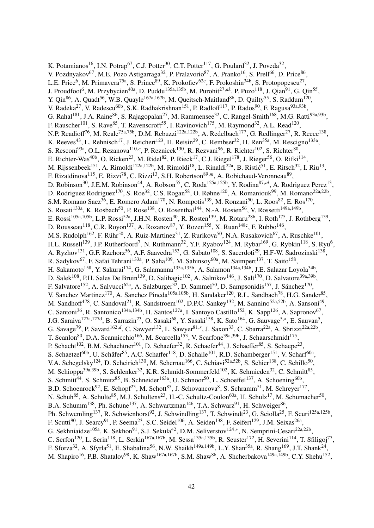K. Potamianos<sup>16</sup>, I.N. Potrap<sup>67</sup>, C.J. Potter<sup>30</sup>, C.T. Potter<sup>117</sup>, G. Poulard<sup>32</sup>, J. Poveda<sup>32</sup>, V. Pozdnyakov<sup>67</sup>, M.E. Pozo Astigarraga<sup>32</sup>, P. Pralavorio<sup>87</sup>, A. Pranko<sup>16</sup>, S. Prell<sup>66</sup>, D. Price<sup>86</sup>, L.E. Price<sup>6</sup>, M. Primavera<sup>75a</sup>, S. Prince<sup>89</sup>, K. Prokofiev<sup>62c</sup>, F. Prokoshin<sup>34b</sup>, S. Protopopescu<sup>27</sup>, J. Proudfoot<sup>6</sup>, M. Przybycien<sup>40a</sup>, D. Puddu<sup>135a,135b</sup>, M. Purohit<sup>27,ak</sup>, P. Puzo<sup>118</sup>, J. Qian<sup>91</sup>, G. Qin<sup>55</sup>, Y. Qin<sup>86</sup>, A. Quadt<sup>56</sup>, W.B. Quayle<sup>167a,167b</sup>, M. Queitsch-Maitland<sup>86</sup>, D. Quilty<sup>55</sup>, S. Raddum<sup>120</sup>, V. Radeka<sup>27</sup>, V. Radescu<sup>60b</sup>, S.K. Radhakrishnan<sup>151</sup>, P. Radloff<sup>117</sup>, P. Rados<sup>90</sup>, F. Ragusa<sup>93a,93b</sup>, G. Rahal<sup>181</sup>, J.A. Raine<sup>86</sup>, S. Rajagopalan<sup>27</sup>, M. Rammensee<sup>32</sup>, C. Rangel-Smith<sup>168</sup>, M.G. Ratti<sup>93a,93b</sup>, F. Rauscher<sup>101</sup>, S. Rave<sup>85</sup>, T. Ravenscroft<sup>55</sup>, I. Ravinovich<sup>175</sup>, M. Raymond<sup>32</sup>, A.L. Read<sup>120</sup>, N.P. Readioff<sup>76</sup>, M. Reale<sup>75a,75b</sup>, D.M. Rebuzzi<sup>122a,122b</sup>, A. Redelbach<sup>177</sup>, G. Redlinger<sup>27</sup>, R. Reece<sup>138</sup>, K. Reeves<sup>43</sup>, L. Rehnisch<sup>17</sup>, J. Reichert<sup>123</sup>, H. Reisin<sup>29</sup>, C. Rembser<sup>32</sup>, H. Ren<sup>35a</sup>, M. Rescigno<sup>133a</sup>, S. Resconi<sup>93a</sup>, O.L. Rezanova<sup>110,*c*</sup>, P. Reznicek<sup>130</sup>, R. Rezvani<sup>96</sup>, R. Richter<sup>102</sup>, S. Richter<sup>80</sup>, E. Richter-Was<sup>40b</sup>, O. Ricken<sup>23</sup>, M. Ridel<sup>82</sup>, P. Rieck<sup>17</sup>, C.J. Riegel<sup>178</sup>, J. Rieger<sup>56</sup>, O. Rifki<sup>114</sup>, M. Rijssenbeek<sup>151</sup>, A. Rimoldi<sup>122a,122b</sup>, M. Rimoldi<sup>18</sup>, L. Rinaldi<sup>22a</sup>, B. Ristić<sup>51</sup>, E. Ritsch<sup>32</sup>, I. Riu<sup>13</sup>, F. Rizatdinova<sup>115</sup>, E. Rizvi<sup>78</sup>, C. Rizzi<sup>13</sup>, S.H. Robertson<sup>89,*m*</sup>, A. Robichaud-Veronneau<sup>89</sup>, D. Robinson<sup>30</sup>, J.E.M. Robinson<sup>44</sup>, A. Robson<sup>55</sup>, C. Roda<sup>125a,125b</sup>, Y. Rodina<sup>87,*al*</sup>, A. Rodriguez Perez<sup>13</sup>, D. Rodriguez Rodriguez<sup>170</sup>, S. Roe<sup>32</sup>, C.S. Rogan<sup>58</sup>, O. Røhne<sup>120</sup>, A. Romaniouk<sup>99</sup>, M. Romano<sup>22a,22b</sup>, S.M. Romano Saez<sup>36</sup>, E. Romero Adam<sup>170</sup>, N. Rompotis<sup>139</sup>, M. Ronzani<sup>50</sup>, L. Roos<sup>82</sup>, E. Ros<sup>170</sup>, S. Rosati<sup>133a</sup>, K. Rosbach<sup>50</sup>, P. Rose<sup>138</sup>, O. Rosenthal<sup>144</sup>, N.-A. Rosien<sup>56</sup>, V. Rossetti<sup>149a,149b</sup>, E. Rossi<sup>105a,105b</sup>, L.P. Rossi<sup>52a</sup>, J.H.N. Rosten<sup>30</sup>, R. Rosten<sup>139</sup>, M. Rotaru<sup>28b</sup>, I. Roth<sup>175</sup>, J. Rothberg<sup>139</sup>, D. Rousseau<sup>118</sup>, C.R. Royon<sup>137</sup>, A. Rozanov<sup>87</sup>, Y. Rozen<sup>155</sup>, X. Ruan<sup>148c</sup>, F. Rubbo<sup>146</sup>, M.S. Rudolph<sup>162</sup>, F. Rühr<sup>50</sup>, A. Ruiz-Martinez<sup>31</sup>, Z. Rurikova<sup>50</sup>, N.A. Rusakovich<sup>67</sup>, A. Ruschke<sup>101</sup>, H.L. Russell<sup>139</sup>, J.P. Rutherfoord<sup>7</sup>, N. Ruthmann<sup>32</sup>, Y.F. Ryabov<sup>124</sup>, M. Rybar<sup>169</sup>, G. Rybkin<sup>118</sup>, S. Ryu<sup>6</sup>, A. Ryzhov<sup>131</sup>, G.F. Rzehorz<sup>56</sup>, A.F. Saavedra<sup>153</sup>, G. Sabato<sup>108</sup>, S. Sacerdoti<sup>29</sup>, H.F-W. Sadrozinski<sup>138</sup>, R. Sadykov<sup>67</sup>, F. Safai Tehrani<sup>133a</sup>, P. Saha<sup>109</sup>, M. Sahinsoy<sup>60a</sup>, M. Saimpert<sup>137</sup>, T. Saito<sup>158</sup>, H. Sakamoto<sup>158</sup>, Y. Sakurai<sup>174</sup>, G. Salamanna<sup>135a,135b</sup>, A. Salamon<sup>134a,134b</sup>, J.E. Salazar Loyola<sup>34b</sup>, D. Salek<sup>108</sup>, P.H. Sales De Bruin<sup>139</sup>, D. Salihagic<sup>102</sup>, A. Salnikov<sup>146</sup>, J. Salt<sup>170</sup>, D. Salvatore<sup>39a,39b</sup>, F. Salvatore<sup>152</sup>, A. Salvucci<sup>62a</sup>, A. Salzburger<sup>32</sup>, D. Sammel<sup>50</sup>, D. Sampsonidis<sup>157</sup>, J. Sánchez<sup>170</sup>, V. Sanchez Martinez<sup>170</sup>, A. Sanchez Pineda<sup>105a,105b</sup>, H. Sandaker<sup>120</sup>, R.L. Sandbach<sup>78</sup>, H.G. Sander<sup>85</sup>, M. Sandhoff<sup>178</sup>, C. Sandoval<sup>21</sup>, R. Sandstroem<sup>102</sup>, D.P.C. Sankey<sup>132</sup>, M. Sannino<sup>52a,52b</sup>, A. Sansoni<sup>49</sup>, C. Santoni<sup>36</sup>, R. Santonico<sup>134a,134b</sup>, H. Santos<sup>127a</sup>, I. Santoyo Castillo<sup>152</sup>, K. Sapp<sup>126</sup>, A. Sapronov<sup>67</sup>, J.G. Saraiva<sup>127a,127d</sup>, B. Sarrazin<sup>23</sup>, O. Sasaki<sup>68</sup>, Y. Sasaki<sup>158</sup>, K. Sato<sup>164</sup>, G. Sauvage<sup>5,∗</sup>, E. Sauvan<sup>5</sup>, G. Savage<sup>79</sup>, P. Savard<sup>162,d</sup>, C. Sawyer<sup>132</sup>, L. Sawyer<sup>81,r</sup>, J. Saxon<sup>33</sup>, C. Sbarra<sup>22a</sup>, A. Sbrizzi<sup>22a,22b</sup>, T. Scanlon<sup>80</sup>, D.A. Scannicchio<sup>166</sup>, M. Scarcella<sup>153</sup>, V. Scarfone<sup>39a,39b</sup>, J. Schaarschmidt<sup>175</sup>, P. Schacht<sup>102</sup>, B.M. Schachtner<sup>101</sup>, D. Schaefer<sup>32</sup>, R. Schaefer<sup>44</sup>, J. Schaeffer<sup>85</sup>, S. Schaepe<sup>23</sup>, S. Schaetzel<sup>60b</sup>, U. Schäfer<sup>85</sup>, A.C. Schaffer<sup>118</sup>, D. Schaile<sup>101</sup>, R.D. Schamberger<sup>151</sup>, V. Scharf<sup>60a</sup>, V.A. Schegelsky<sup>124</sup>, D. Scheirich<sup>130</sup>, M. Schernau<sup>166</sup>, C. Schiavi<sup>52a,52b</sup>, S. Schier<sup>138</sup>, C. Schillo<sup>50</sup>, M. Schioppa<sup>39a,39b</sup>, S. Schlenker<sup>32</sup>, K.R. Schmidt-Sommerfeld<sup>102</sup>, K. Schmieden<sup>32</sup>, C. Schmitt<sup>85</sup>, S. Schmitt<sup>44</sup>, S. Schmitz<sup>85</sup>, B. Schneider<sup>163a</sup>, U. Schnoor<sup>50</sup>, L. Schoeffel<sup>137</sup>, A. Schoening<sup>60b</sup>, B.D. Schoenrock<sup>92</sup>, E. Schopf<sup>23</sup>, M. Schott<sup>85</sup>, J. Schovancova<sup>8</sup>, S. Schramm<sup>51</sup>, M. Schreyer<sup>177</sup>, N. Schuh<sup>85</sup>, A. Schulte<sup>85</sup>, M.J. Schultens<sup>23</sup>, H.-C. Schultz-Coulon<sup>60a</sup>, H. Schulz<sup>17</sup>, M. Schumacher<sup>50</sup>, B.A. Schumm<sup>138</sup>, Ph. Schune<sup>137</sup>, A. Schwartzman<sup>146</sup>, T.A. Schwarz<sup>91</sup>, H. Schweiger<sup>86</sup>, Ph. Schwemling<sup>137</sup>, R. Schwienhorst<sup>92</sup>, J. Schwindling<sup>137</sup>, T. Schwindt<sup>23</sup>, G. Sciolla<sup>25</sup>, F. Scuri<sup>125a,125b</sup>, F. Scutti<sup>90</sup>, J. Searcy<sup>91</sup>, P. Seema<sup>23</sup>, S.C. Seidel<sup>106</sup>, A. Seiden<sup>138</sup>, F. Seifert<sup>129</sup>, J.M. Seixas<sup>26a</sup>, G. Sekhniaidze<sup>105a</sup>, K. Sekhon<sup>91</sup>, S.J. Sekula<sup>42</sup>, D.M. Seliverstov<sup>124,∗</sup>, N. Semprini-Cesari<sup>22a,22b</sup>, C. Serfon<sup>120</sup>, L. Serin<sup>118</sup>, L. Serkin<sup>167a,167b</sup>, M. Sessa<sup>135a,135b</sup>, R. Seuster<sup>172</sup>, H. Severini<sup>114</sup>, T. Sfiligoj<sup>77</sup>, F. Sforza<sup>32</sup>, A. Sfyrla<sup>51</sup>, E. Shabalina<sup>56</sup>, N.W. Shaikh<sup>149a,149b</sup>, L.Y. Shan<sup>35a</sup>, R. Shang<sup>169</sup>, J.T. Shank<sup>24</sup>, M. Shapiro<sup>16</sup>, P.B. Shatalov<sup>98</sup>, K. Shaw<sup>167a,167b</sup>, S.M. Shaw<sup>86</sup>, A. Shcherbakova<sup>149a,149b</sup>, C.Y. Shehu<sup>152</sup>,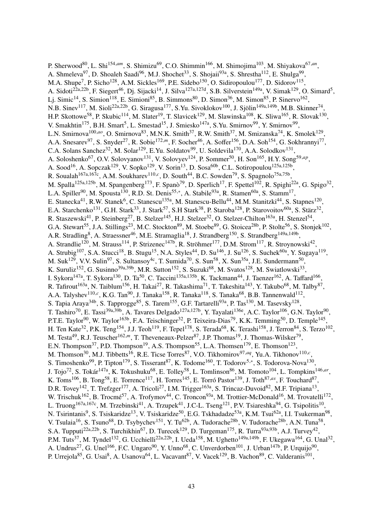P. Sherwood<sup>80</sup>, L. Shi<sup>154,am</sup>, S. Shimizu<sup>69</sup>, C.O. Shimmin<sup>166</sup>, M. Shimojima<sup>103</sup>, M. Shiyakova<sup>67,an</sup>, A. Shmeleva<sup>97</sup>, D. Shoaleh Saadi<sup>96</sup>, M.J. Shochet<sup>33</sup>, S. Shojaii<sup>93a</sup>, S. Shrestha<sup>112</sup>, E. Shulga<sup>99</sup>, M.A. Shupe<sup>7</sup>, P. Sicho<sup>128</sup>, A.M. Sickles<sup>169</sup>, P.E. Sidebo<sup>150</sup>, O. Sidiropoulou<sup>177</sup>, D. Sidorov<sup>115</sup>, A. Sidoti<sup>22a,22b</sup>, F. Siegert<sup>46</sup>, Dj. Sijacki<sup>14</sup>, J. Silva<sup>127a,127d</sup>, S.B. Silverstein<sup>149a</sup>, V. Simak<sup>129</sup>, O. Simard<sup>5</sup>, Lj. Simic<sup>14</sup>, S. Simion<sup>118</sup>, E. Simioni<sup>85</sup>, B. Simmons<sup>80</sup>, D. Simon<sup>36</sup>, M. Simon<sup>85</sup>, P. Sinervo<sup>162</sup>, N.B. Sinev<sup>117</sup>, M. Sioli<sup>22a,22b</sup>, G. Siragusa<sup>177</sup>, S.Yu. Sivoklokov<sup>100</sup>, J. Sjölin<sup>149a,149b</sup>, M.B. Skinner<sup>74</sup>, H.P. Skottowe<sup>58</sup>, P. Skubic<sup>114</sup>, M. Slater<sup>19</sup>, T. Slavicek<sup>129</sup>, M. Slawinska<sup>108</sup>, K. Sliwa<sup>165</sup>, R. Slovak<sup>130</sup>, V. Smakhtin<sup>175</sup>, B.H. Smart<sup>5</sup>, L. Smestad<sup>15</sup>, J. Smiesko<sup>147a</sup>, S.Yu. Smirnov<sup>99</sup>, Y. Smirnov<sup>99</sup>, L.N. Smirnova<sup>100,ao</sup>, O. Smirnova<sup>83</sup>, M.N.K. Smith<sup>37</sup>, R.W. Smith<sup>37</sup>, M. Smizanska<sup>74</sup>, K. Smolek<sup>129</sup>, A.A. Snesarev<sup>97</sup>, S. Snyder<sup>27</sup>, R. Sobie<sup>172,*m*</sup>, F. Socher<sup>46</sup>, A. Soffer<sup>156</sup>, D.A. Soh<sup>154</sup>, G. Sokhrannyi<sup>77</sup>, C.A. Solans Sanchez<sup>32</sup>, M. Solar<sup>129</sup>, E.Yu. Soldatov<sup>99</sup>, U. Soldevila<sup>170</sup>, A.A. Solodkov<sup>131</sup>, A. Soloshenko<sup>67</sup>, O.V. Solovyanov<sup>131</sup>, V. Solovyev<sup>124</sup>, P. Sommer<sup>50</sup>, H. Son<sup>165</sup>, H.Y. Song<sup>59,ap</sup>, A. Sood<sup>16</sup>, A. Sopczak<sup>129</sup>, V. Sopko<sup>129</sup>, V. Sorin<sup>13</sup>, D. Sosa<sup>60b</sup>, C.L. Sotiropoulou<sup>125a,125b</sup>, R. Soualah<sup>167a,167c</sup>, A.M. Soukharev<sup>110,c</sup>, D. South<sup>44</sup>, B.C. Sowden<sup>79</sup>, S. Spagnolo<sup>75a,75b</sup>, M. Spalla<sup>125a,125b</sup>, M. Spangenberg<sup>173</sup>, F. Spanò<sup>79</sup>, D. Sperlich<sup>17</sup>, F. Spettel<sup>102</sup>, R. Spighi<sup>22a</sup>, G. Spigo<sup>32</sup>, L.A. Spiller<sup>90</sup>, M. Spousta<sup>130</sup>, R.D. St. Denis<sup>55,\*</sup>, A. Stabile<sup>93a</sup>, R. Stamen<sup>60a</sup>, S. Stamm<sup>17</sup>, E. Stanecka<sup>41</sup>, R.W. Stanek<sup>6</sup>, C. Stanescu<sup>135a</sup>, M. Stanescu-Bellu<sup>44</sup>, M.M. Stanitzki<sup>44</sup>, S. Stapnes<sup>120</sup>, E.A. Starchenko<sup>131</sup>, G.H. Stark<sup>33</sup>, J. Stark<sup>57</sup>, S.H Stark<sup>38</sup>, P. Staroba<sup>128</sup>, P. Starovoitov<sup>60a</sup>, S. Stärz<sup>32</sup>, R. Staszewski<sup>41</sup>, P. Steinberg<sup>27</sup>, B. Stelzer<sup>145</sup>, H.J. Stelzer<sup>32</sup>, O. Stelzer-Chilton<sup>163a</sup>, H. Stenzel<sup>54</sup>, G.A. Stewart<sup>55</sup>, J.A. Stillings<sup>23</sup>, M.C. Stockton<sup>89</sup>, M. Stoebe<sup>89</sup>, G. Stoicea<sup>28b</sup>, P. Stolte<sup>56</sup>, S. Stonjek<sup>102</sup>, A.R. Stradling<sup>8</sup>, A. Straessner<sup>46</sup>, M.E. Stramaglia<sup>18</sup>, J. Strandberg<sup>150</sup>, S. Strandberg<sup>149a,149b</sup>, A. Strandlie<sup>120</sup>, M. Strauss<sup>114</sup>, P. Strizenec<sup>147b</sup>, R. Ströhmer<sup>177</sup>, D.M. Strom<sup>117</sup>, R. Stroynowski<sup>42</sup>, A. Strubig<sup>107</sup>, S.A. Stucci<sup>18</sup>, B. Stugu<sup>15</sup>, N.A. Styles<sup>44</sup>, D. Su<sup>146</sup>, J. Su<sup>126</sup>, S. Suchek<sup>60a</sup>, Y. Sugaya<sup>119</sup>, M. Suk<sup>129</sup>, V.V. Sulin<sup>97</sup>, S. Sultansoy<sup>4c</sup>, T. Sumida<sup>70</sup>, S. Sun<sup>58</sup>, X. Sun<sup>35a</sup>, J.E. Sundermann<sup>50</sup>, K. Suruliz<sup>152</sup>, G. Susinno<sup>39a,39b</sup>, M.R. Sutton<sup>152</sup>, S. Suzuki<sup>68</sup>, M. Svatos<sup>128</sup>, M. Swiatlowski<sup>33</sup>, I. Sykora<sup>147a</sup>, T. Sykora<sup>130</sup>, D. Ta<sup>50</sup>, C. Taccini<sup>135a,135b</sup>, K. Tackmann<sup>44</sup>, J. Taenzer<sup>162</sup>, A. Taffard<sup>166</sup>, R. Tafirout<sup>163a</sup>, N. Taiblum<sup>156</sup>, H. Takai<sup>27</sup>, R. Takashima<sup>71</sup>, T. Takeshita<sup>143</sup>, Y. Takubo<sup>68</sup>, M. Talby<sup>87</sup>, A.A. Talyshev<sup>110,*c*</sup>, K.G. Tan<sup>90</sup>, J. Tanaka<sup>158</sup>, R. Tanaka<sup>118</sup>, S. Tanaka<sup>68</sup>, B.B. Tannenwald<sup>112</sup>, S. Tapia Araya<sup>34b</sup>, S. Tapprogge<sup>85</sup>, S. Tarem<sup>155</sup>, G.F. Tartarelli<sup>93a</sup>, P. Tas<sup>130</sup>, M. Tasevsky<sup>128</sup>, T. Tashiro<sup>70</sup>, E. Tassi<sup>39a,39b</sup>, A. Tavares Delgado<sup>127a,127b</sup>, Y. Tayalati<sup>136e</sup>, A.C. Taylor<sup>106</sup>, G.N. Taylor<sup>90</sup>, P.T.E. Taylor<sup>90</sup>, W. Taylor<sup>163b</sup>, F.A. Teischinger<sup>32</sup>, P. Teixeira-Dias<sup>79</sup>, K.K. Temming<sup>50</sup>, D. Temple<sup>145</sup>, H. Ten Kate<sup>32</sup>, P.K. Teng<sup>154</sup>, J.J. Teoh<sup>119</sup>, F. Tepel<sup>178</sup>, S. Terada<sup>68</sup>, K. Terashi<sup>158</sup>, J. Terron<sup>84</sup>, S. Terzo<sup>102</sup>, M. Testa<sup>49</sup>, R.J. Teuscher<sup>162,m</sup>, T. Theveneaux-Pelzer<sup>87</sup>, J.P. Thomas<sup>19</sup>, J. Thomas-Wilsker<sup>79</sup>, E.N. Thompson<sup>37</sup>, P.D. Thompson<sup>19</sup>, A.S. Thompson<sup>55</sup>, L.A. Thomsen<sup>179</sup>, E. Thomson<sup>123</sup>, M. Thomson<sup>30</sup>, M.J. Tibbetts<sup>16</sup>, R.E. Ticse Torres<sup>87</sup>, V.O. Tikhomirov<sup>97,aq</sup>, Yu.A. Tikhonov<sup>110,*c*</sup>, S. Timoshenko<sup>99</sup>, P. Tipton<sup>179</sup>, S. Tisserant<sup>87</sup>, K. Todome<sup>160</sup>, T. Todorov<sup>5,\*</sup>, S. Todorova-Nova<sup>130</sup>, J. Tojo<sup>72</sup>, S. Tokár<sup>147a</sup>, K. Tokushuku<sup>68</sup>, E. Tolley<sup>58</sup>, L. Tomlinson<sup>86</sup>, M. Tomoto<sup>104</sup>, L. Tompkins<sup>146,ar</sup>, K. Toms<sup>106</sup>, B. Tong<sup>58</sup>, E. Torrence<sup>117</sup>, H. Torres<sup>145</sup>, E. Torró Pastor<sup>139</sup>, J. Toth<sup>87,*as*</sup>, F. Touchard<sup>87</sup>, D.R. Tovey<sup>142</sup>, T. Trefzger<sup>177</sup>, A. Tricoli<sup>27</sup>, I.M. Trigger<sup>163a</sup>, S. Trincaz-Duvoid<sup>82</sup>, M.F. Tripiana<sup>13</sup>, W. Trischuk<sup>162</sup>, B. Trocmé<sup>57</sup>, A. Trofymov<sup>44</sup>, C. Troncon<sup>93a</sup>, M. Trottier-McDonald<sup>16</sup>, M. Trovatelli<sup>172</sup>, L. Truong $^{167a,167c}$ , M. Trzebinski $^{41}$ , A. Trzupek $^{41}$ , J.C-L. Tseng $^{121}$ , P.V. Tsiareshka $^{94}$ , G. Tsipolitis $^{10}$ , N. Tsirintanis<sup>9</sup>, S. Tsiskaridze<sup>13</sup>, V. Tsiskaridze<sup>50</sup>, E.G. Tskhadadze<sup>53a</sup>, K.M. Tsui<sup>62a</sup>, I.I. Tsukerman<sup>98</sup>, V. Tsulaia<sup>16</sup>, S. Tsuno<sup>68</sup>, D. Tsybychev<sup>151</sup>, Y. Tu<sup>62b</sup>, A. Tudorache<sup>28b</sup>, V. Tudorache<sup>28b</sup>, A.N. Tuna<sup>58</sup>, S.A. Tupputi<sup>22a,22b</sup>, S. Turchikhin<sup>67</sup>, D. Turecek<sup>129</sup>, D. Turgeman<sup>175</sup>, R. Turra<sup>93a,93b</sup>, A.J. Turvey<sup>42</sup>, P.M. Tuts<sup>37</sup>, M. Tyndel<sup>132</sup>, G. Ucchielli<sup>22a,22b</sup>, I. Ueda<sup>158</sup>, M. Ughetto<sup>149a,149b</sup>, F. Ukegawa<sup>164</sup>, G. Unal<sup>32</sup>, A. Undrus<sup>27</sup>, G. Unel<sup>166</sup>, F.C. Ungaro<sup>90</sup>, Y. Unno<sup>68</sup>, C. Unverdorben<sup>101</sup>, J. Urban<sup>147b</sup>, P. Urquijo<sup>90</sup>, P. Urrejola<sup>85</sup>, G. Usai<sup>8</sup>, A. Usanova<sup>64</sup>, L. Vacavant<sup>87</sup>, V. Vacek<sup>129</sup>, B. Vachon<sup>89</sup>, C. Valderanis<sup>101</sup>,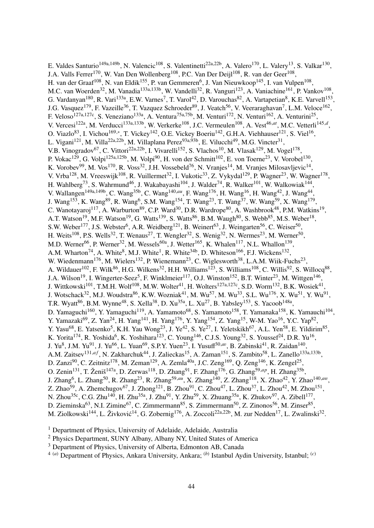E. Valdes Santurio<sup>149a,149b</sup>, N. Valencic<sup>108</sup>, S. Valentinetti<sup>22a,22b</sup>, A. Valero<sup>170</sup>, L. Valery<sup>13</sup>, S. Valkar<sup>130</sup>, J.A. Valls Ferrer<sup>170</sup>, W. Van Den Wollenberg<sup>108</sup>, P.C. Van Der Deijl<sup>108</sup>, R. van der Geer<sup>108</sup>, H. van der Graaf<sup>108</sup>, N. van Eldik<sup>155</sup>, P. van Gemmeren<sup>6</sup>, J. Van Nieuwkoop<sup>145</sup>, I. van Vulpen<sup>108</sup>, M.C. van Woerden<sup>32</sup>, M. Vanadia<sup>133a,133b</sup>, W. Vandelli<sup>32</sup>, R. Vanguri<sup>123</sup>, A. Vaniachine<sup>161</sup>, P. Vankov<sup>108</sup>, G. Vardanyan<sup>180</sup>, R. Vari<sup>133a</sup>, E.W. Varnes<sup>7</sup>, T. Varol<sup>42</sup>, D. Varouchas<sup>82</sup>, A. Vartapetian<sup>8</sup>, K.E. Varvell<sup>153</sup>, J.G. Vasquez<sup>179</sup>, F. Vazeille<sup>36</sup>, T. Vazquez Schroeder<sup>89</sup>, J. Veatch<sup>56</sup>, V. Veeraraghavan<sup>7</sup>, L.M. Veloce<sup>162</sup>, F. Veloso<sup>127a,127c</sup>, S. Veneziano<sup>133a</sup>, A. Ventura<sup>75a,75b</sup>, M. Venturi<sup>172</sup>, N. Venturi<sup>162</sup>, A. Venturini<sup>25</sup>, V. Vercesi<sup>122a</sup>, M. Verducci<sup>133a,133b</sup>, W. Verkerke<sup>108</sup>, J.C. Vermeulen<sup>108</sup>, A. Vest<sup>46,*at*</sup>, M.C. Vetterli<sup>145,*d*</sup>, O. Viazlo<sup>83</sup>, I. Vichou<sup>169,∗</sup>, T. Vickey<sup>142</sup>, O.E. Vickey Boeriu<sup>142</sup>, G.H.A. Viehhauser<sup>121</sup>, S. Viel<sup>16</sup>, L. Vigani<sup>121</sup>, M. Villa<sup>22a,22b</sup>, M. Villaplana Perez<sup>93a,93b</sup>, E. Vilucchi<sup>49</sup>, M.G. Vincter<sup>31</sup>, V.B. Vinogradov<sup>67</sup>, C. Vittori<sup>22a,22b</sup>, I. Vivarelli<sup>152</sup>, S. Vlachos<sup>10</sup>, M. Vlasak<sup>129</sup>, M. Vogel<sup>178</sup>, P. Vokac<sup>129</sup>, G. Volpi<sup>125a,125b</sup>, M. Volpi<sup>90</sup>, H. von der Schmitt<sup>102</sup>, E. von Toerne<sup>23</sup>, V. Vorobel<sup>130</sup>, K. Vorobev<sup>99</sup>, M. Vos<sup>170</sup>, R. Voss<sup>32</sup>, J.H. Vossebeld<sup>76</sup>, N. Vranjes<sup>14</sup>, M. Vranjes Milosavljevic<sup>14</sup>, V. Vrba<sup>128</sup>, M. Vreeswijk<sup>108</sup>, R. Vuillermet<sup>32</sup>, I. Vukotic<sup>33</sup>, Z. Vykydal<sup>129</sup>, P. Wagner<sup>23</sup>, W. Wagner<sup>178</sup>, H. Wahlberg<sup>73</sup>, S. Wahrmund<sup>46</sup>, J. Wakabayashi<sup>104</sup>, J. Walder<sup>74</sup>, R. Walker<sup>101</sup>, W. Walkowiak<sup>144</sup>, V. Wallangen<sup>149a,149b</sup>, C. Wang<sup>35b</sup>, C. Wang<sup>140,*au*</sup>, F. Wang<sup>176</sup>, H. Wang<sup>16</sup>, H. Wang<sup>42</sup>, J. Wang<sup>44</sup>, J. Wang<sup>153</sup>, K. Wang<sup>89</sup>, R. Wang<sup>6</sup>, S.M. Wang<sup>154</sup>, T. Wang<sup>23</sup>, T. Wang<sup>37</sup>, W. Wang<sup>59</sup>, X. Wang<sup>179</sup>, C. Wanotayaroj<sup>117</sup>, A. Warburton<sup>89</sup>, C.P. Ward<sup>30</sup>, D.R. Wardrope<sup>80</sup>, A. Washbrook<sup>48</sup>, P.M. Watkins<sup>19</sup>, A.T. Watson<sup>19</sup>, M.F. Watson<sup>19</sup>, G. Watts<sup>139</sup>, S. Watts<sup>86</sup>, B.M. Waugh<sup>80</sup>, S. Webb<sup>85</sup>, M.S. Weber<sup>18</sup>, S.W. Weber<sup>177</sup>, J.S. Webster<sup>6</sup>, A.R. Weidberg<sup>121</sup>, B. Weinert<sup>63</sup>, J. Weingarten<sup>56</sup>, C. Weiser<sup>50</sup>, H. Weits<sup>108</sup>, P.S. Wells<sup>32</sup>, T. Wenaus<sup>27</sup>, T. Wengler<sup>32</sup>, S. Wenig<sup>32</sup>, N. Wermes<sup>23</sup>, M. Werner<sup>50</sup>, M.D. Werner<sup>66</sup>, P. Werner<sup>32</sup>, M. Wessels<sup>60a</sup>, J. Wetter<sup>165</sup>, K. Whalen<sup>117</sup>, N.L. Whallon<sup>139</sup>, A.M. Wharton<sup>74</sup>, A. White<sup>8</sup>, M.J. White<sup>1</sup>, R. White<sup>34b</sup>, D. Whiteson<sup>166</sup>, F.J. Wickens<sup>132</sup>, W. Wiedenmann<sup>176</sup>, M. Wielers<sup>132</sup>, P. Wienemann<sup>23</sup>, C. Wiglesworth<sup>38</sup>, L.A.M. Wiik-Fuchs<sup>23</sup>, A. Wildauer<sup>102</sup>, F. Wilk<sup>86</sup>, H.G. Wilkens<sup>32</sup>, H.H. Williams<sup>123</sup>, S. Williams<sup>108</sup>, C. Willis<sup>92</sup>, S. Willocq<sup>88</sup>, J.A. Wilson<sup>19</sup>, I. Wingerter-Seez<sup>5</sup>, F. Winklmeier<sup>117</sup>, O.J. Winston<sup>152</sup>, B.T. Winter<sup>23</sup>, M. Wittgen<sup>146</sup>, J. Wittkowski<sup>101</sup>, T.M.H. Wolf<sup>108</sup>, M.W. Wolter<sup>41</sup>, H. Wolters<sup>127a,127c</sup>, S.D. Worm<sup>132</sup>, B.K. Wosiek<sup>41</sup>, J. Wotschack<sup>32</sup>, M.J. Woudstra<sup>86</sup>, K.W. Wozniak<sup>41</sup>, M. Wu<sup>57</sup>, M. Wu<sup>33</sup>, S.L. Wu<sup>176</sup>, X. Wu<sup>51</sup>, Y. Wu<sup>91</sup>, T.R. Wyatt<sup>86</sup>, B.M. Wynne<sup>48</sup>, S. Xella<sup>38</sup>, D. Xu<sup>35a</sup>, L. Xu<sup>27</sup>, B. Yabsley<sup>153</sup>, S. Yacoob<sup>148a</sup>, D. Yamaguchi<sup>160</sup>, Y. Yamaguchi<sup>119</sup>, A. Yamamoto<sup>68</sup>, S. Yamamoto<sup>158</sup>, T. Yamanaka<sup>158</sup>, K. Yamauchi<sup>104</sup>, Y. Yamazaki<sup>69</sup>, Z. Yan<sup>24</sup>, H. Yang<sup>141</sup>, H. Yang<sup>176</sup>, Y. Yang<sup>154</sup>, Z. Yang<sup>15</sup>, W-M. Yao<sup>16</sup>, Y.C. Yap<sup>82</sup>, Y. Yasu<sup>68</sup>, E. Yatsenko<sup>5</sup>, K.H. Yau Wong<sup>23</sup>, J. Ye<sup>42</sup>, S. Ye<sup>27</sup>, I. Yeletskikh<sup>67</sup>, A.L. Yen<sup>58</sup>, E. Yildirim<sup>85</sup>, K. Yorita<sup>174</sup>, R. Yoshida<sup>6</sup>, K. Yoshihara<sup>123</sup>, C. Young<sup>146</sup>, C.J.S. Young<sup>32</sup>, S. Youssef<sup>24</sup>, D.R. Yu<sup>16</sup>, J. Yu<sup>8</sup>, J.M. Yu<sup>91</sup>, J. Yu<sup>66</sup>, L. Yuan<sup>69</sup>, S.P.Y. Yuen<sup>23</sup>, I. Yusuff<sup>30,*av*</sup>, B. Zabinski<sup>41</sup>, R. Zaidan<sup>140</sup>, A.M. Zaitsev<sup>131,af</sup>, N. Zakharchuk<sup>44</sup>, J. Zalieckas<sup>15</sup>, A. Zaman<sup>151</sup>, S. Zambito<sup>58</sup>, L. Zanello<sup>133a,133b</sup>, D. Zanzi<sup>90</sup>, C. Zeitnitz<sup>178</sup>, M. Zeman<sup>129</sup>, A. Zemla<sup>40a</sup>, J.C. Zeng<sup>169</sup>, Q. Zeng<sup>146</sup>, K. Zengel<sup>25</sup>, O. Zenin<sup>131</sup>, T. Ženiš<sup>147a</sup>, D. Zerwas<sup>118</sup>, D. Zhang<sup>91</sup>, F. Zhang<sup>176</sup>, G. Zhang<sup>59,*ap*</sup>, H. Zhang<sup>35b</sup>, J. Zhang<sup>6</sup>, L. Zhang<sup>50</sup>, R. Zhang<sup>23</sup>, R. Zhang<sup>59,*au*</sup>, X. Zhang<sup>140</sup>, Z. Zhang<sup>118</sup>, X. Zhao<sup>42</sup>, Y. Zhao<sup>140,*aw*,</sup> Z. Zhao<sup>59</sup>, A. Zhemchugov<sup>67</sup>, J. Zhong<sup>121</sup>, B. Zhou<sup>91</sup>, C. Zhou<sup>47</sup>, L. Zhou<sup>37</sup>, L. Zhou<sup>42</sup>, M. Zhou<sup>151</sup>, N. Zhou<sup>35c</sup>, C.G. Zhu<sup>140</sup>, H. Zhu<sup>35a</sup>, J. Zhu<sup>91</sup>, Y. Zhu<sup>59</sup>, X. Zhuang<sup>35a</sup>, K. Zhukov<sup>97</sup>, A. Zibell<sup>177</sup>, D. Zieminska<sup>63</sup>, N.I. Zimine<sup>67</sup>, C. Zimmermann<sup>85</sup>, S. Zimmermann<sup>50</sup>, Z. Zinonos<sup>56</sup>, M. Zinser<sup>85</sup>, M. Ziolkowski<sup>144</sup>, L. Živković<sup>14</sup>, G. Zobernig<sup>176</sup>, A. Zoccoli<sup>22a,22b</sup>, M. zur Nedden<sup>17</sup>, L. Zwalinski<sup>32</sup>.

<sup>&</sup>lt;sup>1</sup> Department of Physics, University of Adelaide, Adelaide, Australia

<sup>2</sup> Physics Department, SUNY Albany, Albany NY, United States of America

<sup>3</sup> Department of Physics, University of Alberta, Edmonton AB, Canada

<sup>4 (</sup>*a*) Department of Physics, Ankara University, Ankara; (*b*) Istanbul Aydin University, Istanbul; (*c*)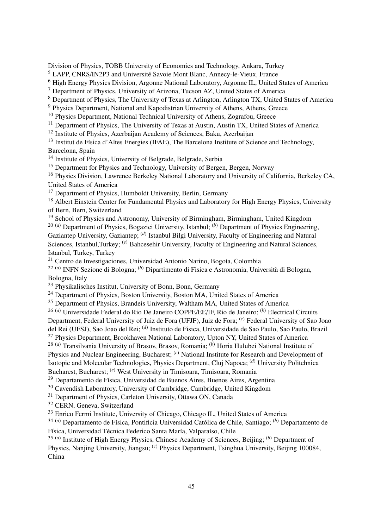Division of Physics, TOBB University of Economics and Technology, Ankara, Turkey

<sup>5</sup> LAPP, CNRS/IN2P3 and Université Savoie Mont Blanc, Annecy-le-Vieux, France

<sup>6</sup> High Energy Physics Division, Argonne National Laboratory, Argonne IL, United States of America

<sup>7</sup> Department of Physics, University of Arizona, Tucson AZ, United States of America

<sup>8</sup> Department of Physics, The University of Texas at Arlington, Arlington TX, United States of America

<sup>9</sup> Physics Department, National and Kapodistrian University of Athens, Athens, Greece

<sup>10</sup> Physics Department, National Technical University of Athens, Zografou, Greece

<sup>11</sup> Department of Physics, The University of Texas at Austin, Austin TX, United States of America

<sup>12</sup> Institute of Physics, Azerbaijan Academy of Sciences, Baku, Azerbaijan

<sup>13</sup> Institut de Física d'Altes Energies (IFAE), The Barcelona Institute of Science and Technology, Barcelona, Spain

<sup>14</sup> Institute of Physics, University of Belgrade, Belgrade, Serbia

<sup>15</sup> Department for Physics and Technology, University of Bergen, Bergen, Norway

<sup>16</sup> Physics Division, Lawrence Berkeley National Laboratory and University of California, Berkeley CA, United States of America

<sup>17</sup> Department of Physics, Humboldt University, Berlin, Germany

<sup>18</sup> Albert Einstein Center for Fundamental Physics and Laboratory for High Energy Physics, University of Bern, Bern, Switzerland

<sup>19</sup> School of Physics and Astronomy, University of Birmingham, Birmingham, United Kingdom 20 (*a*) Department of Physics, Bogazici University, Istanbul; (*b*) Department of Physics Engineering, Gaziantep University, Gaziantep; <sup>(d)</sup> Istanbul Bilgi University, Faculty of Engineering and Natural Sciences, Istanbul,Turkey; <sup>(*e*)</sup> Bahcesehir University, Faculty of Engineering and Natural Sciences, Istanbul, Turkey, Turkey

<sup>21</sup> Centro de Investigaciones, Universidad Antonio Narino, Bogota, Colombia

22 (*a*) INFN Sezione di Bologna; (*b*) Dipartimento di Fisica e Astronomia, Università di Bologna, Bologna, Italy

<sup>23</sup> Physikalisches Institut, University of Bonn, Bonn, Germany

<sup>24</sup> Department of Physics, Boston University, Boston MA, United States of America

<sup>25</sup> Department of Physics, Brandeis University, Waltham MA, United States of America

26 (*a*) Universidade Federal do Rio De Janeiro COPPE/EE/IF, Rio de Janeiro; (*b*) Electrical Circuits Department, Federal University of Juiz de Fora (UFJF), Juiz de Fora; (*c*) Federal University of Sao Joao del Rei (UFSJ), Sao Joao del Rei; (*d*) Instituto de Fisica, Universidade de Sao Paulo, Sao Paulo, Brazil <sup>27</sup> Physics Department, Brookhaven National Laboratory, Upton NY, United States of America 28 (*a*) Transilvania University of Brasov, Brasov, Romania; (*b*) Horia Hulubei National Institute of Physics and Nuclear Engineering, Bucharest; (*c*) National Institute for Research and Development of

Isotopic and Molecular Technologies, Physics Department, Cluj Napoca; (*d*) University Politehnica Bucharest, Bucharest; (*e*) West University in Timisoara, Timisoara, Romania

<sup>29</sup> Departamento de Física, Universidad de Buenos Aires, Buenos Aires, Argentina

<sup>30</sup> Cavendish Laboratory, University of Cambridge, Cambridge, United Kingdom

<sup>31</sup> Department of Physics, Carleton University, Ottawa ON, Canada

<sup>32</sup> CERN, Geneva, Switzerland

<sup>33</sup> Enrico Fermi Institute, University of Chicago, Chicago IL, United States of America

34 (*a*) Departamento de Física, Pontificia Universidad Católica de Chile, Santiago; (*b*) Departamento de Física, Universidad Técnica Federico Santa María, Valparaíso, Chile

35 (*a*) Institute of High Energy Physics, Chinese Academy of Sciences, Beijing; (*b*) Department of Physics, Nanjing University, Jiangsu; (*c*) Physics Department, Tsinghua University, Beijing 100084, China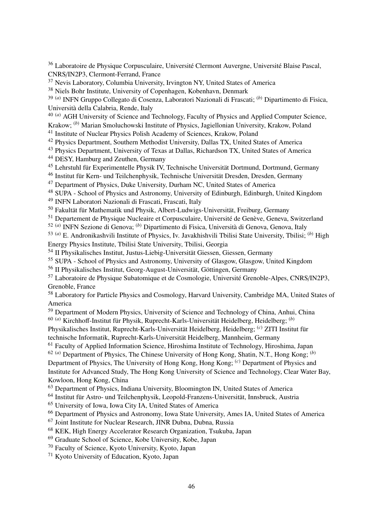Laboratoire de Physique Corpusculaire, Université Clermont Auvergne, Université Blaise Pascal, CNRS/IN2P3, Clermont-Ferrand, France

Nevis Laboratory, Columbia University, Irvington NY, United States of America

Niels Bohr Institute, University of Copenhagen, Kobenhavn, Denmark

39 (*a*) INFN Gruppo Collegato di Cosenza, Laboratori Nazionali di Frascati; (*b*) Dipartimento di Fisica, Università della Calabria, Rende, Italy

<sup>40 (*a*)</sup> AGH University of Science and Technology, Faculty of Physics and Applied Computer Science,

Krakow; (*b*) Marian Smoluchowski Institute of Physics, Jagiellonian University, Krakow, Poland

Institute of Nuclear Physics Polish Academy of Sciences, Krakow, Poland

Physics Department, Southern Methodist University, Dallas TX, United States of America

<sup>43</sup> Physics Department, University of Texas at Dallas, Richardson TX, United States of America

DESY, Hamburg and Zeuthen, Germany

Lehrstuhl für Experimentelle Physik IV, Technische Universität Dortmund, Dortmund, Germany

Institut für Kern- und Teilchenphysik, Technische Universität Dresden, Dresden, Germany

Department of Physics, Duke University, Durham NC, United States of America

SUPA - School of Physics and Astronomy, University of Edinburgh, Edinburgh, United Kingdom

INFN Laboratori Nazionali di Frascati, Frascati, Italy

Fakultät für Mathematik und Physik, Albert-Ludwigs-Universität, Freiburg, Germany

Departement de Physique Nucleaire et Corpusculaire, Université de Genève, Geneva, Switzerland

52 (*a*) INFN Sezione di Genova; (*b*) Dipartimento di Fisica, Università di Genova, Genova, Italy

53 (*a*) E. Andronikashvili Institute of Physics, Iv. Javakhishvili Tbilisi State University, Tbilisi; (*b*) High Energy Physics Institute, Tbilisi State University, Tbilisi, Georgia

II Physikalisches Institut, Justus-Liebig-Universität Giessen, Giessen, Germany

SUPA - School of Physics and Astronomy, University of Glasgow, Glasgow, United Kingdom

II Physikalisches Institut, Georg-August-Universität, Göttingen, Germany

 Laboratoire de Physique Subatomique et de Cosmologie, Université Grenoble-Alpes, CNRS/IN2P3, Grenoble, France

 Laboratory for Particle Physics and Cosmology, Harvard University, Cambridge MA, United States of America

 Department of Modern Physics, University of Science and Technology of China, Anhui, China 60 (*a*) Kirchhoff-Institut für Physik, Ruprecht-Karls-Universität Heidelberg, Heidelberg; (*b*)

Physikalisches Institut, Ruprecht-Karls-Universität Heidelberg, Heidelberg; (*c*) ZITI Institut für

technische Informatik, Ruprecht-Karls-Universität Heidelberg, Mannheim, Germany

<sup>61</sup> Faculty of Applied Information Science, Hiroshima Institute of Technology, Hiroshima, Japan

62 (*a*) Department of Physics, The Chinese University of Hong Kong, Shatin, N.T., Hong Kong; (*b*)

Department of Physics, The University of Hong Kong, Hong Kong; (*c*) Department of Physics and

Institute for Advanced Study, The Hong Kong University of Science and Technology, Clear Water Bay, Kowloon, Hong Kong, China

Department of Physics, Indiana University, Bloomington IN, United States of America

Institut für Astro- und Teilchenphysik, Leopold-Franzens-Universität, Innsbruck, Austria

University of Iowa, Iowa City IA, United States of America

Department of Physics and Astronomy, Iowa State University, Ames IA, United States of America

Joint Institute for Nuclear Research, JINR Dubna, Dubna, Russia

KEK, High Energy Accelerator Research Organization, Tsukuba, Japan

Graduate School of Science, Kobe University, Kobe, Japan

Faculty of Science, Kyoto University, Kyoto, Japan

Kyoto University of Education, Kyoto, Japan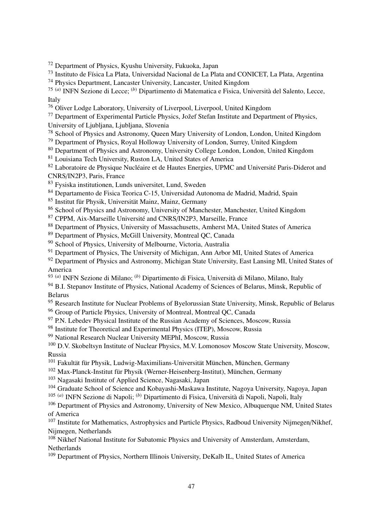<sup>72</sup> Department of Physics, Kyushu University, Fukuoka, Japan

<sup>73</sup> Instituto de Física La Plata, Universidad Nacional de La Plata and CONICET, La Plata, Argentina

<sup>74</sup> Physics Department, Lancaster University, Lancaster, United Kingdom

75 (*a*) INFN Sezione di Lecce; (*b*) Dipartimento di Matematica e Fisica, Università del Salento, Lecce, Italy

<sup>76</sup> Oliver Lodge Laboratory, University of Liverpool, Liverpool, United Kingdom

<sup>77</sup> Department of Experimental Particle Physics, Jožef Stefan Institute and Department of Physics, University of Ljubljana, Ljubljana, Slovenia

- <sup>78</sup> School of Physics and Astronomy, Queen Mary University of London, London, United Kingdom
- <sup>79</sup> Department of Physics, Royal Holloway University of London, Surrey, United Kingdom
- <sup>80</sup> Department of Physics and Astronomy, University College London, London, United Kingdom
- <sup>81</sup> Louisiana Tech University, Ruston LA, United States of America

<sup>82</sup> Laboratoire de Physique Nucléaire et de Hautes Energies, UPMC and Université Paris-Diderot and CNRS/IN2P3, Paris, France

<sup>83</sup> Fysiska institutionen, Lunds universitet, Lund, Sweden

<sup>84</sup> Departamento de Fisica Teorica C-15, Universidad Autonoma de Madrid, Madrid, Spain

- <sup>85</sup> Institut für Physik, Universität Mainz, Mainz, Germany
- <sup>86</sup> School of Physics and Astronomy, University of Manchester, Manchester, United Kingdom
- <sup>87</sup> CPPM, Aix-Marseille Université and CNRS/IN2P3, Marseille, France
- 88 Department of Physics, University of Massachusetts, Amherst MA, United States of America
- <sup>89</sup> Department of Physics, McGill University, Montreal QC, Canada
- <sup>90</sup> School of Physics, University of Melbourne, Victoria, Australia
- <sup>91</sup> Department of Physics, The University of Michigan, Ann Arbor MI, United States of America

<sup>92</sup> Department of Physics and Astronomy, Michigan State University, East Lansing MI, United States of America

- 93 (*a*) INFN Sezione di Milano; (*b*) Dipartimento di Fisica, Università di Milano, Milano, Italy
- <sup>94</sup> B.I. Stepanov Institute of Physics, National Academy of Sciences of Belarus, Minsk, Republic of Belarus
- <sup>95</sup> Research Institute for Nuclear Problems of Byelorussian State University, Minsk, Republic of Belarus
- <sup>96</sup> Group of Particle Physics, University of Montreal, Montreal QC, Canada
- <sup>97</sup> P.N. Lebedev Physical Institute of the Russian Academy of Sciences, Moscow, Russia
- <sup>98</sup> Institute for Theoretical and Experimental Physics (ITEP), Moscow, Russia
- <sup>99</sup> National Research Nuclear University MEPhI, Moscow, Russia

<sup>100</sup> D.V. Skobeltsyn Institute of Nuclear Physics, M.V. Lomonosov Moscow State University, Moscow, Russia

- <sup>101</sup> Fakultät für Physik, Ludwig-Maximilians-Universität München, München, Germany
- <sup>102</sup> Max-Planck-Institut für Physik (Werner-Heisenberg-Institut), München, Germany
- <sup>103</sup> Nagasaki Institute of Applied Science, Nagasaki, Japan
- <sup>104</sup> Graduate School of Science and Kobayashi-Maskawa Institute, Nagoya University, Nagoya, Japan
- 105 (*a*) INFN Sezione di Napoli; (*b*) Dipartimento di Fisica, Università di Napoli, Napoli, Italy
- <sup>106</sup> Department of Physics and Astronomy, University of New Mexico, Albuquerque NM, United States of America
- <sup>107</sup> Institute for Mathematics, Astrophysics and Particle Physics, Radboud University Nijmegen/Nikhef, Nijmegen, Netherlands

<sup>108</sup> Nikhef National Institute for Subatomic Physics and University of Amsterdam, Amsterdam, Netherlands

<sup>109</sup> Department of Physics, Northern Illinois University, DeKalb IL, United States of America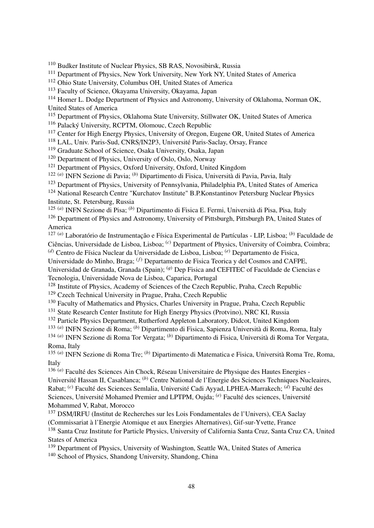<sup>110</sup> Budker Institute of Nuclear Physics, SB RAS, Novosibirsk, Russia

<sup>111</sup> Department of Physics, New York University, New York NY, United States of America

<sup>112</sup> Ohio State University, Columbus OH, United States of America

<sup>113</sup> Faculty of Science, Okayama University, Okayama, Japan

<sup>114</sup> Homer L. Dodge Department of Physics and Astronomy, University of Oklahoma, Norman OK, United States of America

<sup>115</sup> Department of Physics, Oklahoma State University, Stillwater OK, United States of America

<sup>116</sup> Palacký University, RCPTM, Olomouc, Czech Republic

<sup>117</sup> Center for High Energy Physics, University of Oregon, Eugene OR, United States of America

<sup>118</sup> LAL, Univ. Paris-Sud, CNRS/IN2P3, Université Paris-Saclay, Orsay, France

<sup>119</sup> Graduate School of Science, Osaka University, Osaka, Japan

<sup>120</sup> Department of Physics, University of Oslo, Oslo, Norway

<sup>121</sup> Department of Physics, Oxford University, Oxford, United Kingdom

122 (*a*) INFN Sezione di Pavia; (*b*) Dipartimento di Fisica, Università di Pavia, Pavia, Italy

<sup>123</sup> Department of Physics, University of Pennsylvania, Philadelphia PA, United States of America

<sup>124</sup> National Research Centre "Kurchatov Institute" B.P.Konstantinov Petersburg Nuclear Physics Institute, St. Petersburg, Russia

125 (*a*) INFN Sezione di Pisa; (*b*) Dipartimento di Fisica E. Fermi, Università di Pisa, Pisa, Italy

<sup>126</sup> Department of Physics and Astronomy, University of Pittsburgh, Pittsburgh PA, United States of America

127 (*a*) Laboratório de Instrumentação e Física Experimental de Partículas - LIP, Lisboa; (*b*) Faculdade de Ciências, Universidade de Lisboa, Lisboa; (*c*) Department of Physics, University of Coimbra, Coimbra; (*d*) Centro de Física Nuclear da Universidade de Lisboa, Lisboa; (*e*) Departamento de Fisica,

Universidade do Minho, Braga; (*f*) Departamento de Fisica Teorica y del Cosmos and CAFPE,

Universidad de Granada, Granada (Spain); <sup>(g)</sup> Dep Fisica and CEFITEC of Faculdade de Ciencias e Tecnologia, Universidade Nova de Lisboa, Caparica, Portugal

<sup>128</sup> Institute of Physics, Academy of Sciences of the Czech Republic, Praha, Czech Republic

<sup>129</sup> Czech Technical University in Prague, Praha, Czech Republic

<sup>130</sup> Faculty of Mathematics and Physics, Charles University in Prague, Praha, Czech Republic

<sup>131</sup> State Research Center Institute for High Energy Physics (Protvino), NRC KI, Russia

<sup>132</sup> Particle Physics Department, Rutherford Appleton Laboratory, Didcot, United Kingdom

133 (*a*) INFN Sezione di Roma; (*b*) Dipartimento di Fisica, Sapienza Università di Roma, Roma, Italy

134 (*a*) INFN Sezione di Roma Tor Vergata; (*b*) Dipartimento di Fisica, Università di Roma Tor Vergata, Roma, Italy

135 (*a*) INFN Sezione di Roma Tre; (*b*) Dipartimento di Matematica e Fisica, Università Roma Tre, Roma, Italy

136 (*a*) Faculté des Sciences Ain Chock, Réseau Universitaire de Physique des Hautes Energies - Université Hassan II, Casablanca; (*b*) Centre National de l'Energie des Sciences Techniques Nucleaires, Rabat; (*c*) Faculté des Sciences Semlalia, Université Cadi Ayyad, LPHEA-Marrakech; (*d*) Faculté des Sciences, Université Mohamed Premier and LPTPM, Oujda; (*e*) Faculté des sciences, Université Mohammed V, Rabat, Morocco

<sup>137</sup> DSM/IRFU (Institut de Recherches sur les Lois Fondamentales de l'Univers), CEA Saclay (Commissariat à l'Energie Atomique et aux Energies Alternatives), Gif-sur-Yvette, France

<sup>138</sup> Santa Cruz Institute for Particle Physics, University of California Santa Cruz, Santa Cruz CA, United States of America

<sup>139</sup> Department of Physics, University of Washington, Seattle WA, United States of America

<sup>140</sup> School of Physics, Shandong University, Shandong, China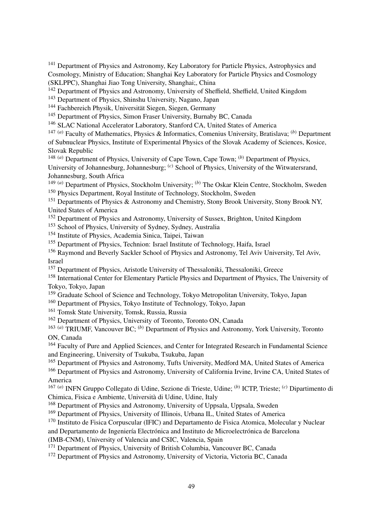<sup>141</sup> Department of Physics and Astronomy, Key Laboratory for Particle Physics, Astrophysics and Cosmology, Ministry of Education; Shanghai Key Laboratory for Particle Physics and Cosmology (SKLPPC), Shanghai Jiao Tong University, Shanghai;, China

<sup>142</sup> Department of Physics and Astronomy, University of Sheffield, Sheffield, United Kingdom

<sup>143</sup> Department of Physics, Shinshu University, Nagano, Japan

<sup>144</sup> Fachbereich Physik, Universität Siegen, Siegen, Germany

<sup>145</sup> Department of Physics, Simon Fraser University, Burnaby BC, Canada

<sup>146</sup> SLAC National Accelerator Laboratory, Stanford CA, United States of America

147 (*a*) Faculty of Mathematics, Physics & Informatics, Comenius University, Bratislava; (*b*) Department of Subnuclear Physics, Institute of Experimental Physics of the Slovak Academy of Sciences, Kosice, Slovak Republic

<sup>148 (*a*)</sup> Department of Physics, University of Cape Town, Cape Town; <sup>(*b*)</sup> Department of Physics, University of Johannesburg, Johannesburg; <sup>(*c*)</sup> School of Physics, University of the Witwatersrand. Johannesburg, South Africa

149 (*a*) Department of Physics, Stockholm University; (*b*) The Oskar Klein Centre, Stockholm, Sweden <sup>150</sup> Physics Department, Royal Institute of Technology, Stockholm, Sweden

<sup>151</sup> Departments of Physics & Astronomy and Chemistry, Stony Brook University, Stony Brook NY, United States of America

<sup>152</sup> Department of Physics and Astronomy, University of Sussex, Brighton, United Kingdom

<sup>153</sup> School of Physics, University of Sydney, Sydney, Australia

<sup>154</sup> Institute of Physics, Academia Sinica, Taipei, Taiwan

<sup>155</sup> Department of Physics, Technion: Israel Institute of Technology, Haifa, Israel

<sup>156</sup> Raymond and Beverly Sackler School of Physics and Astronomy, Tel Aviv University, Tel Aviv, Israel

<sup>157</sup> Department of Physics, Aristotle University of Thessaloniki, Thessaloniki, Greece

<sup>158</sup> International Center for Elementary Particle Physics and Department of Physics, The University of Tokyo, Tokyo, Japan

<sup>159</sup> Graduate School of Science and Technology, Tokyo Metropolitan University, Tokyo, Japan

<sup>160</sup> Department of Physics, Tokyo Institute of Technology, Tokyo, Japan

<sup>161</sup> Tomsk State University, Tomsk, Russia, Russia

<sup>162</sup> Department of Physics, University of Toronto, Toronto ON, Canada

163 (*a*) TRIUMF, Vancouver BC; (*b*) Department of Physics and Astronomy, York University, Toronto ON, Canada

<sup>164</sup> Faculty of Pure and Applied Sciences, and Center for Integrated Research in Fundamental Science and Engineering, University of Tsukuba, Tsukuba, Japan

<sup>165</sup> Department of Physics and Astronomy, Tufts University, Medford MA, United States of America

<sup>166</sup> Department of Physics and Astronomy, University of California Irvine, Irvine CA, United States of America

167 (*a*) INFN Gruppo Collegato di Udine, Sezione di Trieste, Udine; (*b*) ICTP, Trieste; (*c*) Dipartimento di Chimica, Fisica e Ambiente, Università di Udine, Udine, Italy

<sup>168</sup> Department of Physics and Astronomy, University of Uppsala, Uppsala, Sweden

<sup>169</sup> Department of Physics, University of Illinois, Urbana IL, United States of America

<sup>170</sup> Instituto de Fisica Corpuscular (IFIC) and Departamento de Fisica Atomica, Molecular y Nuclear

and Departamento de Ingeniería Electrónica and Instituto de Microelectrónica de Barcelona (IMB-CNM), University of Valencia and CSIC, Valencia, Spain

<sup>171</sup> Department of Physics, University of British Columbia, Vancouver BC, Canada

<sup>172</sup> Department of Physics and Astronomy, University of Victoria, Victoria BC, Canada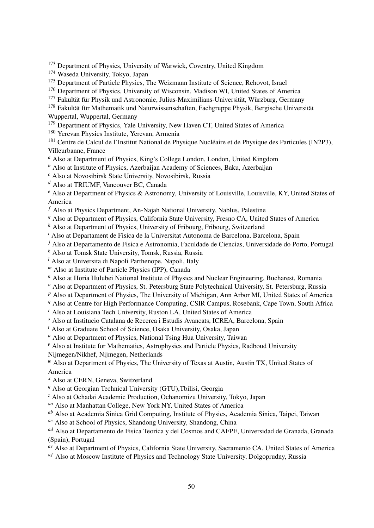<sup>173</sup> Department of Physics, University of Warwick, Coventry, United Kingdom

- <sup>174</sup> Waseda University, Tokyo, Japan
- <sup>175</sup> Department of Particle Physics, The Weizmann Institute of Science, Rehovot, Israel
- <sup>176</sup> Department of Physics, University of Wisconsin, Madison WI, United States of America
- <sup>177</sup> Fakultät für Physik und Astronomie, Julius-Maximilians-Universität, Würzburg, Germany

<sup>178</sup> Fakultät für Mathematik und Naturwissenschaften, Fachgruppe Physik, Bergische Universität

Wuppertal, Wuppertal, Germany

<sup>179</sup> Department of Physics, Yale University, New Haven CT, United States of America

<sup>180</sup> Yerevan Physics Institute, Yerevan, Armenia

<sup>181</sup> Centre de Calcul de l'Institut National de Physique Nucléaire et de Physique des Particules (IN2P3), Villeurbanne, France

*<sup>a</sup>* Also at Department of Physics, King's College London, London, United Kingdom

*<sup>b</sup>* Also at Institute of Physics, Azerbaijan Academy of Sciences, Baku, Azerbaijan

*<sup>c</sup>* Also at Novosibirsk State University, Novosibirsk, Russia

*<sup>d</sup>* Also at TRIUMF, Vancouver BC, Canada

*<sup>e</sup>* Also at Department of Physics & Astronomy, University of Louisville, Louisville, KY, United States of America

*<sup>f</sup>* Also at Physics Department, An-Najah National University, Nablus, Palestine

<sup>g</sup> Also at Department of Physics, California State University, Fresno CA, United States of America

*<sup>h</sup>* Also at Department of Physics, University of Fribourg, Fribourg, Switzerland

*<sup>i</sup>* Also at Departament de Fisica de la Universitat Autonoma de Barcelona, Barcelona, Spain

*<sup>j</sup>* Also at Departamento de Fisica e Astronomia, Faculdade de Ciencias, Universidade do Porto, Portugal

*<sup>k</sup>* Also at Tomsk State University, Tomsk, Russia, Russia

*<sup>l</sup>* Also at Universita di Napoli Parthenope, Napoli, Italy

*<sup>m</sup>* Also at Institute of Particle Physics (IPP), Canada

*<sup>n</sup>* Also at Horia Hulubei National Institute of Physics and Nuclear Engineering, Bucharest, Romania

*<sup>o</sup>* Also at Department of Physics, St. Petersburg State Polytechnical University, St. Petersburg, Russia

*<sup>p</sup>* Also at Department of Physics, The University of Michigan, Ann Arbor MI, United States of America

*<sup>q</sup>* Also at Centre for High Performance Computing, CSIR Campus, Rosebank, Cape Town, South Africa

*<sup>r</sup>* Also at Louisiana Tech University, Ruston LA, United States of America

*<sup>s</sup>* Also at Institucio Catalana de Recerca i Estudis Avancats, ICREA, Barcelona, Spain

*<sup>t</sup>* Also at Graduate School of Science, Osaka University, Osaka, Japan

*<sup>u</sup>* Also at Department of Physics, National Tsing Hua University, Taiwan

<sup>v</sup> Also at Institute for Mathematics, Astrophysics and Particle Physics, Radboud University

Nijmegen/Nikhef, Nijmegen, Netherlands

<sup>w</sup> Also at Department of Physics, The University of Texas at Austin, Austin TX, United States of America

*<sup>x</sup>* Also at CERN, Geneva, Switzerland

<sup>y</sup> Also at Georgian Technical University (GTU),Tbilisi, Georgia

*<sup>z</sup>* Also at Ochadai Academic Production, Ochanomizu University, Tokyo, Japan

*aa* Also at Manhattan College, New York NY, United States of America

*ab* Also at Academia Sinica Grid Computing, Institute of Physics, Academia Sinica, Taipei, Taiwan

*ac* Also at School of Physics, Shandong University, Shandong, China

*ad* Also at Departamento de Fisica Teorica y del Cosmos and CAFPE, Universidad de Granada, Granada (Spain), Portugal

<sup>ae</sup> Also at Department of Physics, California State University, Sacramento CA, United States of America

<sup>af</sup> Also at Moscow Institute of Physics and Technology State University, Dolgoprudny, Russia